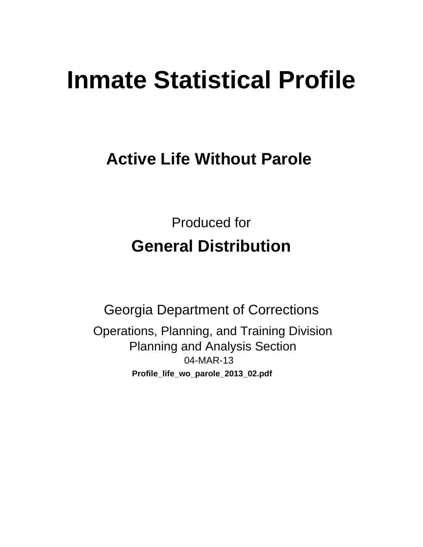# **Inmate Statistical Profile**

# **Active Life Without Parole**

**Produced for General Distribution** 

**Georgia Department of Corrections** Operations, Planning, and Training Division **Planning and Analysis Section** 04-MAR-13 Profile\_life\_wo\_parole\_2013\_02.pdf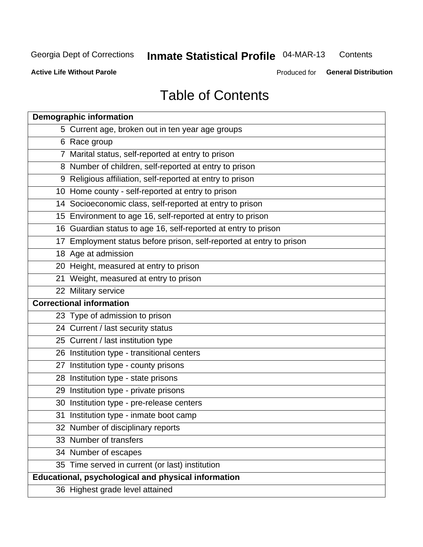#### **Inmate Statistical Profile 04-MAR-13** Contents

**Active Life Without Parole** 

Produced for General Distribution

# **Table of Contents**

| <b>Demographic information</b>                                       |
|----------------------------------------------------------------------|
| 5 Current age, broken out in ten year age groups                     |
| 6 Race group                                                         |
| 7 Marital status, self-reported at entry to prison                   |
| 8 Number of children, self-reported at entry to prison               |
| 9 Religious affiliation, self-reported at entry to prison            |
| 10 Home county - self-reported at entry to prison                    |
| 14 Socioeconomic class, self-reported at entry to prison             |
| 15 Environment to age 16, self-reported at entry to prison           |
| 16 Guardian status to age 16, self-reported at entry to prison       |
| 17 Employment status before prison, self-reported at entry to prison |
| 18 Age at admission                                                  |
| 20 Height, measured at entry to prison                               |
| 21 Weight, measured at entry to prison                               |
| 22 Military service                                                  |
| <b>Correctional information</b>                                      |
| 23 Type of admission to prison                                       |
| 24 Current / last security status                                    |
| 25 Current / last institution type                                   |
| 26 Institution type - transitional centers                           |
| 27 Institution type - county prisons                                 |
| 28 Institution type - state prisons                                  |
| 29 Institution type - private prisons                                |
| 30 Institution type - pre-release centers                            |
| 31 Institution type - inmate boot camp                               |
| 32 Number of disciplinary reports                                    |
| 33 Number of transfers                                               |
| 34 Number of escapes                                                 |
| 35 Time served in current (or last) institution                      |
| Educational, psychological and physical information                  |
| 36 Highest grade level attained                                      |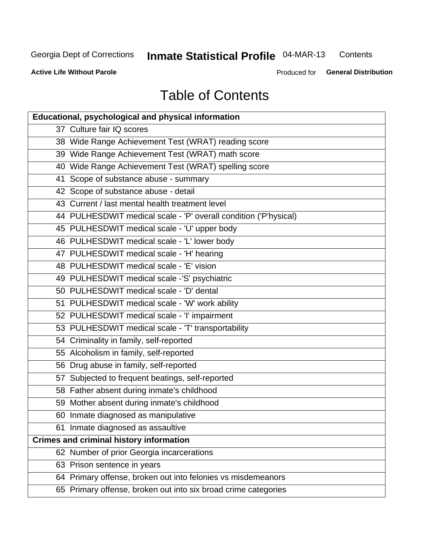# Inmate Statistical Profile 04-MAR-13

Contents

**Active Life Without Parole** 

Produced for General Distribution

# **Table of Contents**

| <b>Educational, psychological and physical information</b>       |
|------------------------------------------------------------------|
| 37 Culture fair IQ scores                                        |
| 38 Wide Range Achievement Test (WRAT) reading score              |
| 39 Wide Range Achievement Test (WRAT) math score                 |
| 40 Wide Range Achievement Test (WRAT) spelling score             |
| 41 Scope of substance abuse - summary                            |
| 42 Scope of substance abuse - detail                             |
| 43 Current / last mental health treatment level                  |
| 44 PULHESDWIT medical scale - 'P' overall condition ('P'hysical) |
| 45 PULHESDWIT medical scale - 'U' upper body                     |
| 46 PULHESDWIT medical scale - 'L' lower body                     |
| 47 PULHESDWIT medical scale - 'H' hearing                        |
| 48 PULHESDWIT medical scale - 'E' vision                         |
| 49 PULHESDWIT medical scale -'S' psychiatric                     |
| 50 PULHESDWIT medical scale - 'D' dental                         |
| 51 PULHESDWIT medical scale - 'W' work ability                   |
| 52 PULHESDWIT medical scale - 'I' impairment                     |
| 53 PULHESDWIT medical scale - 'T' transportability               |
| 54 Criminality in family, self-reported                          |
| 55 Alcoholism in family, self-reported                           |
| 56 Drug abuse in family, self-reported                           |
| 57 Subjected to frequent beatings, self-reported                 |
| 58 Father absent during inmate's childhood                       |
| 59 Mother absent during inmate's childhood                       |
| 60 Inmate diagnosed as manipulative                              |
| 61 Inmate diagnosed as assaultive                                |
| <b>Crimes and criminal history information</b>                   |
| 62 Number of prior Georgia incarcerations                        |
| 63 Prison sentence in years                                      |
| 64 Primary offense, broken out into felonies vs misdemeanors     |
| 65 Primary offense, broken out into six broad crime categories   |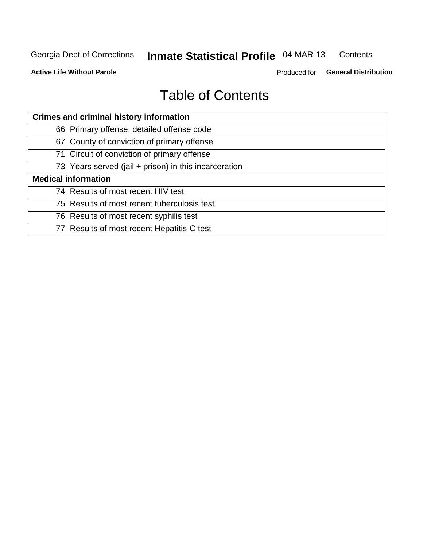#### **Inmate Statistical Profile 04-MAR-13** Contents

**Active Life Without Parole** 

Produced for General Distribution

# **Table of Contents**

| <b>Crimes and criminal history information</b>        |
|-------------------------------------------------------|
| 66 Primary offense, detailed offense code             |
| 67 County of conviction of primary offense            |
| 71 Circuit of conviction of primary offense           |
| 73 Years served (jail + prison) in this incarceration |
| <b>Medical information</b>                            |
| 74 Results of most recent HIV test                    |
| 75 Results of most recent tuberculosis test           |
| 76 Results of most recent syphilis test               |
| 77 Results of most recent Hepatitis-C test            |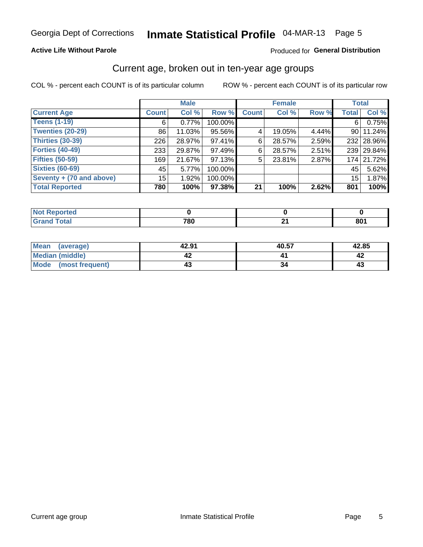# Inmate Statistical Profile 04-MAR-13 Page 5

#### **Active Life Without Parole**

#### Produced for General Distribution

### Current age, broken out in ten-year age groups

COL % - percent each COUNT is of its particular column

|                          |              | <b>Male</b> |         |              | <b>Female</b> |       | <b>Total</b> |            |
|--------------------------|--------------|-------------|---------|--------------|---------------|-------|--------------|------------|
| <b>Current Age</b>       | <b>Count</b> | Col %       | Row %   | <b>Count</b> | Col %         | Row % | <b>Total</b> | Col %      |
| <b>Teens (1-19)</b>      | 6            | 0.77%       | 100.00% |              |               |       | 6            | 0.75%      |
| <b>Twenties (20-29)</b>  | 86           | 11.03%      | 95.56%  | 4            | 19.05%        | 4.44% | 90 l         | 11.24%     |
| Thirties (30-39)         | 226          | 28.97%      | 97.41%  | 6            | 28.57%        | 2.59% |              | 232 28.96% |
| <b>Forties (40-49)</b>   | 233          | 29.87%      | 97.49%  | 6            | 28.57%        | 2.51% |              | 239 29.84% |
| <b>Fifties (50-59)</b>   | 169          | 21.67%      | 97.13%  | 5            | 23.81%        | 2.87% |              | 174 21.72% |
| <b>Sixties (60-69)</b>   | 45           | 5.77%       | 100.00% |              |               |       | 45           | 5.62%      |
| Seventy + (70 and above) | 15           | 1.92%       | 100.00% |              |               |       | 15           | 1.87%      |
| <b>Total Reported</b>    | 780          | 100%        | 97.38%  | 21           | 100%          | 2.62% | 801          | 100%       |

| _____ | 700<br>ou<br>$  -$ | л.<br>- - | $0^{\text{A}}$<br>OU L |
|-------|--------------------|-----------|------------------------|

| Mean<br>(average)       | 42.91 | 40.57 | 42.85 |
|-------------------------|-------|-------|-------|
| Median (middle)         |       |       |       |
| Mode<br>(most frequent) |       |       | 4.    |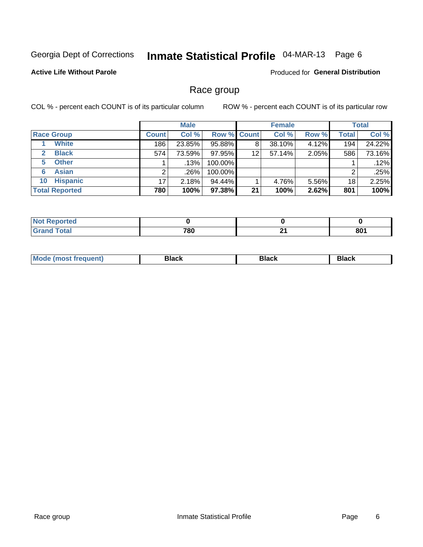# Inmate Statistical Profile 04-MAR-13 Page 6

#### **Active Life Without Parole**

Produced for General Distribution

### Race group

COL % - percent each COUNT is of its particular column

|                              |              | <b>Male</b> |         |                    | <b>Female</b> |       |              | <b>Total</b> |
|------------------------------|--------------|-------------|---------|--------------------|---------------|-------|--------------|--------------|
| <b>Race Group</b>            | <b>Count</b> | Col %       |         | <b>Row % Count</b> | Col %         | Row % | <b>Total</b> | Col %        |
| <b>White</b>                 | 186          | 23.85%      | 95.88%  | 8                  | 38.10%        | 4.12% | 194          | 24.22%       |
| <b>Black</b><br>$\mathbf{2}$ | 574          | 73.59%      | 97.95%  | 12                 | 57.14%        | 2.05% | 586          | 73.16%       |
| <b>Other</b><br>5.           |              | $.13\%$     | 100.00% |                    |               |       |              | .12%         |
| <b>Asian</b><br>6            |              | .26%        | 100.00% |                    |               |       | 2            | .25%         |
| <b>Hispanic</b><br>10        | 17           | 2.18%       | 94.44%  |                    | 4.76%         | 5.56% | 18           | 2.25%        |
| <b>Total Reported</b>        | 780          | 100%        | 97.38%  | 21                 | 100%          | 2.62% | 801          | 100%         |

| .<br>тео |                   |         |     |
|----------|-------------------|---------|-----|
|          | 700<br><u>rou</u> | л.<br>_ | 801 |

| M | - - - | Piavn |
|---|-------|-------|
|   |       |       |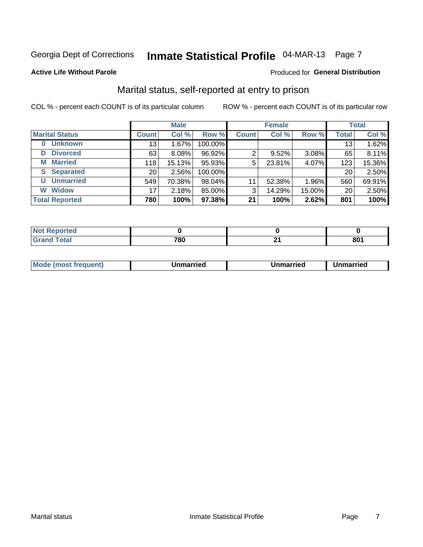# Inmate Statistical Profile 04-MAR-13 Page 7

#### **Active Life Without Parole**

#### Produced for General Distribution

### Marital status, self-reported at entry to prison

COL % - percent each COUNT is of its particular column

|                            |                 | <b>Male</b> |         |              | <b>Female</b> |        |              | <b>Total</b> |
|----------------------------|-----------------|-------------|---------|--------------|---------------|--------|--------------|--------------|
| <b>Marital Status</b>      | <b>Count</b>    | Col %       | Row %   | <b>Count</b> | Col %         | Row %  | <b>Total</b> | Col %        |
| <b>Unknown</b><br>$\bf{0}$ | 13 <sub>1</sub> | 1.67%       | 100.00% |              |               |        | 13           | 1.62%        |
| <b>Divorced</b><br>D       | 63              | 8.08%       | 96.92%  | 2            | 9.52%         | 3.08%  | 65           | 8.11%        |
| <b>Married</b><br>М        | 118             | 15.13%      | 95.93%  | 5            | 23.81%        | 4.07%  | 123          | 15.36%       |
| <b>Separated</b><br>S      | 20 <sub>1</sub> | 2.56%       | 100.00% |              |               |        | 20           | 2.50%        |
| <b>Unmarried</b><br>U      | 549             | 70.38%      | 98.04%  | 11           | 52.38%        | 1.96%  | 560          | 69.91%       |
| <b>Widow</b><br>W          | 17              | 2.18%       | 85.00%  | 3            | 14.29%        | 15.00% | 20           | 2.50%        |
| <b>Total Reported</b>      | 780             | 100%        | 97.38%  | 21           | 100%          | 2.62%  | 801          | 100%         |

| NOT<br><b>Trea</b> |     |     |    |
|--------------------|-----|-----|----|
|                    | 700 | . . | 00 |
|                    | .ou |     | οι |

|--|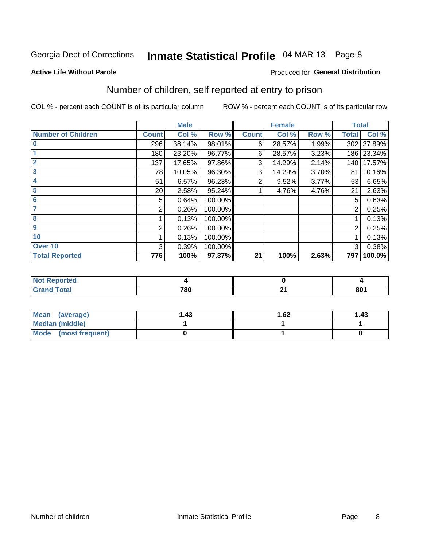# Inmate Statistical Profile 04-MAR-13 Page 8

Produced for General Distribution

#### **Active Life Without Parole**

# Number of children, self reported at entry to prison

COL % - percent each COUNT is of its particular column

|                           |              | <b>Male</b> |         |              | <b>Female</b> |       | <b>Total</b> |            |
|---------------------------|--------------|-------------|---------|--------------|---------------|-------|--------------|------------|
| <b>Number of Children</b> | <b>Count</b> | Col %       | Row %   | <b>Count</b> | Col %         | Row % | <b>Total</b> | Col %      |
| $\bf{0}$                  | 296          | 38.14%      | 98.01%  | 6            | 28.57%        | 1.99% | 302          | 37.89%     |
|                           | 180          | 23.20%      | 96.77%  | 6            | 28.57%        | 3.23% |              | 186 23.34% |
| $\overline{2}$            | 137          | 17.65%      | 97.86%  | 3            | 14.29%        | 2.14% | 140          | 17.57%     |
| 3                         | 78           | 10.05%      | 96.30%  | 3            | 14.29%        | 3.70% | 81           | 10.16%     |
| 4                         | 51           | 6.57%       | 96.23%  | 2            | 9.52%         | 3.77% | 53           | 6.65%      |
| 5                         | 20           | 2.58%       | 95.24%  |              | 4.76%         | 4.76% | 21           | 2.63%      |
| 6                         | 5            | 0.64%       | 100.00% |              |               |       | 5            | 0.63%      |
| 7                         | 2            | 0.26%       | 100.00% |              |               |       | 2            | 0.25%      |
| 8                         |              | 0.13%       | 100.00% |              |               |       |              | 0.13%      |
| $\boldsymbol{9}$          | 2            | 0.26%       | 100.00% |              |               |       | 2            | 0.25%      |
| 10                        |              | 0.13%       | 100.00% |              |               |       |              | 0.13%      |
| Over 10                   | 3            | 0.39%       | 100.00% |              |               |       | 3            | 0.38%      |
| <b>Total Reported</b>     | 776          | 100%        | 97.37%  | 21           | 100%          | 2.63% | 797          | 100.0%     |

| neo    |     |   |     |
|--------|-----|---|-----|
| $\sim$ | 780 | _ | 801 |

| Mean<br>(average)       | ∣.43 | l.62 | 1.43 |
|-------------------------|------|------|------|
| Median (middle)         |      |      |      |
| Mode<br>(most frequent) |      |      |      |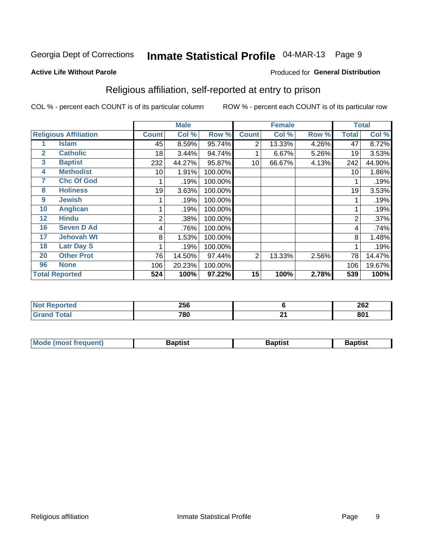# Inmate Statistical Profile 04-MAR-13 Page 9

Produced for General Distribution

#### **Active Life Without Parole**

### Religious affiliation, self-reported at entry to prison

COL % - percent each COUNT is of its particular column

|              |                              |              | <b>Male</b> |         |              | <b>Female</b> |       |       | <b>Total</b> |
|--------------|------------------------------|--------------|-------------|---------|--------------|---------------|-------|-------|--------------|
|              | <b>Religious Affiliation</b> | <b>Count</b> | Col %       | Row %   | <b>Count</b> | Col %         | Row % | Total | Col %        |
|              | <b>Islam</b>                 | 45           | 8.59%       | 95.74%  | 2            | 13.33%        | 4.26% | 47    | 8.72%        |
| $\mathbf{2}$ | <b>Catholic</b>              | 18           | 3.44%       | 94.74%  |              | 6.67%         | 5.26% | 19    | 3.53%        |
| 3            | <b>Baptist</b>               | 232          | 44.27%      | 95.87%  | 10           | 66.67%        | 4.13% | 242   | 44.90%       |
| 4            | <b>Methodist</b>             | 10           | 1.91%       | 100.00% |              |               |       | 10    | 1.86%        |
| 7            | <b>Chc Of God</b>            |              | .19%        | 100.00% |              |               |       |       | .19%         |
| 8            | <b>Holiness</b>              | 19           | 3.63%       | 100.00% |              |               |       | 19    | 3.53%        |
| 9            | <b>Jewish</b>                |              | .19%        | 100.00% |              |               |       |       | .19%         |
| 10           | <b>Anglican</b>              |              | .19%        | 100.00% |              |               |       |       | .19%         |
| 12           | <b>Hindu</b>                 | 2            | .38%        | 100.00% |              |               |       | 2     | .37%         |
| 16           | <b>Seven D Ad</b>            | 4            | .76%        | 100.00% |              |               |       | 4     | .74%         |
| 17           | <b>Jehovah Wt</b>            | 8            | 1.53%       | 100.00% |              |               |       | 8     | 1.48%        |
| 18           | <b>Latr Day S</b>            |              | .19%        | 100.00% |              |               |       |       | .19%         |
| 20           | <b>Other Prot</b>            | 76           | 14.50%      | 97.44%  | 2            | 13.33%        | 2.56% | 78    | 14.47%       |
| 96           | <b>None</b>                  | 106          | 20.23%      | 100.00% |              |               |       | 106   | 19.67%       |
|              | <b>Total Reported</b>        | 524          | 100%        | 97.22%  | 15           | 100%          | 2.78% | 539   | 100%         |

| νrτeα<br>. | <b>OFC</b><br>∠ວບ |          | 262 |
|------------|-------------------|----------|-----|
|            | 780               | ີ<br>- - | 801 |

| Mode (most frequent) | Baptist | <b>Baptist</b> | aptıst |
|----------------------|---------|----------------|--------|
|                      |         |                |        |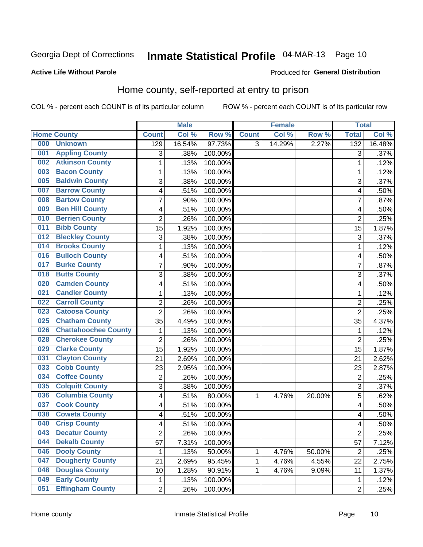# Inmate Statistical Profile 04-MAR-13 Page 10

#### **Active Life Without Parole**

#### Produced for General Distribution

### Home county, self-reported at entry to prison

COL % - percent each COUNT is of its particular column

|     |                             |                | <b>Male</b> |         |              | <b>Female</b> |        | <b>Total</b>            |        |
|-----|-----------------------------|----------------|-------------|---------|--------------|---------------|--------|-------------------------|--------|
|     | <b>Home County</b>          | <b>Count</b>   | Col %       | Row %   | <b>Count</b> | Col %         | Row %  | <b>Total</b>            | Col %  |
| 000 | <b>Unknown</b>              | 129            | 16.54%      | 97.73%  | 3            | 14.29%        | 2.27%  | 132                     | 16.48% |
| 001 | <b>Appling County</b>       | 3              | .38%        | 100.00% |              |               |        | 3                       | .37%   |
| 002 | <b>Atkinson County</b>      | $\mathbf 1$    | .13%        | 100.00% |              |               |        | 1                       | .12%   |
| 003 | <b>Bacon County</b>         | 1              | .13%        | 100.00% |              |               |        | 1                       | .12%   |
| 005 | <b>Baldwin County</b>       | 3              | .38%        | 100.00% |              |               |        | 3                       | .37%   |
| 007 | <b>Barrow County</b>        | 4              | .51%        | 100.00% |              |               |        | 4                       | .50%   |
| 008 | <b>Bartow County</b>        | $\overline{7}$ | .90%        | 100.00% |              |               |        | 7                       | .87%   |
| 009 | <b>Ben Hill County</b>      | 4              | .51%        | 100.00% |              |               |        | 4                       | .50%   |
| 010 | <b>Berrien County</b>       | $\overline{2}$ | .26%        | 100.00% |              |               |        | $\overline{2}$          | .25%   |
| 011 | <b>Bibb County</b>          | 15             | 1.92%       | 100.00% |              |               |        | 15                      | 1.87%  |
| 012 | <b>Bleckley County</b>      | 3              | .38%        | 100.00% |              |               |        | 3                       | .37%   |
| 014 | <b>Brooks County</b>        | $\mathbf 1$    | .13%        | 100.00% |              |               |        | 1                       | .12%   |
| 016 | <b>Bulloch County</b>       | 4              | .51%        | 100.00% |              |               |        | 4                       | .50%   |
| 017 | <b>Burke County</b>         | $\overline{7}$ | .90%        | 100.00% |              |               |        | $\overline{7}$          | .87%   |
| 018 | <b>Butts County</b>         | 3              | .38%        | 100.00% |              |               |        | 3                       | .37%   |
| 020 | <b>Camden County</b>        | 4              | .51%        | 100.00% |              |               |        | 4                       | .50%   |
| 021 | <b>Candler County</b>       | 1              | .13%        | 100.00% |              |               |        | 1                       | .12%   |
| 022 | <b>Carroll County</b>       | $\overline{c}$ | .26%        | 100.00% |              |               |        | $\overline{2}$          | .25%   |
| 023 | <b>Catoosa County</b>       | $\overline{2}$ | .26%        | 100.00% |              |               |        | $\overline{2}$          | .25%   |
| 025 | <b>Chatham County</b>       | 35             | 4.49%       | 100.00% |              |               |        | 35                      | 4.37%  |
| 026 | <b>Chattahoochee County</b> | 1              | .13%        | 100.00% |              |               |        | 1                       | .12%   |
| 028 | <b>Cherokee County</b>      | $\overline{2}$ | .26%        | 100.00% |              |               |        | $\overline{2}$          | .25%   |
| 029 | <b>Clarke County</b>        | 15             | 1.92%       | 100.00% |              |               |        | 15                      | 1.87%  |
| 031 | <b>Clayton County</b>       | 21             | 2.69%       | 100.00% |              |               |        | 21                      | 2.62%  |
| 033 | <b>Cobb County</b>          | 23             | 2.95%       | 100.00% |              |               |        | 23                      | 2.87%  |
| 034 | <b>Coffee County</b>        | 2              | .26%        | 100.00% |              |               |        | $\overline{2}$          | .25%   |
| 035 | <b>Colquitt County</b>      | 3              | .38%        | 100.00% |              |               |        | 3                       | .37%   |
| 036 | <b>Columbia County</b>      | 4              | .51%        | 80.00%  | 1            | 4.76%         | 20.00% | 5                       | .62%   |
| 037 | <b>Cook County</b>          | 4              | .51%        | 100.00% |              |               |        | 4                       | .50%   |
| 038 | <b>Coweta County</b>        | 4              | .51%        | 100.00% |              |               |        | $\overline{\mathbf{4}}$ | .50%   |
| 040 | <b>Crisp County</b>         | 4              | .51%        | 100.00% |              |               |        | 4                       | .50%   |
| 043 | <b>Decatur County</b>       | 2              | .26%        | 100.00% |              |               |        | $\overline{2}$          | .25%   |
| 044 | <b>Dekalb County</b>        | 57             | 7.31%       | 100.00% |              |               |        | 57                      | 7.12%  |
| 046 | <b>Dooly County</b>         | 1              | .13%        | 50.00%  | 1            | 4.76%         | 50.00% | $\overline{2}$          | .25%   |
| 047 | <b>Dougherty County</b>     | 21             | 2.69%       | 95.45%  | 1            | 4.76%         | 4.55%  | 22                      | 2.75%  |
| 048 | <b>Douglas County</b>       | 10             | 1.28%       | 90.91%  | 1            | 4.76%         | 9.09%  | 11                      | 1.37%  |
| 049 | <b>Early County</b>         | $\mathbf 1$    | .13%        | 100.00% |              |               |        | 1                       | .12%   |
| 051 | <b>Effingham County</b>     | $\overline{2}$ | .26%        | 100.00% |              |               |        | $\overline{2}$          | .25%   |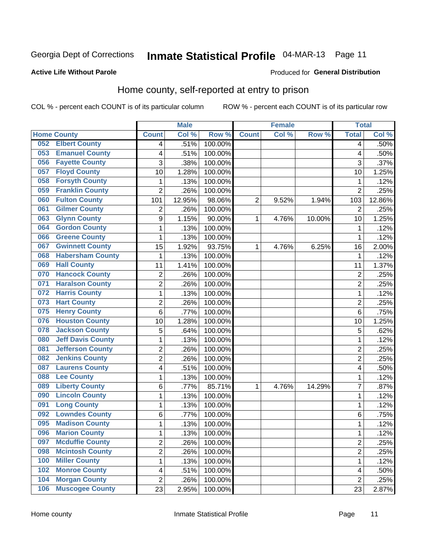# Inmate Statistical Profile 04-MAR-13 Page 11

#### **Active Life Without Parole**

#### Produced for General Distribution

### Home county, self-reported at entry to prison

COL % - percent each COUNT is of its particular column

|     |                          |                | <b>Male</b> |         |                | <b>Female</b> |        | <b>Total</b>   |        |
|-----|--------------------------|----------------|-------------|---------|----------------|---------------|--------|----------------|--------|
|     | <b>Home County</b>       | <b>Count</b>   | Col %       | Row %   | <b>Count</b>   | Col %         | Row %  | <b>Total</b>   | Col %  |
| 052 | <b>Elbert County</b>     | 4              | .51%        | 100.00% |                |               |        | 4              | .50%   |
| 053 | <b>Emanuel County</b>    | 4              | .51%        | 100.00% |                |               |        | 4              | .50%   |
| 056 | <b>Fayette County</b>    | 3              | .38%        | 100.00% |                |               |        | 3              | .37%   |
| 057 | <b>Floyd County</b>      | 10             | 1.28%       | 100.00% |                |               |        | 10             | 1.25%  |
| 058 | <b>Forsyth County</b>    | 1              | .13%        | 100.00% |                |               |        | 1              | .12%   |
| 059 | <b>Franklin County</b>   | $\overline{2}$ | .26%        | 100.00% |                |               |        | $\overline{2}$ | .25%   |
| 060 | <b>Fulton County</b>     | 101            | 12.95%      | 98.06%  | $\overline{2}$ | 9.52%         | 1.94%  | 103            | 12.86% |
| 061 | <b>Gilmer County</b>     | $\overline{2}$ | .26%        | 100.00% |                |               |        | $\overline{2}$ | .25%   |
| 063 | <b>Glynn County</b>      | 9              | 1.15%       | 90.00%  | 1              | 4.76%         | 10.00% | 10             | 1.25%  |
| 064 | <b>Gordon County</b>     | 1              | .13%        | 100.00% |                |               |        | 1              | .12%   |
| 066 | <b>Greene County</b>     | 1              | .13%        | 100.00% |                |               |        | 1              | .12%   |
| 067 | <b>Gwinnett County</b>   | 15             | 1.92%       | 93.75%  | 1              | 4.76%         | 6.25%  | 16             | 2.00%  |
| 068 | <b>Habersham County</b>  | $\mathbf{1}$   | .13%        | 100.00% |                |               |        | 1              | .12%   |
| 069 | <b>Hall County</b>       | 11             | 1.41%       | 100.00% |                |               |        | 11             | 1.37%  |
| 070 | <b>Hancock County</b>    | $\overline{2}$ | .26%        | 100.00% |                |               |        | $\overline{2}$ | .25%   |
| 071 | <b>Haralson County</b>   | $\overline{2}$ | .26%        | 100.00% |                |               |        | $\overline{2}$ | .25%   |
| 072 | <b>Harris County</b>     | 1              | .13%        | 100.00% |                |               |        | 1              | .12%   |
| 073 | <b>Hart County</b>       | $\overline{2}$ | .26%        | 100.00% |                |               |        | $\overline{c}$ | .25%   |
| 075 | <b>Henry County</b>      | 6              | .77%        | 100.00% |                |               |        | 6              | .75%   |
| 076 | <b>Houston County</b>    | 10             | 1.28%       | 100.00% |                |               |        | 10             | 1.25%  |
| 078 | <b>Jackson County</b>    | 5              | .64%        | 100.00% |                |               |        | 5              | .62%   |
| 080 | <b>Jeff Davis County</b> | 1              | .13%        | 100.00% |                |               |        | 1              | .12%   |
| 081 | <b>Jefferson County</b>  | $\overline{2}$ | .26%        | 100.00% |                |               |        | $\overline{2}$ | .25%   |
| 082 | <b>Jenkins County</b>    | $\overline{c}$ | .26%        | 100.00% |                |               |        | $\overline{2}$ | .25%   |
| 087 | <b>Laurens County</b>    | 4              | .51%        | 100.00% |                |               |        | 4              | .50%   |
| 088 | <b>Lee County</b>        | 1              | .13%        | 100.00% |                |               |        | 1              | .12%   |
| 089 | <b>Liberty County</b>    | 6              | .77%        | 85.71%  | 1              | 4.76%         | 14.29% | 7              | .87%   |
| 090 | <b>Lincoln County</b>    | 1              | .13%        | 100.00% |                |               |        | 1              | .12%   |
| 091 | <b>Long County</b>       | 1              | .13%        | 100.00% |                |               |        | 1              | .12%   |
| 092 | <b>Lowndes County</b>    | $\,6$          | .77%        | 100.00% |                |               |        | 6              | .75%   |
| 095 | <b>Madison County</b>    | $\mathbf{1}$   | .13%        | 100.00% |                |               |        | 1              | .12%   |
| 096 | <b>Marion County</b>     | 1              | .13%        | 100.00% |                |               |        | 1              | .12%   |
| 097 | <b>Mcduffie County</b>   | $\overline{2}$ | .26%        | 100.00% |                |               |        | $\overline{2}$ | .25%   |
| 098 | <b>Mcintosh County</b>   | $\overline{c}$ | .26%        | 100.00% |                |               |        | 2              | .25%   |
| 100 | <b>Miller County</b>     | $\mathbf{1}$   | .13%        | 100.00% |                |               |        | 1              | .12%   |
| 102 | <b>Monroe County</b>     | 4              | .51%        | 100.00% |                |               |        | 4              | .50%   |
| 104 | <b>Morgan County</b>     | $\overline{2}$ | .26%        | 100.00% |                |               |        | 2              | .25%   |
| 106 | <b>Muscogee County</b>   | 23             | 2.95%       | 100.00% |                |               |        | 23             | 2.87%  |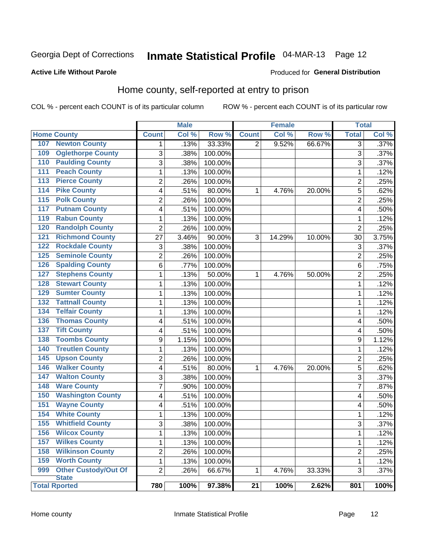# Inmate Statistical Profile 04-MAR-13 Page 12

#### **Active Life Without Parole**

#### **Produced for General Distribution**

### Home county, self-reported at entry to prison

COL % - percent each COUNT is of its particular column

|                  |                             |                | <b>Male</b> |         |                 | <b>Female</b> |        | <b>Total</b>   |         |
|------------------|-----------------------------|----------------|-------------|---------|-----------------|---------------|--------|----------------|---------|
|                  | <b>Home County</b>          | <b>Count</b>   | Col%        | Row %   | <b>Count</b>    | Col %         | Row %  | <b>Total</b>   | Col %   |
| 107              | <b>Newton County</b>        | $\mathbf 1$    | .13%        | 33.33%  | 2               | 9.52%         | 66.67% | 3              | $.37\%$ |
| 109              | <b>Oglethorpe County</b>    | 3              | .38%        | 100.00% |                 |               |        | 3              | .37%    |
| 110              | <b>Paulding County</b>      | $\overline{3}$ | .38%        | 100.00% |                 |               |        | 3              | .37%    |
| 111              | <b>Peach County</b>         | $\mathbf 1$    | .13%        | 100.00% |                 |               |        | 1              | .12%    |
| 113              | <b>Pierce County</b>        | $\overline{c}$ | .26%        | 100.00% |                 |               |        | $\overline{c}$ | .25%    |
| 114              | <b>Pike County</b>          | 4              | .51%        | 80.00%  | 1               | 4.76%         | 20.00% | 5              | .62%    |
| $\overline{115}$ | <b>Polk County</b>          | $\overline{c}$ | .26%        | 100.00% |                 |               |        | $\overline{c}$ | .25%    |
| 117              | <b>Putnam County</b>        | 4              | .51%        | 100.00% |                 |               |        | 4              | .50%    |
| 119              | <b>Rabun County</b>         | $\mathbf 1$    | .13%        | 100.00% |                 |               |        | 1              | .12%    |
| 120              | <b>Randolph County</b>      | $\overline{2}$ | .26%        | 100.00% |                 |               |        | $\overline{2}$ | .25%    |
| 121              | <b>Richmond County</b>      | 27             | 3.46%       | 90.00%  | 3               | 14.29%        | 10.00% | 30             | 3.75%   |
| 122              | <b>Rockdale County</b>      | 3              | .38%        | 100.00% |                 |               |        | 3              | .37%    |
| 125              | <b>Seminole County</b>      | $\overline{2}$ | .26%        | 100.00% |                 |               |        | $\overline{2}$ | .25%    |
| 126              | <b>Spalding County</b>      | 6              | .77%        | 100.00% |                 |               |        | 6              | .75%    |
| 127              | <b>Stephens County</b>      | $\mathbf{1}$   | .13%        | 50.00%  | 1               | 4.76%         | 50.00% | $\overline{2}$ | .25%    |
| 128              | <b>Stewart County</b>       | 1              | .13%        | 100.00% |                 |               |        | 1              | .12%    |
| 129              | <b>Sumter County</b>        | $\mathbf 1$    | .13%        | 100.00% |                 |               |        | 1              | .12%    |
| 132              | <b>Tattnall County</b>      | $\mathbf 1$    | .13%        | 100.00% |                 |               |        | 1              | .12%    |
| 134              | <b>Telfair County</b>       | $\mathbf 1$    | .13%        | 100.00% |                 |               |        | 1              | .12%    |
| 136              | <b>Thomas County</b>        | 4              | .51%        | 100.00% |                 |               |        | 4              | .50%    |
| 137              | <b>Tift County</b>          | 4              | .51%        | 100.00% |                 |               |        | 4              | .50%    |
| 138              | <b>Toombs County</b>        | 9              | 1.15%       | 100.00% |                 |               |        | 9              | 1.12%   |
| 140              | <b>Treutlen County</b>      | $\mathbf 1$    | .13%        | 100.00% |                 |               |        | 1              | .12%    |
| 145              | <b>Upson County</b>         | $\overline{2}$ | .26%        | 100.00% |                 |               |        | 2              | .25%    |
| 146              | <b>Walker County</b>        | 4              | .51%        | 80.00%  | 1               | 4.76%         | 20.00% | 5              | .62%    |
| 147              | <b>Walton County</b>        | 3              | .38%        | 100.00% |                 |               |        | 3              | .37%    |
| 148              | <b>Ware County</b>          | $\overline{7}$ | .90%        | 100.00% |                 |               |        | $\overline{7}$ | .87%    |
| 150              | <b>Washington County</b>    | 4              | .51%        | 100.00% |                 |               |        | 4              | .50%    |
| 151              | <b>Wayne County</b>         | 4              | .51%        | 100.00% |                 |               |        | 4              | .50%    |
| 154              | <b>White County</b>         | $\mathbf{1}$   | .13%        | 100.00% |                 |               |        | 1              | .12%    |
| 155              | <b>Whitfield County</b>     | 3              | .38%        | 100.00% |                 |               |        | 3              | .37%    |
| 156              | <b>Wilcox County</b>        | $\mathbf 1$    | .13%        | 100.00% |                 |               |        | 1              | .12%    |
| 157              | <b>Wilkes County</b>        | $\mathbf{1}$   | .13%        | 100.00% |                 |               |        | 1              | .12%    |
| 158              | <b>Wilkinson County</b>     | $\overline{2}$ | .26%        | 100.00% |                 |               |        | $\overline{2}$ | .25%    |
| 159              | <b>Worth County</b>         | $\mathbf{1}$   | .13%        | 100.00% |                 |               |        | 1              | .12%    |
| 999              | <b>Other Custody/Out Of</b> | $\overline{2}$ | .26%        | 66.67%  | 1               | 4.76%         | 33.33% | 3              | .37%    |
|                  | <b>State</b>                |                |             |         |                 |               |        |                |         |
|                  | <b>Total Rported</b>        | 780            | 100%        | 97.38%  | $\overline{21}$ | 100%          | 2.62%  | 801            | 100%    |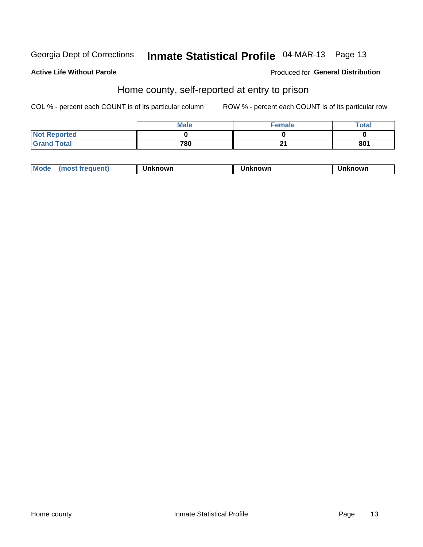# Inmate Statistical Profile 04-MAR-13 Page 13

#### **Active Life Without Parole**

#### Produced for General Distribution

### Home county, self-reported at entry to prison

COL % - percent each COUNT is of its particular column

|                     | <b>Male</b> | Female | Total |
|---------------------|-------------|--------|-------|
| <b>Not Reported</b> |             |        |       |
| <b>Grand Total</b>  | 780         | - -    | 801   |

| <b>Moa</b><br>nown | owr | nowr |
|--------------------|-----|------|
|--------------------|-----|------|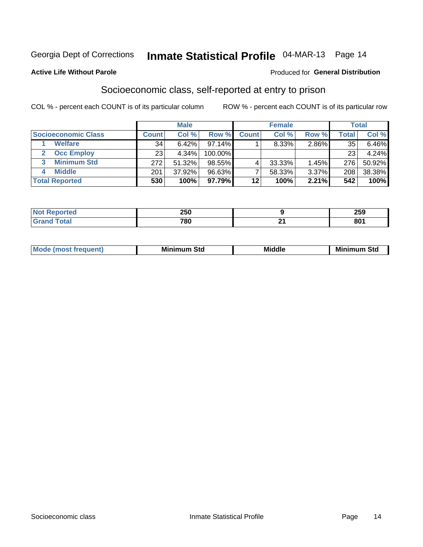# Inmate Statistical Profile 04-MAR-13 Page 14

#### **Active Life Without Parole**

#### **Produced for General Distribution**

### Socioeconomic class, self-reported at entry to prison

COL % - percent each COUNT is of its particular column

|                       |              | <b>Male</b> |            |              | <b>Female</b> |       |       | <b>Total</b> |
|-----------------------|--------------|-------------|------------|--------------|---------------|-------|-------|--------------|
| Socioeconomic Class   | <b>Count</b> | Col %       | Row %      | <b>Count</b> | Col %         | Row % | Total | Col %        |
| <b>Welfare</b>        | 34           | 6.42%       | $97.14\%$  |              | 8.33%         | 2.86% | 35    | $6.46\%$     |
| <b>Occ Employ</b>     | 23           | 4.34%       | $100.00\%$ |              |               |       | 23    | 4.24%        |
| <b>Minimum Std</b>    | 272          | 51.32%      | 98.55%     |              | 33.33%        | 1.45% | 276   | 50.92%       |
| <b>Middle</b>         | 201          | 37.92%      | 96.63%     |              | 58.33%        | 3.37% | 208   | 38.38%       |
| <b>Total Reported</b> | 530          | 100%        | 97.79%     | 12           | 100%          | 2.21% | 542   | 100%         |

| чес. | 250 |    | <u> пгл</u><br>∠ວອ |
|------|-----|----|--------------------|
|      | 780 | п. | nn.<br>ou          |

|  | M. | М.<br>.<br>ວເບ<br>___ | ---<br>Middle<br>____ | Mir<br>Std |
|--|----|-----------------------|-----------------------|------------|
|--|----|-----------------------|-----------------------|------------|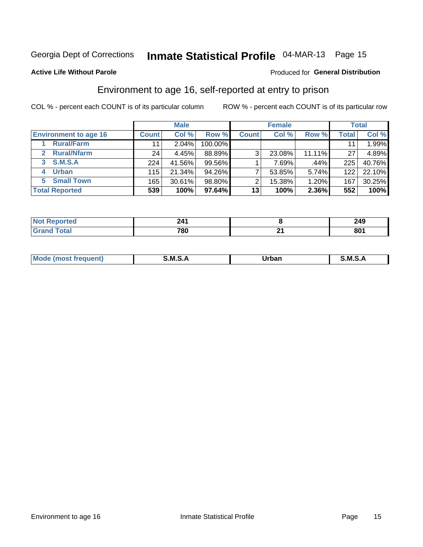# Inmate Statistical Profile 04-MAR-13 Page 15

#### **Active Life Without Parole**

#### Produced for General Distribution

### Environment to age 16, self-reported at entry to prison

COL % - percent each COUNT is of its particular column

|                                    |              | <b>Male</b> |           |              | <b>Female</b> |        |              | <b>Total</b> |
|------------------------------------|--------------|-------------|-----------|--------------|---------------|--------|--------------|--------------|
| <b>Environment to age 16</b>       | <b>Count</b> | Col %       | Row %     | <b>Count</b> | Col %         | Row %  | <b>Total</b> | Col %        |
| <b>Rural/Farm</b>                  | 11           | $2.04\%$    | 100.00%   |              |               |        |              | 1.99%        |
| <b>Rural/Nfarm</b><br>$\mathbf{2}$ | 24           | 4.45%       | 88.89%    | 3            | 23.08%        | 11.11% | 27           | 4.89%        |
| 3 S.M.S.A                          | 224          | 41.56%      | 99.56%    |              | 7.69%         | .44%   | 225          | 40.76%       |
| <b>Urban</b><br>4                  | 115          | 21.34%      | $94.26\%$ |              | 53.85%        | 5.74%  | 122          | 22.10%       |
| 5 Small Town                       | 165          | 30.61%      | 98.80%    | ⌒            | 15.38%        | 1.20%  | 167          | 30.25%       |
| <b>Total Reported</b>              | 539          | 100%        | 97.64%    | 13           | 100%          | 2.36%  | 552          | 100%         |

| Reported | <b>714</b><br><u>.</u> |     | 249 |
|----------|------------------------|-----|-----|
| Total    | 780                    | . . | 801 |

| $Mc$ | M | <b>Jrhan</b> | M.     |
|------|---|--------------|--------|
|      |   | _____        | ______ |
|      |   |              |        |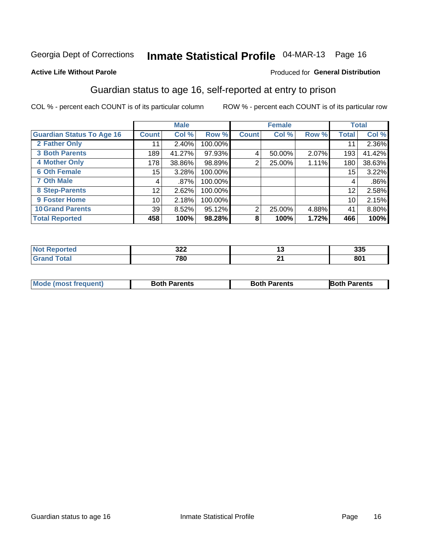# Inmate Statistical Profile 04-MAR-13 Page 16

#### **Active Life Without Parole**

#### **Produced for General Distribution**

### Guardian status to age 16, self-reported at entry to prison

COL % - percent each COUNT is of its particular column

|                                  |                 | <b>Male</b> |         |              | <b>Female</b> |       |       | <b>Total</b> |
|----------------------------------|-----------------|-------------|---------|--------------|---------------|-------|-------|--------------|
| <b>Guardian Status To Age 16</b> | <b>Count</b>    | Col %       | Row %   | <b>Count</b> | Col %         | Row % | Total | Col %        |
| 2 Father Only                    | 11              | 2.40%       | 100.00% |              |               |       | 11    | 2.36%        |
| <b>3 Both Parents</b>            | 189             | 41.27%      | 97.93%  | 4            | 50.00%        | 2.07% | 193   | 41.42%       |
| <b>4 Mother Only</b>             | 178             | 38.86%      | 98.89%  | 2            | 25.00%        | 1.11% | 180   | 38.63%       |
| <b>6 Oth Female</b>              | 15 <sub>1</sub> | 3.28%       | 100.00% |              |               |       | 15    | 3.22%        |
| <b>7 Oth Male</b>                | 4               | $.87\%$     | 100.00% |              |               |       | 4     | $.86\%$      |
| 8 Step-Parents                   | 12              | 2.62%       | 100.00% |              |               |       | 12    | 2.58%        |
| <b>9 Foster Home</b>             | 10              | 2.18%       | 100.00% |              |               |       | 10    | 2.15%        |
| <b>10 Grand Parents</b>          | 39              | 8.52%       | 95.12%  | 2            | 25.00%        | 4.88% | 41    | 8.80%        |
| <b>Total Reported</b>            | 458             | 100%        | 98.28%  | 8            | 100%          | 1.72% | 466   | 100%         |

| rted        | າາາ<br>JLL |         | つつに<br>ააა         |
|-------------|------------|---------|--------------------|
| <b>otal</b> | 780        | ີ<br>-- | $\mathbf{a}$<br>vv |

| <b>Mode (most frequent)</b> | <b>Both Parents</b> | <b>Both Parents</b> | <b>Both Parents</b> |
|-----------------------------|---------------------|---------------------|---------------------|
|                             |                     |                     |                     |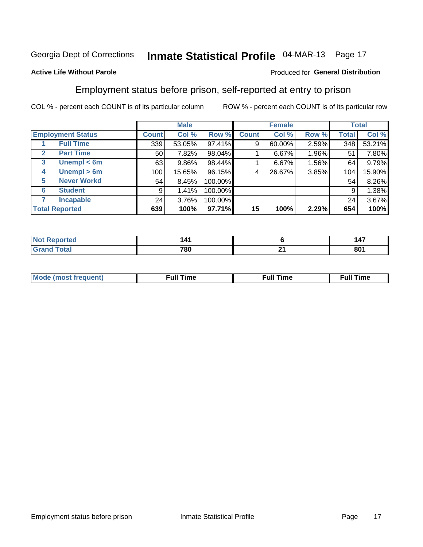# Inmate Statistical Profile 04-MAR-13 Page 17

#### **Active Life Without Parole**

#### Produced for General Distribution

### Employment status before prison, self-reported at entry to prison

COL % - percent each COUNT is of its particular column

|                                  |         | <b>Male</b> |         |              | <b>Female</b> |       |       | <b>Total</b> |
|----------------------------------|---------|-------------|---------|--------------|---------------|-------|-------|--------------|
| <b>Employment Status</b>         | Count l | Col %       | Row %   | <b>Count</b> | Col %         | Row % | Total | Col %        |
| <b>Full Time</b>                 | 339     | 53.05%      | 97.41%  | 9            | 60.00%        | 2.59% | 348   | 53.21%       |
| <b>Part Time</b><br>$\mathbf{2}$ | 50      | 7.82%       | 98.04%  |              | 6.67%         | 1.96% | 51    | 7.80%        |
| Unempl $<$ 6m<br>3               | 63      | 9.86%       | 98.44%  |              | 6.67%         | 1.56% | 64    | 9.79%        |
| Unempl > 6m<br>4                 | 100     | 15.65%      | 96.15%  |              | 26.67%        | 3.85% | 104   | 15.90%       |
| <b>Never Workd</b><br>5          | 54      | 8.45%       | 100.00% |              |               |       | 54    | 8.26%        |
| <b>Student</b><br>6              | 9       | 1.41%       | 100.00% |              |               |       | 9     | 1.38%        |
| <b>Incapable</b>                 | 24      | 3.76%       | 100.00% |              |               |       | 24    | 3.67%        |
| <b>Total Reported</b>            | 639     | 100%        | 97.71%  | 15           | 100%          | 2.29% | 654   | 100%         |

| тес | . п |    | $\overline{\phantom{a}}$<br>14. |
|-----|-----|----|---------------------------------|
|     | 780 | -- | on.<br>ov.                      |

| Mc | ∴ul! | ----<br>ıme<br>w |
|----|------|------------------|
|    |      |                  |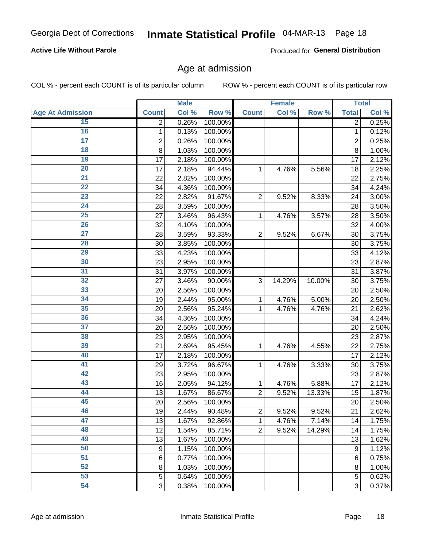# Inmate Statistical Profile 04-MAR-13 Page 18

#### **Active Life Without Parole**

Produced for General Distribution

### Age at admission

COL % - percent each COUNT is of its particular column

|                         |                         | <b>Male</b> |         |                | <b>Female</b> |        |                | <b>Total</b> |
|-------------------------|-------------------------|-------------|---------|----------------|---------------|--------|----------------|--------------|
| <b>Age At Admission</b> | <b>Count</b>            | Col %       | Row %   | <b>Count</b>   | Col %         | Row %  | <b>Total</b>   | Col %        |
| 15                      | $\overline{2}$          | 0.26%       | 100.00% |                |               |        | $\overline{2}$ | 0.25%        |
| 16                      | 1                       | 0.13%       | 100.00% |                |               |        | $\mathbf{1}$   | 0.12%        |
| $\overline{17}$         | $\overline{\mathbf{c}}$ | 0.26%       | 100.00% |                |               |        | $\overline{2}$ | 0.25%        |
| 18                      | 8                       | 1.03%       | 100.00% |                |               |        | 8              | 1.00%        |
| 19                      | 17                      | 2.18%       | 100.00% |                |               |        | 17             | 2.12%        |
| 20                      | 17                      | 2.18%       | 94.44%  | 1              | 4.76%         | 5.56%  | 18             | 2.25%        |
| 21                      | 22                      | 2.82%       | 100.00% |                |               |        | 22             | 2.75%        |
| 22                      | 34                      | 4.36%       | 100.00% |                |               |        | 34             | 4.24%        |
| 23                      | 22                      | 2.82%       | 91.67%  | $\overline{2}$ | 9.52%         | 8.33%  | 24             | 3.00%        |
| 24                      | 28                      | 3.59%       | 100.00% |                |               |        | 28             | 3.50%        |
| $\overline{25}$         | 27                      | 3.46%       | 96.43%  | 1              | 4.76%         | 3.57%  | 28             | 3.50%        |
| 26                      | 32                      | 4.10%       | 100.00% |                |               |        | 32             | 4.00%        |
| $\overline{27}$         | 28                      | 3.59%       | 93.33%  | $\overline{2}$ | 9.52%         | 6.67%  | 30             | 3.75%        |
| 28                      | 30                      | 3.85%       | 100.00% |                |               |        | 30             | 3.75%        |
| 29                      | 33                      | 4.23%       | 100.00% |                |               |        | 33             | 4.12%        |
| 30                      | 23                      | 2.95%       | 100.00% |                |               |        | 23             | 2.87%        |
| 31                      | 31                      | 3.97%       | 100.00% |                |               |        | 31             | 3.87%        |
| 32                      | 27                      | 3.46%       | 90.00%  | 3              | 14.29%        | 10.00% | 30             | 3.75%        |
| 33                      | 20                      | 2.56%       | 100.00% |                |               |        | 20             | 2.50%        |
| 34                      | 19                      | 2.44%       | 95.00%  | 1              | 4.76%         | 5.00%  | 20             | 2.50%        |
| 35                      | 20                      | 2.56%       | 95.24%  | 1              | 4.76%         | 4.76%  | 21             | 2.62%        |
| 36                      | 34                      | 4.36%       | 100.00% |                |               |        | 34             | 4.24%        |
| $\overline{37}$         | 20                      | 2.56%       | 100.00% |                |               |        | 20             | 2.50%        |
| 38                      | 23                      | 2.95%       | 100.00% |                |               |        | 23             | 2.87%        |
| 39                      | 21                      | 2.69%       | 95.45%  | 1              | 4.76%         | 4.55%  | 22             | 2.75%        |
| 40                      | 17                      | 2.18%       | 100.00% |                |               |        | 17             | 2.12%        |
| 41                      | 29                      | 3.72%       | 96.67%  | 1              | 4.76%         | 3.33%  | 30             | 3.75%        |
| 42                      | 23                      | 2.95%       | 100.00% |                |               |        | 23             | 2.87%        |
| 43                      | 16                      | 2.05%       | 94.12%  | 1              | 4.76%         | 5.88%  | 17             | 2.12%        |
| 44                      | 13                      | 1.67%       | 86.67%  | $\overline{2}$ | 9.52%         | 13.33% | 15             | 1.87%        |
| 45                      | 20                      | 2.56%       | 100.00% |                |               |        | 20             | 2.50%        |
| 46                      | 19                      | 2.44%       | 90.48%  | $\mathbf 2$    | 9.52%         | 9.52%  | 21             | 2.62%        |
| 47                      | 13                      | 1.67%       | 92.86%  | 1              | 4.76%         | 7.14%  | 14             | 1.75%        |
| 48                      | 12                      | 1.54%       | 85.71%  | $\overline{2}$ | 9.52%         | 14.29% | 14             | 1.75%        |
| 49                      | 13                      | 1.67%       | 100.00% |                |               |        | 13             | 1.62%        |
| 50                      | 9                       | 1.15%       | 100.00% |                |               |        | 9              | 1.12%        |
| $\overline{51}$         | $6\phantom{1}6$         | 0.77%       | 100.00% |                |               |        | 6              | 0.75%        |
| 52                      | 8                       | 1.03%       | 100.00% |                |               |        | 8              | 1.00%        |
| 53                      | 5                       | 0.64%       | 100.00% |                |               |        | 5              | 0.62%        |
| 54                      | 3                       | 0.38%       | 100.00% |                |               |        | $\overline{3}$ | 0.37%        |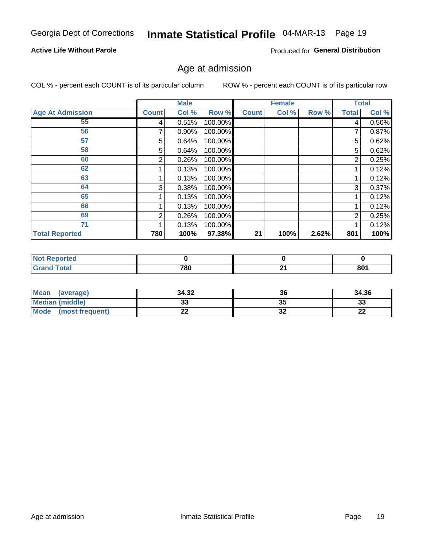# Inmate Statistical Profile 04-MAR-13 Page 19

#### **Active Life Without Parole**

Produced for General Distribution

### Age at admission

COL % - percent each COUNT is of its particular column

|                         |              | <b>Male</b> |         |              | <b>Female</b> |       |                | <b>Total</b> |
|-------------------------|--------------|-------------|---------|--------------|---------------|-------|----------------|--------------|
| <b>Age At Admission</b> | <b>Count</b> | Col %       | Row %   | <b>Count</b> | Col %         | Row % | <b>Total</b>   | Col %        |
| 55                      | 4            | 0.51%       | 100.00% |              |               |       | 4              | 0.50%        |
| 56                      |              | 0.90%       | 100.00% |              |               |       |                | 0.87%        |
| 57                      | 5            | 0.64%       | 100.00% |              |               |       | 5              | 0.62%        |
| 58                      | 5            | 0.64%       | 100.00% |              |               |       | 5              | 0.62%        |
| 60                      | 2            | 0.26%       | 100.00% |              |               |       | 2              | 0.25%        |
| 62                      |              | 0.13%       | 100.00% |              |               |       |                | 0.12%        |
| 63                      |              | 0.13%       | 100.00% |              |               |       |                | 0.12%        |
| 64                      | 3            | 0.38%       | 100.00% |              |               |       | 3              | 0.37%        |
| 65                      |              | 0.13%       | 100.00% |              |               |       |                | 0.12%        |
| 66                      |              | 0.13%       | 100.00% |              |               |       |                | 0.12%        |
| 69                      | 2            | 0.26%       | 100.00% |              |               |       | $\overline{2}$ | 0.25%        |
| 71                      |              | 0.13%       | 100.00% |              |               |       |                | 0.12%        |
| <b>Total Reported</b>   | 780          | 100%        | 97.38%  | 21           | 100%          | 2.62% | 801            | 100%         |

| rted            |     |     |                |
|-----------------|-----|-----|----------------|
| $int^{\bullet}$ | 780 | ົ   | $0^{\text{A}}$ |
| _____           |     | - - | ou.            |

| <b>Mean</b><br>(average)       | 34.32 | 36       | 34.36    |
|--------------------------------|-------|----------|----------|
| <b>Median (middle)</b>         | ົ     | 35       | n.<br>نە |
| <b>Mode</b><br>(most frequent) | --    | ^^<br>JZ | n,<br>LL |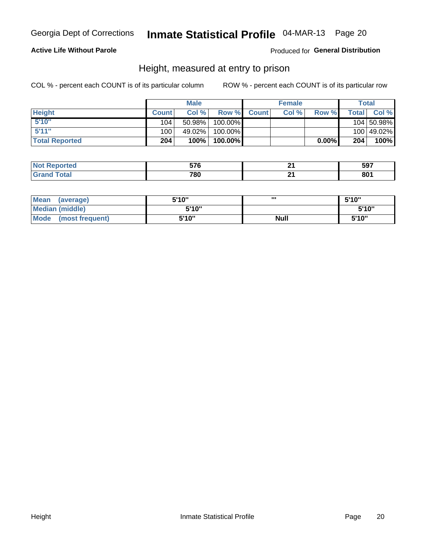# Inmate Statistical Profile 04-MAR-13 Page 20

#### **Active Life Without Parole**

Produced for General Distribution

### Height, measured at entry to prison

COL % - percent each COUNT is of its particular column

|                       |              | <b>Male</b> |         |              | <b>Female</b> |       |                | Total      |
|-----------------------|--------------|-------------|---------|--------------|---------------|-------|----------------|------------|
| <b>Height</b>         | <b>Count</b> | Col%        | Row %   | <b>Count</b> | Col %         | Row % | <b>Total</b> I | Col %      |
| 5'10''                | 104          | 50.98%      | 100.00% |              |               |       |                | 104 50.98% |
| 5'11''                | 100          | 49.02%      | 100.00% |              |               |       |                | 100 49.02% |
| <b>Total Reported</b> | 204          | 100%        | 100.00% |              |               | 0.00% | 204            | 100%       |

| <b>Not</b><br>orted<br>.eno <sup>.</sup> | EZC |    | 597 |
|------------------------------------------|-----|----|-----|
| <b>Total</b><br><b>Grand</b>             | 780 | м. | 801 |

| <b>Mean</b><br>(average)       | 5'10'' | ,,,         | 5'10" |
|--------------------------------|--------|-------------|-------|
| <b>Median (middle)</b>         | 5'10"  |             | 5'10" |
| <b>Mode</b><br>(most frequent) | 5'10"  | <b>Null</b> | 5'10" |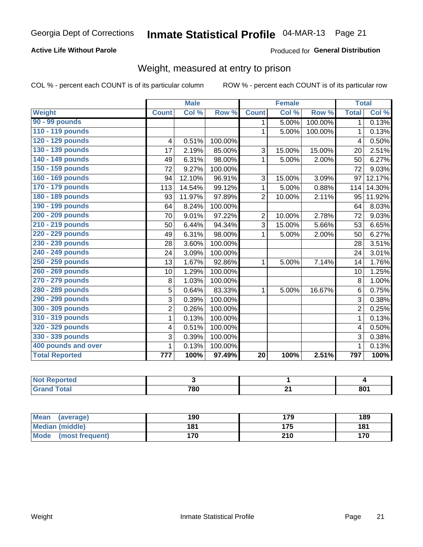# Inmate Statistical Profile 04-MAR-13 Page 21

#### **Active Life Without Parole**

Produced for General Distribution

# Weight, measured at entry to prison

COL % - percent each COUNT is of its particular column

|                       |                | <b>Male</b> |         |                | <b>Female</b> |         |                | <b>Total</b> |
|-----------------------|----------------|-------------|---------|----------------|---------------|---------|----------------|--------------|
| <b>Weight</b>         | <b>Count</b>   | Col %       | Row %   | <b>Count</b>   | Col %         | Row %   | <b>Total</b>   | Col %        |
| 90 - 99 pounds        |                |             |         | 1              | 5.00%         | 100.00% | 1 <sup>1</sup> | 0.13%        |
| 110 - 119 pounds      |                |             |         | 1              | 5.00%         | 100.00% | 1              | 0.13%        |
| 120 - 129 pounds      | 4              | 0.51%       | 100.00% |                |               |         | 4              | 0.50%        |
| 130 - 139 pounds      | 17             | 2.19%       | 85.00%  | 3              | 15.00%        | 15.00%  | 20             | 2.51%        |
| 140 - 149 pounds      | 49             | 6.31%       | 98.00%  | 1              | 5.00%         | 2.00%   | 50             | 6.27%        |
| 150 - 159 pounds      | 72             | 9.27%       | 100.00% |                |               |         | 72             | 9.03%        |
| 160 - 169 pounds      | 94             | 12.10%      | 96.91%  | 3              | 15.00%        | 3.09%   | 97             | 12.17%       |
| 170 - 179 pounds      | 113            | 14.54%      | 99.12%  | 1              | 5.00%         | 0.88%   | 114            | 14.30%       |
| 180 - 189 pounds      | 93             | 11.97%      | 97.89%  | $\overline{2}$ | 10.00%        | 2.11%   | 95             | 11.92%       |
| 190 - 199 pounds      | 64             | 8.24%       | 100.00% |                |               |         | 64             | 8.03%        |
| 200 - 209 pounds      | 70             | 9.01%       | 97.22%  | $\overline{2}$ | 10.00%        | 2.78%   | 72             | 9.03%        |
| 210 - 219 pounds      | 50             | 6.44%       | 94.34%  | 3              | 15.00%        | 5.66%   | 53             | 6.65%        |
| 220 - 229 pounds      | 49             | 6.31%       | 98.00%  | 1              | 5.00%         | 2.00%   | 50             | 6.27%        |
| 230 - 239 pounds      | 28             | 3.60%       | 100.00% |                |               |         | 28             | 3.51%        |
| 240 - 249 pounds      | 24             | 3.09%       | 100.00% |                |               |         | 24             | 3.01%        |
| 250 - 259 pounds      | 13             | 1.67%       | 92.86%  | 1              | 5.00%         | 7.14%   | 14             | 1.76%        |
| 260 - 269 pounds      | 10             | 1.29%       | 100.00% |                |               |         | 10             | 1.25%        |
| 270 - 279 pounds      | 8              | 1.03%       | 100.00% |                |               |         | 8              | 1.00%        |
| 280 - 289 pounds      | 5              | 0.64%       | 83.33%  | 1              | 5.00%         | 16.67%  | 6              | 0.75%        |
| 290 - 299 pounds      | $\overline{3}$ | 0.39%       | 100.00% |                |               |         | 3              | 0.38%        |
| 300 - 309 pounds      | $\overline{2}$ | 0.26%       | 100.00% |                |               |         | $\overline{2}$ | 0.25%        |
| 310 - 319 pounds      | 1              | 0.13%       | 100.00% |                |               |         | $\mathbf{1}$   | 0.13%        |
| 320 - 329 pounds      | 4              | 0.51%       | 100.00% |                |               |         | 4              | 0.50%        |
| 330 - 339 pounds      | 3              | 0.39%       | 100.00% |                |               |         | 3              | 0.38%        |
| 400 pounds and over   | 1              | 0.13%       | 100.00% |                |               |         | $\mathbf 1$    | 0.13%        |
| <b>Total Reported</b> | 777            | 100%        | 97.49%  | 20             | 100%          | 2.51%   | 797            | 100%         |

| 780 | 901<br>OU. |
|-----|------------|

| <b>Mean</b><br>(average)       | 190 | 179 | 189 |
|--------------------------------|-----|-----|-----|
| <b>Median (middle)</b>         | 181 | 175 | 181 |
| <b>Mode</b><br>(most frequent) | 170 | 210 | 170 |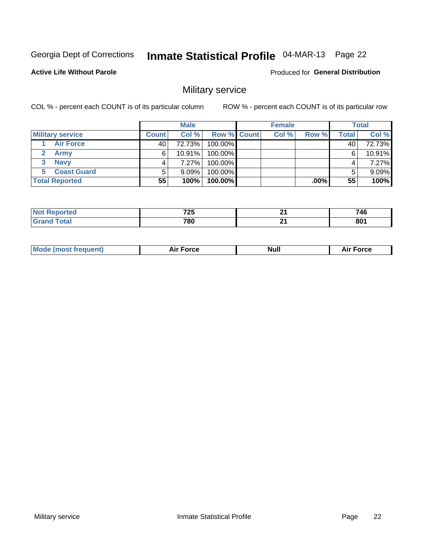# Inmate Statistical Profile 04-MAR-13 Page 22

**Active Life Without Parole** 

**Produced for General Distribution** 

### Military service

COL % - percent each COUNT is of its particular column

|                         |              | <b>Male</b> |                    | <b>Female</b> |        |       | <b>Total</b> |
|-------------------------|--------------|-------------|--------------------|---------------|--------|-------|--------------|
| <b>Military service</b> | <b>Count</b> | Col%        | <b>Row % Count</b> | Col %         | Row %  | Total | Col %        |
| <b>Air Force</b>        | 40'          | 72.73%      | 100.00%            |               |        | 40    | 72.73%       |
| <b>Army</b>             | 6            | $10.91\%$   | 100.00%            |               |        | 6     | 10.91%       |
| <b>Navy</b>             |              | 7.27%       | 100.00%            |               |        | 4     | 7.27%        |
| <b>Coast Guard</b>      |              | $9.09\%$    | 100.00%            |               |        |       | $9.09\%$     |
| <b>Total Reported</b>   | 55           | 100%        | 100.00%            |               | .00% l | 55    | 100%         |

|      | 70E  | Λ,        | 716         |
|------|------|-----------|-------------|
|      | 1 LJ |           | - 7         |
| ____ | 780  | п.<br>- - | oo/<br>OV I |

|  | Mode (most frequent) | Force<br>Air L | <b>Null</b> | ∙orce<br>AI. |
|--|----------------------|----------------|-------------|--------------|
|--|----------------------|----------------|-------------|--------------|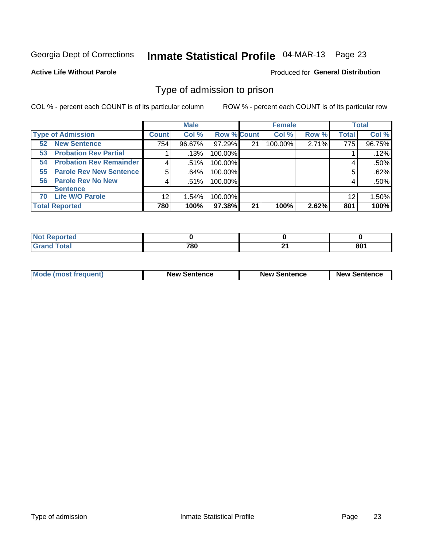# Inmate Statistical Profile 04-MAR-13 Page 23

**Active Life Without Parole** 

Produced for General Distribution

### Type of admission to prison

COL % - percent each COUNT is of its particular column

|                                      |              | <b>Male</b> |                    |    | <b>Female</b> |       |              | <b>Total</b> |
|--------------------------------------|--------------|-------------|--------------------|----|---------------|-------|--------------|--------------|
| <b>Type of Admission</b>             | <b>Count</b> | Col %       | <b>Row % Count</b> |    | Col %         | Row % | <b>Total</b> | Col %        |
| <b>New Sentence</b><br>52            | 754          | 96.67%      | 97.29%             | 21 | 100.00%       | 2.71% | 775          | 96.75%       |
| <b>Probation Rev Partial</b><br>53   |              | .13%        | 100.00%            |    |               |       |              | .12%         |
| <b>Probation Rev Remainder</b><br>54 |              | .51%        | 100.00%            |    |               |       | 4            | .50%         |
| <b>Parole Rev New Sentence</b><br>55 | 5            | .64%        | 100.00%            |    |               |       | 5            | .62%         |
| <b>Parole Rev No New</b><br>56       | 4            | .51%        | 100.00%            |    |               |       | 4            | .50%         |
| <b>Sentence</b>                      |              |             |                    |    |               |       |              |              |
| <b>Life W/O Parole</b><br>70         | 12           | 1.54%       | 100.00%            |    |               |       | 12           | 1.50%        |
| <b>Total Reported</b>                | 780          | 100%        | 97.38%             | 21 | 100%          | 2.62% | 801          | 100%         |

| <b>Reported</b><br><b>NOT</b> |     |     |                |
|-------------------------------|-----|-----|----------------|
| <b>cotal</b>                  | 700 | . . | $0^{\text{A}}$ |
| $\sim$                        | οu  | - 1 | . υυ           |

| <b>Mode (most frequent)</b> | <b>New Sentence</b> | <b>New Sentence</b> | <b>New Sentence</b> |
|-----------------------------|---------------------|---------------------|---------------------|
|                             |                     |                     |                     |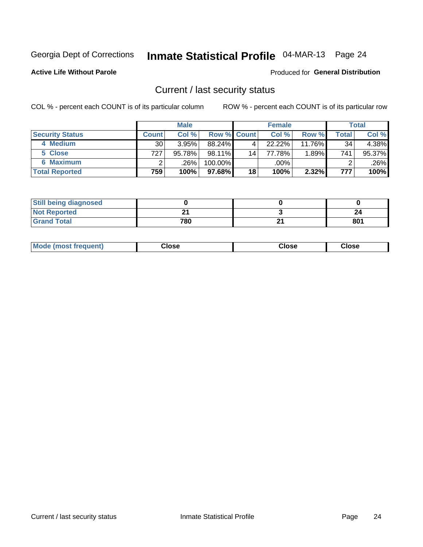# Inmate Statistical Profile 04-MAR-13 Page 24

**Active Life Without Parole** 

#### **Produced for General Distribution**

### Current / last security status

COL % - percent each COUNT is of its particular column

|                        | <b>Male</b>     |         |                    | <b>Female</b>   |        |          | <b>Total</b> |        |
|------------------------|-----------------|---------|--------------------|-----------------|--------|----------|--------------|--------|
| <b>Security Status</b> | <b>Count</b>    | Col %   | <b>Row % Count</b> |                 | Col %  | Row %    | Total        | Col %  |
| 4 Medium               | 30 <sub>1</sub> | 3.95%   | 88.24%             | 4               | 22.22% | 11.76%   | 34           | 4.38%  |
| 5 Close                | 727             | 95.78%  | 98.11%             | 14 <sub>1</sub> | 77.78% | $1.89\%$ | 741          | 95.37% |
| <b>6 Maximum</b>       |                 | $.26\%$ | 100.00%            |                 | .00%   |          |              | .26%   |
| <b>Total Reported</b>  | 759             | 100%    | 97.68%             | 18              | 100%   | 2.32%    | 777          | 100%   |

| <b>Still being diagnosed</b> |     |   |     |
|------------------------------|-----|---|-----|
| <b>Not Reported</b>          | ົ   |   | 24  |
| <b>Grand Total</b>           | 780 | ົ | 801 |

| Mode (most frequent) | Close | Close | <b>Close</b> |
|----------------------|-------|-------|--------------|
|                      |       |       |              |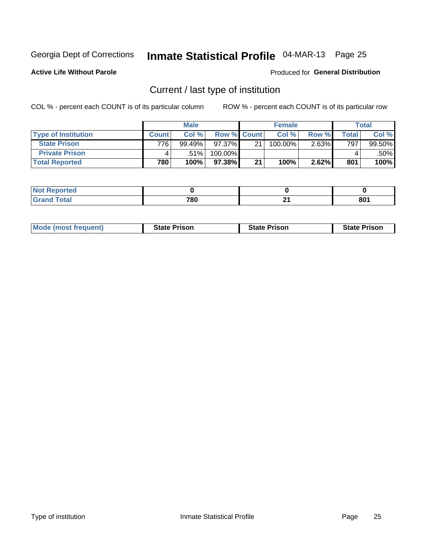# Inmate Statistical Profile 04-MAR-13 Page 25

**Active Life Without Parole** 

Produced for General Distribution

# Current / last type of institution

COL % - percent each COUNT is of its particular column

|                            |              | <b>Male</b> |                    |    | <b>Female</b> |       |              | <b>Total</b> |
|----------------------------|--------------|-------------|--------------------|----|---------------|-------|--------------|--------------|
| <b>Type of Institution</b> | <b>Count</b> | Col %       | <b>Row % Count</b> |    | Col %         | Row % | <b>Total</b> | Col %        |
| <b>State Prison</b>        | 776          | 99.49%      | $97.37\%$          | 21 | 100.00%       | 2.63% | 797          | 99.50%       |
| <b>Private Prison</b>      |              | $.51\%$     | 100.00%            |    |               |       |              | .50%         |
| <b>Total Reported</b>      | 780          | 100%        | $97.38\%$          | 21 | 100%          | 2.62% | 801          | 100%         |

| .<br>τeα |     |     |     |
|----------|-----|-----|-----|
| otal     | 700 | п.  | on. |
|          | ⊬o∪ | - - | ου  |

| <b>Mode (most frequent)</b> | <b>State Prison</b> | <b>State Prison</b> | <b>State Prison</b> |
|-----------------------------|---------------------|---------------------|---------------------|
|                             |                     |                     |                     |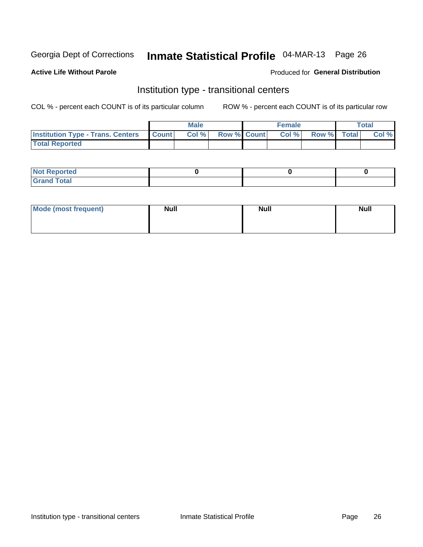# Inmate Statistical Profile 04-MAR-13 Page 26

#### **Active Life Without Parole**

#### Produced for General Distribution

### Institution type - transitional centers

COL % - percent each COUNT is of its particular column

|                                                | Male  |                    | <b>Female</b> |                   | Total |
|------------------------------------------------|-------|--------------------|---------------|-------------------|-------|
| <b>Institution Type - Trans. Centers Count</b> | Col % | <b>Row % Count</b> |               | Col % Row % Total | Col % |
| <b>Total Reported</b>                          |       |                    |               |                   |       |

| <b>Reported</b><br><b>NOT</b><br>$\sim$            |  |  |
|----------------------------------------------------|--|--|
| $f$ $f \circ f \circ f$<br>$C = 1$<br><b>TULAI</b> |  |  |

| Mode (most frequent) | <b>Null</b> | <b>Null</b> | <b>Null</b> |
|----------------------|-------------|-------------|-------------|
|                      |             |             |             |
|                      |             |             |             |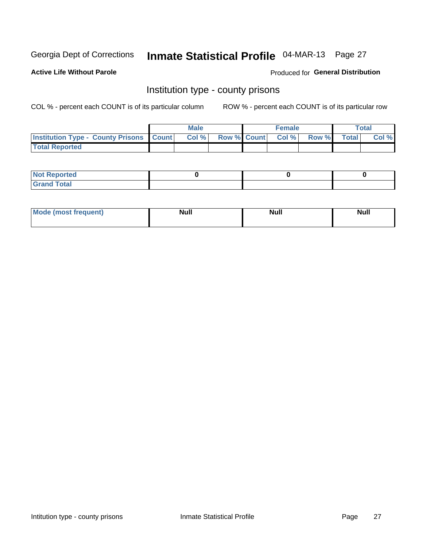# Inmate Statistical Profile 04-MAR-13 Page 27

**Active Life Without Parole** 

**Produced for General Distribution** 

### Institution type - county prisons

COL % - percent each COUNT is of its particular column

|                                                    | <b>Male</b> |  | <b>Female</b>            |             | <b>Total</b> |
|----------------------------------------------------|-------------|--|--------------------------|-------------|--------------|
| <b>Institution Type - County Prisons   Count  </b> | Col %       |  | <b>Row % Count Col %</b> | Row % Total | Col %        |
| <b>Total Reported</b>                              |             |  |                          |             |              |

| <b>Not Reported</b>         |  |  |
|-----------------------------|--|--|
| <b>Total</b><br>-<br>______ |  |  |

| <b>Mode</b>      | <b>Null</b> | <b>Null</b> | <b>Null</b> |
|------------------|-------------|-------------|-------------|
| (most freauent). |             |             |             |
|                  |             |             |             |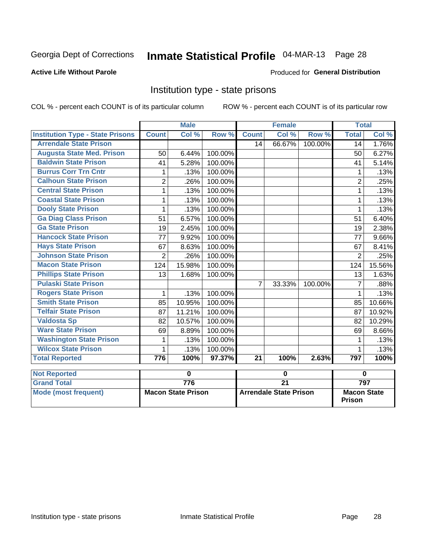# Inmate Statistical Profile 04-MAR-13 Page 28

#### **Active Life Without Parole**

#### Produced for General Distribution

### Institution type - state prisons

COL % - percent each COUNT is of its particular column

|                                         |                | <b>Male</b> |         |                 | <b>Female</b> |         | <b>Total</b>   |        |
|-----------------------------------------|----------------|-------------|---------|-----------------|---------------|---------|----------------|--------|
| <b>Institution Type - State Prisons</b> | <b>Count</b>   | Col %       | Row %   | <b>Count</b>    | Col %         | Row %   | <b>Total</b>   | Col %  |
| <b>Arrendale State Prison</b>           |                |             |         | 14              | 66.67%        | 100.00% | 14             | 1.76%  |
| <b>Augusta State Med. Prison</b>        | 50             | 6.44%       | 100.00% |                 |               |         | 50             | 6.27%  |
| <b>Baldwin State Prison</b>             | 41             | 5.28%       | 100.00% |                 |               |         | 41             | 5.14%  |
| <b>Burrus Corr Trn Cntr</b>             | 1              | .13%        | 100.00% |                 |               |         | 1              | .13%   |
| <b>Calhoun State Prison</b>             | $\overline{2}$ | .26%        | 100.00% |                 |               |         | $\overline{2}$ | .25%   |
| <b>Central State Prison</b>             | 1              | .13%        | 100.00% |                 |               |         | 1              | .13%   |
| <b>Coastal State Prison</b>             | 1              | .13%        | 100.00% |                 |               |         | 1              | .13%   |
| <b>Dooly State Prison</b>               | 1              | .13%        | 100.00% |                 |               |         | 1              | .13%   |
| <b>Ga Diag Class Prison</b>             | 51             | 6.57%       | 100.00% |                 |               |         | 51             | 6.40%  |
| <b>Ga State Prison</b>                  | 19             | 2.45%       | 100.00% |                 |               |         | 19             | 2.38%  |
| <b>Hancock State Prison</b>             | 77             | 9.92%       | 100.00% |                 |               |         | 77             | 9.66%  |
| <b>Hays State Prison</b>                | 67             | 8.63%       | 100.00% |                 |               |         | 67             | 8.41%  |
| <b>Johnson State Prison</b>             | $\overline{2}$ | .26%        | 100.00% |                 |               |         | 2              | .25%   |
| <b>Macon State Prison</b>               | 124            | 15.98%      | 100.00% |                 |               |         | 124            | 15.56% |
| <b>Phillips State Prison</b>            | 13             | 1.68%       | 100.00% |                 |               |         | 13             | 1.63%  |
| <b>Pulaski State Prison</b>             |                |             |         | $\overline{7}$  | 33.33%        | 100.00% | 7              | .88%   |
| <b>Rogers State Prison</b>              | $\mathbf{1}$   | .13%        | 100.00% |                 |               |         | 1              | .13%   |
| <b>Smith State Prison</b>               | 85             | 10.95%      | 100.00% |                 |               |         | 85             | 10.66% |
| <b>Telfair State Prison</b>             | 87             | 11.21%      | 100.00% |                 |               |         | 87             | 10.92% |
| <b>Valdosta Sp</b>                      | 82             | 10.57%      | 100.00% |                 |               |         | 82             | 10.29% |
| <b>Ware State Prison</b>                | 69             | 8.89%       | 100.00% |                 |               |         | 69             | 8.66%  |
| <b>Washington State Prison</b>          | 1              | .13%        | 100.00% |                 |               |         | 1              | .13%   |
| <b>Wilcox State Prison</b>              | 1              | .13%        | 100.00% |                 |               |         |                | .13%   |
| <b>Total Reported</b>                   | 776            | 100%        | 97.37%  | $\overline{21}$ | 100%          | 2.63%   | 797            | 100%   |
| <b>Not Reported</b>                     |                | 0           |         |                 | $\mathbf 0$   |         | $\bf{0}$       |        |

| <b>I</b> NOT Reported |                           |                               |                                     |
|-----------------------|---------------------------|-------------------------------|-------------------------------------|
| <b>Grand Total</b>    | 776                       |                               | 797                                 |
| Mode (most frequent)  | <b>Macon State Prison</b> | <b>Arrendale State Prison</b> | <b>Macon State</b><br><b>Prison</b> |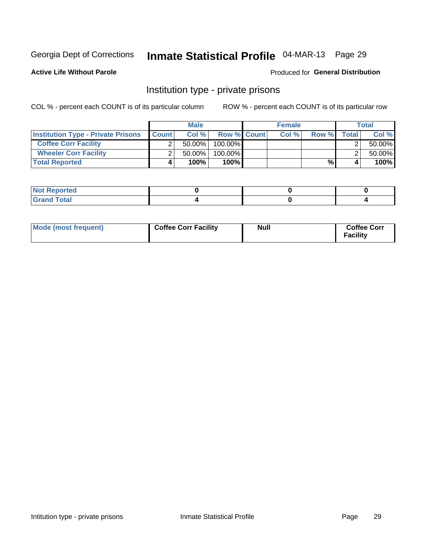# Inmate Statistical Profile 04-MAR-13 Page 29

**Produced for General Distribution** 

#### **Active Life Without Parole**

### Institution type - private prisons

COL % - percent each COUNT is of its particular column

|                                           |              | <b>Male</b> |                    | <b>Female</b> |       |       | <b>Total</b> |
|-------------------------------------------|--------------|-------------|--------------------|---------------|-------|-------|--------------|
| <b>Institution Type - Private Prisons</b> | <b>Count</b> | Col%        | <b>Row % Count</b> | Col %         | Row % | Total | Col %        |
| <b>Coffee Corr Facility</b>               |              | $50.00\%$   | $100.00\%$         |               |       |       | 50.00%       |
| <b>Wheeler Corr Facility</b>              |              | 50.00%      | 100.00%            |               |       |       | 50.00%       |
| <b>Total Reported</b>                     | 4            | 100%        | 100%               |               | %     |       | 100%         |

| <b>Not Reported</b>   |  |  |
|-----------------------|--|--|
| <b>Total</b><br>_____ |  |  |

| Mode (most frequent) | <b>Coffee Corr Facility</b> | <b>Null</b> | <b>Coffee Corr</b><br><b>Facility</b> |
|----------------------|-----------------------------|-------------|---------------------------------------|
|----------------------|-----------------------------|-------------|---------------------------------------|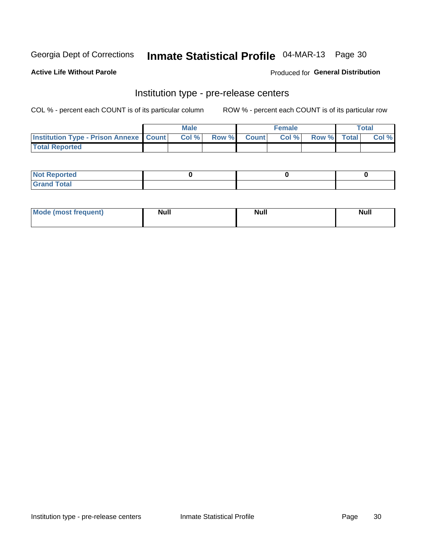# Inmate Statistical Profile 04-MAR-13 Page 30

**Active Life Without Parole** 

Produced for General Distribution

# Institution type - pre-release centers

COL % - percent each COUNT is of its particular column

|                                                   | <b>Male</b> |             | <b>Female</b> |             | <b>Total</b> |
|---------------------------------------------------|-------------|-------------|---------------|-------------|--------------|
| <b>Institution Type - Prison Annexe   Count  </b> | Col%        | Row % Count | Col%          | Row % Total | Col %        |
| <b>Total Reported</b>                             |             |             |               |             |              |

| <b>Reported</b><br>I NOT |  |  |
|--------------------------|--|--|
| <b>Total</b><br>$C$ ren  |  |  |

| <b>Mo</b><br>frequent)<br>(most | <b>Null</b> | <b>Null</b> | <b>Null</b> |
|---------------------------------|-------------|-------------|-------------|
|                                 |             |             |             |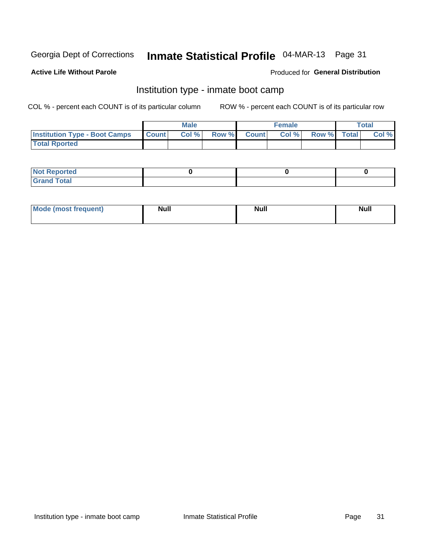# Inmate Statistical Profile 04-MAR-13 Page 31

#### **Active Life Without Parole**

#### **Produced for General Distribution**

### Institution type - inmate boot camp

COL % - percent each COUNT is of its particular column

|                                      |                  | <b>Male</b> |              |              | <b>Female</b> |             | <b>Total</b> |
|--------------------------------------|------------------|-------------|--------------|--------------|---------------|-------------|--------------|
| <b>Institution Type - Boot Camps</b> | <b>I</b> Count I | Col %       | <b>Row %</b> | <b>Count</b> | Col %         | Row % Total | Col %        |
| <b>Total Rported</b>                 |                  |             |              |              |               |             |              |

| <b>Not Reported</b> |  |  |
|---------------------|--|--|
| <b>Total</b><br>Cro |  |  |

| <b>I Mode (most frequent)</b> | <b>Null</b> | <b>Null</b> | <b>Null</b> |
|-------------------------------|-------------|-------------|-------------|
|                               |             |             |             |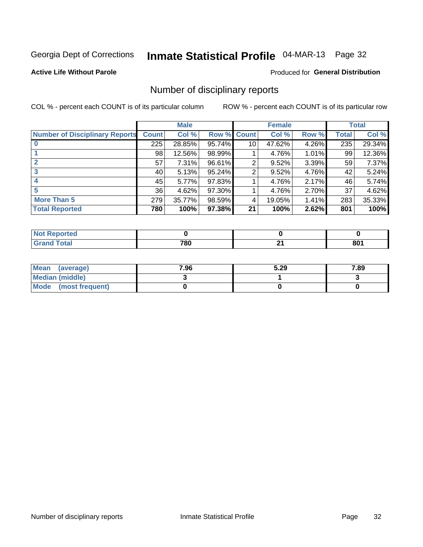# Inmate Statistical Profile 04-MAR-13 Page 32

**Active Life Without Parole** 

#### **Produced for General Distribution**

### Number of disciplinary reports

COL % - percent each COUNT is of its particular column

|                                       | <b>Male</b>  |          | <b>Female</b> |                 |        | <b>Total</b> |              |        |
|---------------------------------------|--------------|----------|---------------|-----------------|--------|--------------|--------------|--------|
| <b>Number of Disciplinary Reports</b> | <b>Count</b> | Col %    | Row %         | <b>Count</b>    | Col %  | Row %        | <b>Total</b> | Col %  |
|                                       | 225          | 28.85%   | 95.74%        | 10 <sup>1</sup> | 47.62% | 4.26%        | 235          | 29.34% |
|                                       | 98           | 12.56%   | 98.99%        |                 | 4.76%  | $1.01\%$     | 99           | 12.36% |
| $\mathbf{2}$                          | 57           | $7.31\%$ | 96.61%        | 2               | 9.52%  | 3.39%        | 59           | 7.37%  |
| 3                                     | 40           | 5.13%    | 95.24%        | 2               | 9.52%  | 4.76%        | 42           | 5.24%  |
|                                       | 45           | $5.77\%$ | 97.83%        |                 | 4.76%  | 2.17%        | 46           | 5.74%  |
| 5                                     | 36           | 4.62%    | 97.30%        |                 | 4.76%  | 2.70%        | 37           | 4.62%  |
| <b>More Than 5</b>                    | 279          | 35.77%   | 98.59%        | 4               | 19.05% | 1.41%        | 283          | 35.33% |
| <b>Total Reported</b>                 | 780          | 100%     | 97.38%        | 21              | 100%   | 2.62%        | 801          | 100%   |

| <b>prted</b><br>NOT |     |    |                 |
|---------------------|-----|----|-----------------|
| ⊺otal               | 780 | п. | 80 <sub>1</sub> |

| Mean (average)       | 7.96 | 5.29 | 7.89 |
|----------------------|------|------|------|
| Median (middle)      |      |      |      |
| Mode (most frequent) |      |      |      |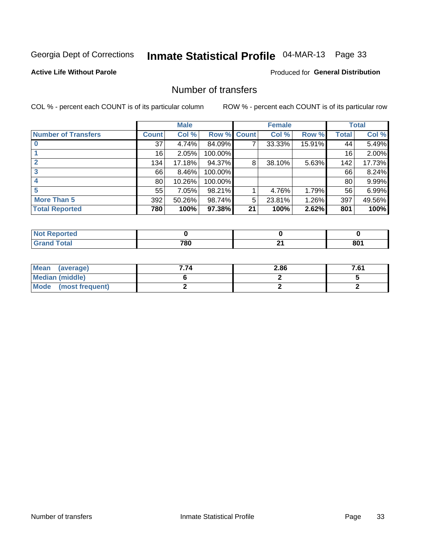# Inmate Statistical Profile 04-MAR-13 Page 33

#### **Active Life Without Parole**

#### **Produced for General Distribution**

### Number of transfers

COL % - percent each COUNT is of its particular column

|                            |              | <b>Male</b> |             |    | <b>Female</b> |        |              | <b>Total</b> |
|----------------------------|--------------|-------------|-------------|----|---------------|--------|--------------|--------------|
| <b>Number of Transfers</b> | <b>Count</b> | Col %       | Row % Count |    | Col %         | Row %  | <b>Total</b> | Col %        |
|                            | 37           | 4.74%       | 84.09%      | 7  | 33.33%        | 15.91% | 44           | 5.49%        |
|                            | 16           | 2.05%       | 100.00%     |    |               |        | 16           | 2.00%        |
| $\mathbf{2}$               | 134          | 17.18%      | 94.37%      | 8  | 38.10%        | 5.63%  | 142          | 17.73%       |
| 3                          | 66           | 8.46%       | 100.00%     |    |               |        | 66           | 8.24%        |
|                            | 80           | 10.26%      | 100.00%     |    |               |        | 80           | 9.99%        |
| 5                          | 55           | 7.05%       | 98.21%      |    | 4.76%         | 1.79%  | 56           | 6.99%        |
| <b>More Than 5</b>         | 392          | 50.26%      | 98.74%      | 5  | 23.81%        | 1.26%  | 397          | 49.56%       |
| <b>Total Reported</b>      | 780          | 100%        | 97.38%      | 21 | 100%          | 2.62%  | 801          | 100%         |

| <b>prted</b><br>NOT |     |    |                 |
|---------------------|-----|----|-----------------|
| ⊺otal               | 780 | п. | 80 <sub>1</sub> |

| Mean (average)       | 7.74 | 2.86 | 7.61 |
|----------------------|------|------|------|
| Median (middle)      |      |      |      |
| Mode (most frequent) |      |      |      |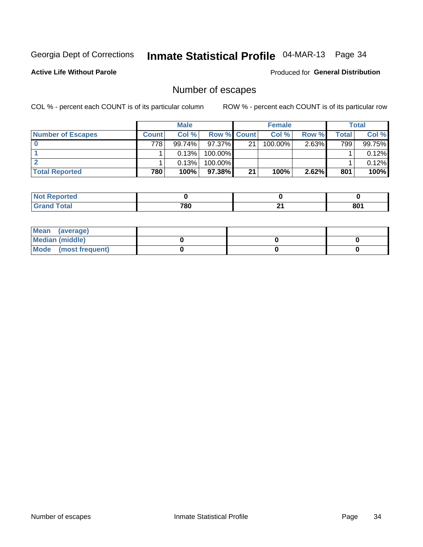# Inmate Statistical Profile 04-MAR-13 Page 34

**Active Life Without Parole** 

**Produced for General Distribution** 

# Number of escapes

COL % - percent each COUNT is of its particular column

|                          |              | <b>Male</b> |                    |    | <b>Female</b> |          |       | Total  |
|--------------------------|--------------|-------------|--------------------|----|---------------|----------|-------|--------|
| <b>Number of Escapes</b> | <b>Count</b> | Col%        | <b>Row % Count</b> |    | Col %         | Row %    | Total | Col %  |
|                          | 778          | 99.74%      | 97.37% I           | 21 | $100.00\%$    | $2.63\%$ | 799   | 99.75% |
|                          |              | 0.13%       | 100.00%            |    |               |          |       | 0.12%  |
|                          |              | 0.13%       | $100.00\%$         |    |               |          |       | 0.12%  |
| <b>Total Reported</b>    | 780          | 100%        | $97.38\%$          | 21 | 100%          | 2.62%    | 801   | 100%   |

| prted<br><b>AUT REDOM</b> |     |           |     |
|---------------------------|-----|-----------|-----|
| <b>Total</b><br>' Grand   | 780 | л.<br>- - | 801 |

| Mean (average)       |  |  |
|----------------------|--|--|
| Median (middle)      |  |  |
| Mode (most frequent) |  |  |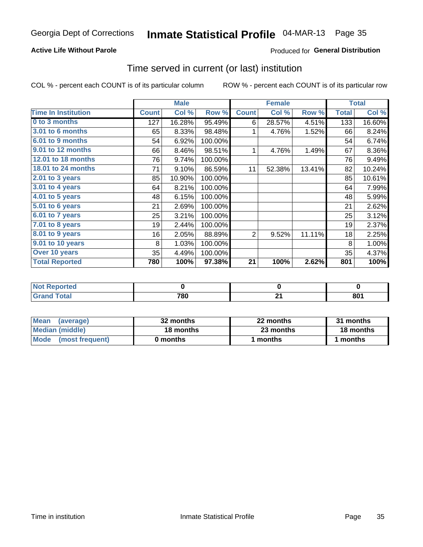# Inmate Statistical Profile 04-MAR-13 Page 35

#### **Active Life Without Parole**

#### **Produced for General Distribution**

### Time served in current (or last) institution

COL % - percent each COUNT is of its particular column

|                            |              | <b>Male</b> |         |              | <b>Female</b> |        |              | <b>Total</b> |
|----------------------------|--------------|-------------|---------|--------------|---------------|--------|--------------|--------------|
| <b>Time In Institution</b> | <b>Count</b> | Col %       | Row %   | <b>Count</b> | Col %         | Row %  | <b>Total</b> | Col %        |
| 0 to 3 months              | 127          | 16.28%      | 95.49%  | 6            | 28.57%        | 4.51%  | 133          | 16.60%       |
| 3.01 to 6 months           | 65           | 8.33%       | 98.48%  | 1            | 4.76%         | 1.52%  | 66           | 8.24%        |
| 6.01 to 9 months           | 54           | 6.92%       | 100.00% |              |               |        | 54           | 6.74%        |
| 9.01 to 12 months          | 66           | 8.46%       | 98.51%  | 1            | 4.76%         | 1.49%  | 67           | 8.36%        |
| 12.01 to 18 months         | 76           | 9.74%       | 100.00% |              |               |        | 76           | 9.49%        |
| 18.01 to 24 months         | 71           | 9.10%       | 86.59%  | 11           | 52.38%        | 13.41% | 82           | 10.24%       |
| 2.01 to 3 years            | 85           | 10.90%      | 100.00% |              |               |        | 85           | 10.61%       |
| $3.01$ to 4 years          | 64           | 8.21%       | 100.00% |              |               |        | 64           | 7.99%        |
| 4.01 to 5 years            | 48           | 6.15%       | 100.00% |              |               |        | 48           | 5.99%        |
| 5.01 to 6 years            | 21           | 2.69%       | 100.00% |              |               |        | 21           | 2.62%        |
| $6.01$ to 7 years          | 25           | 3.21%       | 100.00% |              |               |        | 25           | 3.12%        |
| $7.01$ to 8 years          | 19           | 2.44%       | 100.00% |              |               |        | 19           | 2.37%        |
| 8.01 to 9 years            | 16           | 2.05%       | 88.89%  | 2            | 9.52%         | 11.11% | 18           | 2.25%        |
| 9.01 to 10 years           | 8            | 1.03%       | 100.00% |              |               |        | 8            | 1.00%        |
| Over 10 years              | 35           | 4.49%       | 100.00% |              |               |        | 35           | 4.37%        |
| <b>Total Reported</b>      | 780          | 100%        | 97.38%  | 21           | 100%          | 2.62%  | 801          | 100%         |

| orreo |     |           |
|-------|-----|-----------|
|       | 780 | nn.<br>υu |

| <b>Mean</b><br>(average) | 32 months | 22 months | 31 months |
|--------------------------|-----------|-----------|-----------|
| Median (middle)          | 18 months | 23 months | 18 months |
| Mode (most frequent)     | 0 months  | 1 months  | 1 months  |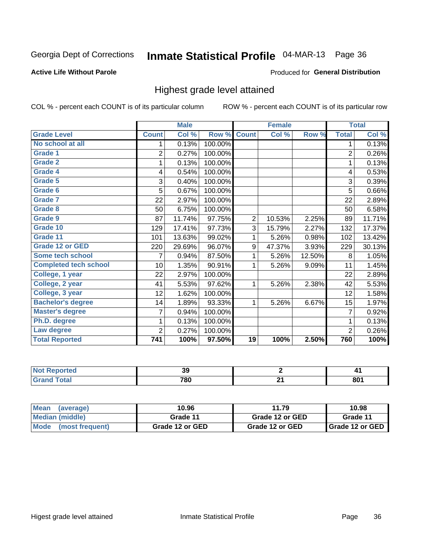# Inmate Statistical Profile 04-MAR-13 Page 36

#### **Active Life Without Parole**

#### Produced for General Distribution

### Highest grade level attained

COL % - percent each COUNT is of its particular column

|                              |                | <b>Male</b> |         |                 | <b>Female</b> |        |                | <b>Total</b> |
|------------------------------|----------------|-------------|---------|-----------------|---------------|--------|----------------|--------------|
| <b>Grade Level</b>           | <b>Count</b>   | Col %       | Row %   | <b>Count</b>    | Col %         | Row %  | <b>Total</b>   | Col %        |
| No school at all             | 1              | 0.13%       | 100.00% |                 |               |        | 1              | 0.13%        |
| <b>Grade 1</b>               | $\overline{2}$ | 0.27%       | 100.00% |                 |               |        | $\overline{2}$ | 0.26%        |
| <b>Grade 2</b>               | 1              | 0.13%       | 100.00% |                 |               |        | 1              | 0.13%        |
| Grade 4                      | 4              | 0.54%       | 100.00% |                 |               |        | 4              | 0.53%        |
| Grade 5                      | 3              | 0.40%       | 100.00% |                 |               |        | 3              | 0.39%        |
| Grade 6                      | 5              | 0.67%       | 100.00% |                 |               |        | 5              | 0.66%        |
| <b>Grade 7</b>               | 22             | 2.97%       | 100.00% |                 |               |        | 22             | 2.89%        |
| <b>Grade 8</b>               | 50             | 6.75%       | 100.00% |                 |               |        | 50             | 6.58%        |
| <b>Grade 9</b>               | 87             | 11.74%      | 97.75%  | $\overline{2}$  | 10.53%        | 2.25%  | 89             | 11.71%       |
| Grade 10                     | 129            | 17.41%      | 97.73%  | 3               | 15.79%        | 2.27%  | 132            | 17.37%       |
| Grade 11                     | 101            | 13.63%      | 99.02%  | 1               | 5.26%         | 0.98%  | 102            | 13.42%       |
| <b>Grade 12 or GED</b>       | 220            | 29.69%      | 96.07%  | 9               | 47.37%        | 3.93%  | 229            | 30.13%       |
| <b>Some tech school</b>      | 7              | 0.94%       | 87.50%  | 1               | 5.26%         | 12.50% | 8              | 1.05%        |
| <b>Completed tech school</b> | 10             | 1.35%       | 90.91%  | 1               | 5.26%         | 9.09%  | 11             | 1.45%        |
| College, 1 year              | 22             | 2.97%       | 100.00% |                 |               |        | 22             | 2.89%        |
| College, 2 year              | 41             | 5.53%       | 97.62%  | 1               | 5.26%         | 2.38%  | 42             | 5.53%        |
| College, 3 year              | 12             | 1.62%       | 100.00% |                 |               |        | 12             | 1.58%        |
| <b>Bachelor's degree</b>     | 14             | 1.89%       | 93.33%  | 1               | 5.26%         | 6.67%  | 15             | 1.97%        |
| <b>Master's degree</b>       | 7              | 0.94%       | 100.00% |                 |               |        | $\overline{7}$ | 0.92%        |
| Ph.D. degree                 | 1              | 0.13%       | 100.00% |                 |               |        | 1              | 0.13%        |
| Law degree                   | $\overline{2}$ | 0.27%       | 100.00% |                 |               |        | $\overline{2}$ | 0.26%        |
| <b>Total Reported</b>        | 741            | 100%        | 97.50%  | $\overline{19}$ | 100%          | 2.50%  | 760            | 100%         |

| <b>REDOITED</b> | აყ  | . .<br>.        |
|-----------------|-----|-----------------|
| <b>otal</b>     | 780 | 80 <sub>1</sub> |

| <b>Mean</b><br>(average) | 10.96<br>11.79  |                 | 10.98             |  |
|--------------------------|-----------------|-----------------|-------------------|--|
| <b>Median (middle)</b>   | Grade 11        | Grade 12 or GED | Grade 11          |  |
| Mode (most frequent)     | Grade 12 or GED | Grade 12 or GED | I Grade 12 or GED |  |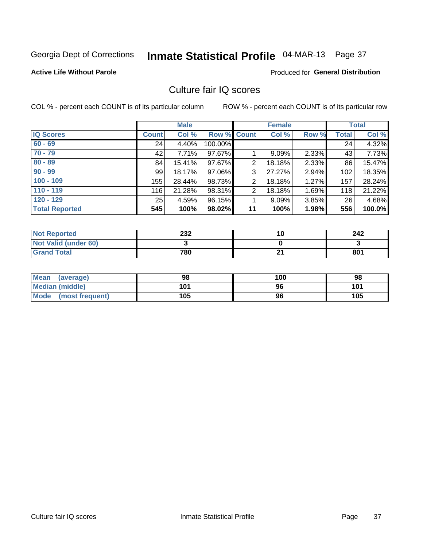# Inmate Statistical Profile 04-MAR-13 Page 37

#### **Active Life Without Parole**

#### **Produced for General Distribution**

### Culture fair IQ scores

COL % - percent each COUNT is of its particular column

|                       |         | <b>Male</b> |             |    | <b>Female</b> |          |              | <b>Total</b> |
|-----------------------|---------|-------------|-------------|----|---------------|----------|--------------|--------------|
| <b>IQ Scores</b>      | Count l | Col %       | Row % Count |    | Col %         | Row %    | <b>Total</b> | Col %        |
| $60 - 69$             | 24      | 4.40%       | 100.00%     |    |               |          | 24           | 4.32%        |
| $70 - 79$             | 42      | 7.71%       | 97.67%      |    | $9.09\%$      | 2.33%    | 43           | 7.73%        |
| $80 - 89$             | 84      | 15.41%      | 97.67%      | 2  | 18.18%        | 2.33%    | 86           | 15.47%       |
| $90 - 99$             | 99      | 18.17%      | 97.06%      | 3  | 27.27%        | $2.94\%$ | 102          | 18.35%       |
| $100 - 109$           | 155     | 28.44%      | 98.73%      | 2  | 18.18%        | 1.27%    | 157          | 28.24%       |
| $110 - 119$           | 116     | 21.28%      | 98.31%      | 2  | 18.18%        | 1.69%    | 118          | 21.22%       |
| $120 - 129$           | 25      | 4.59%       | 96.15%      |    | 9.09%         | $3.85\%$ | 26           | 4.68%        |
| <b>Total Reported</b> | 545     | 100%        | 98.02%      | 11 | 100%          | 1.98%    | 556          | 100.0%       |

| <b>Not Reported</b>         | 232 | 10 | 242 |
|-----------------------------|-----|----|-----|
| <b>Not Valid (under 60)</b> |     |    |     |
| <b>Grand Total</b>          | 780 | ົ  | 801 |

| <b>Mean</b><br>(average)       | 98  | 100 | 98  |
|--------------------------------|-----|-----|-----|
| <b>Median (middle)</b>         | 101 | 96  | 101 |
| <b>Mode</b><br>(most frequent) | 105 | 96  | 105 |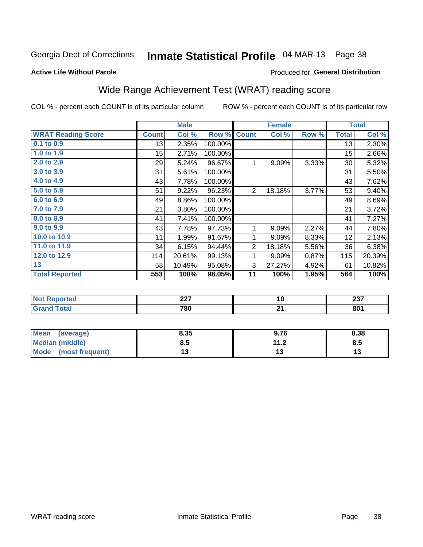# Inmate Statistical Profile 04-MAR-13 Page 38

#### **Active Life Without Parole**

### **Produced for General Distribution**

## Wide Range Achievement Test (WRAT) reading score

COL % - percent each COUNT is of its particular column

|                           |                 | <b>Male</b> |         |                | <b>Female</b> |       |              | <b>Total</b> |
|---------------------------|-----------------|-------------|---------|----------------|---------------|-------|--------------|--------------|
| <b>WRAT Reading Score</b> | <b>Count</b>    | Col %       | Row %   | <b>Count</b>   | Col %         | Row % | <b>Total</b> | Col %        |
| 0.1 to 0.9                | 13              | 2.35%       | 100.00% |                |               |       | 13           | 2.30%        |
| 1.0 to 1.9                | 15 <sub>1</sub> | 2.71%       | 100.00% |                |               |       | 15           | 2.66%        |
| 2.0 to 2.9                | 29              | 5.24%       | 96.67%  | 1              | 9.09%         | 3.33% | 30           | 5.32%        |
| 3.0 to 3.9                | 31              | 5.61%       | 100.00% |                |               |       | 31           | 5.50%        |
| 4.0 to 4.9                | 43              | 7.78%       | 100.00% |                |               |       | 43           | 7.62%        |
| 5.0 to 5.9                | 51              | 9.22%       | 96.23%  | 2              | 18.18%        | 3.77% | 53           | 9.40%        |
| 6.0 to 6.9                | 49              | 8.86%       | 100.00% |                |               |       | 49           | 8.69%        |
| 7.0 to 7.9                | 21              | 3.80%       | 100.00% |                |               |       | 21           | 3.72%        |
| 8.0 to 8.9                | 41              | 7.41%       | 100.00% |                |               |       | 41           | 7.27%        |
| 9.0 to 9.9                | 43              | 7.78%       | 97.73%  | 1              | 9.09%         | 2.27% | 44           | 7.80%        |
| 10.0 to 10.9              | 11              | 1.99%       | 91.67%  | 1              | 9.09%         | 8.33% | 12           | 2.13%        |
| 11.0 to $11.9$            | 34              | 6.15%       | 94.44%  | $\overline{2}$ | 18.18%        | 5.56% | 36           | 6.38%        |
| 12.0 to 12.9              | 114             | 20.61%      | 99.13%  | 1              | 9.09%         | 0.87% | 115          | 20.39%       |
| 13                        | 58              | 10.49%      | 95.08%  | 3              | 27.27%        | 4.92% | 61           | 10.82%       |
| <b>Total Reported</b>     | 553             | 100%        | 98.05%  | 11             | 100%          | 1.95% | 564          | 100%         |
|                           |                 |             |         |                |               |       |              |              |

| <b>Not Reported</b>                           | $\sim$<br>LL I | יי       | $\sim$<br>2J I         |
|-----------------------------------------------|----------------|----------|------------------------|
| <b>Total</b><br><b>Grar</b><br><b>U</b> ldilu | 780            | ີ<br>- - | $0^{\text{A}}$<br>ου ι |

| <b>Mean</b><br>(average)       | 8.35 | 9.76                | 8.38 |
|--------------------------------|------|---------------------|------|
| Median (middle)                | ช. ა | 112<br>. . <u>.</u> | Ծ.J  |
| <b>Mode</b><br>(most frequent) |      |                     | יי   |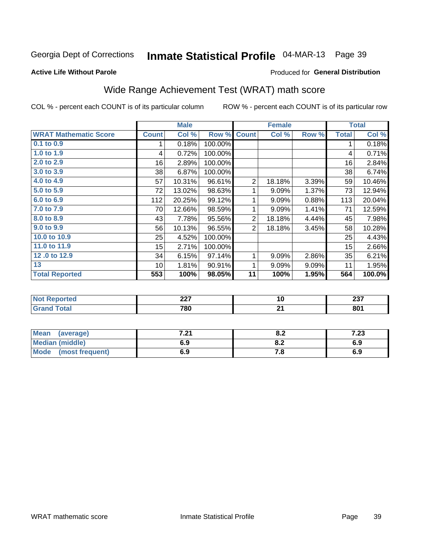# Inmate Statistical Profile 04-MAR-13 Page 39

Produced for General Distribution

#### **Active Life Without Parole**

## Wide Range Achievement Test (WRAT) math score

COL % - percent each COUNT is of its particular column

|                              |                  | <b>Male</b> |         |                  | <b>Female</b> |       |              | <b>Total</b> |
|------------------------------|------------------|-------------|---------|------------------|---------------|-------|--------------|--------------|
| <b>WRAT Mathematic Score</b> | <b>Count</b>     | Col %       | Row %   | <b>Count</b>     | Col %         | Row % | <b>Total</b> | Col %        |
| 0.1 to 0.9                   | 1                | 0.18%       | 100.00% |                  |               |       | 1            | 0.18%        |
| 1.0 to 1.9                   | 4                | 0.72%       | 100.00% |                  |               |       | 4            | 0.71%        |
| 2.0 to 2.9                   | 16               | 2.89%       | 100.00% |                  |               |       | 16           | 2.84%        |
| 3.0 to 3.9                   | 38               | 6.87%       | 100.00% |                  |               |       | 38           | 6.74%        |
| 4.0 to 4.9                   | 57               | 10.31%      | 96.61%  | $\boldsymbol{2}$ | 18.18%        | 3.39% | 59           | 10.46%       |
| 5.0 to 5.9                   | 72               | 13.02%      | 98.63%  | 1                | 9.09%         | 1.37% | 73           | 12.94%       |
| 6.0 to 6.9                   | 112              | 20.25%      | 99.12%  | 1                | 9.09%         | 0.88% | 113          | 20.04%       |
| 7.0 to 7.9                   | 70               | 12.66%      | 98.59%  | 1                | 9.09%         | 1.41% | 71           | 12.59%       |
| 8.0 to 8.9                   | 43               | 7.78%       | 95.56%  | $\overline{c}$   | 18.18%        | 4.44% | 45           | 7.98%        |
| 9.0 to 9.9                   | 56               | 10.13%      | 96.55%  | 2                | 18.18%        | 3.45% | 58           | 10.28%       |
| 10.0 to 10.9                 | 25               | 4.52%       | 100.00% |                  |               |       | 25           | 4.43%        |
| 11.0 to 11.9                 | 15 <sub>15</sub> | 2.71%       | 100.00% |                  |               |       | 15           | 2.66%        |
| 12.0 to 12.9                 | 34               | 6.15%       | 97.14%  | 1                | 9.09%         | 2.86% | 35           | 6.21%        |
| 13                           | 10               | 1.81%       | 90.91%  | 1                | 9.09%         | 9.09% | 11           | 1.95%        |
| <b>Total Reported</b>        | 553              | 100%        | 98.05%  | 11               | 100%          | 1.95% | 564          | 100.0%       |
|                              |                  |             |         |                  |               |       |              |              |
| <b>Not Reported</b>          | 227              |             | 10      |                  |               | 237   |              |              |
| <b>Grand Total</b>           |                  | 780         |         |                  | 21            |       |              | 801          |

| Mean<br>(average)      | 7 74<br>. z i | 0.Z  | 7 72<br>7.ZJ |
|------------------------|---------------|------|--------------|
| <b>Median (middle)</b> | 6.9           | 0.Z  | 6.9          |
| Mode (most frequent)   | 6.9           | 7. O | 6.9          |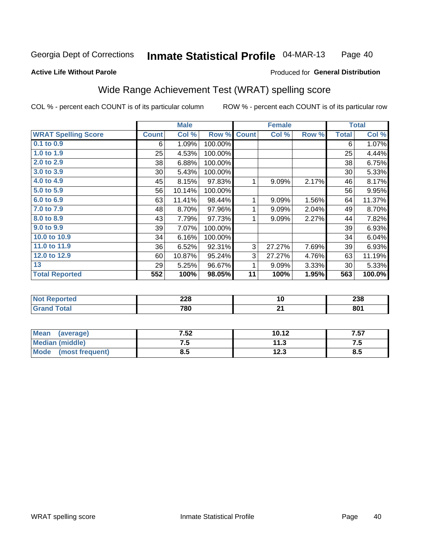#### Inmate Statistical Profile 04-MAR-13 Page 40

#### **Active Life Without Parole**

#### Produced for General Distribution

### Wide Range Achievement Test (WRAT) spelling score

COL % - percent each COUNT is of its particular column

ROW % - percent each COUNT is of its particular row

 $\overline{21}$ 

|                            |              | <b>Male</b> |         | <b>Female</b> |        |       | <b>Total</b> |        |
|----------------------------|--------------|-------------|---------|---------------|--------|-------|--------------|--------|
| <b>WRAT Spelling Score</b> | <b>Count</b> | Col %       | Row %   | <b>Count</b>  | Col %  | Row % | <b>Total</b> | Col %  |
| 0.1 to 0.9                 | 6            | 1.09%       | 100.00% |               |        |       | 6            | 1.07%  |
| 1.0 to 1.9                 | 25           | 4.53%       | 100.00% |               |        |       | 25           | 4.44%  |
| 2.0 to 2.9                 | 38           | 6.88%       | 100.00% |               |        |       | 38           | 6.75%  |
| 3.0 to 3.9                 | 30           | 5.43%       | 100.00% |               |        |       | 30           | 5.33%  |
| 4.0 to 4.9                 | 45           | 8.15%       | 97.83%  | 1             | 9.09%  | 2.17% | 46           | 8.17%  |
| 5.0 to 5.9                 | 56           | 10.14%      | 100.00% |               |        |       | 56           | 9.95%  |
| 6.0 to 6.9                 | 63           | 11.41%      | 98.44%  | 1             | 9.09%  | 1.56% | 64           | 11.37% |
| 7.0 to 7.9                 | 48           | 8.70%       | 97.96%  | 1             | 9.09%  | 2.04% | 49           | 8.70%  |
| 8.0 to 8.9                 | 43           | 7.79%       | 97.73%  | 1             | 9.09%  | 2.27% | 44           | 7.82%  |
| 9.0 to 9.9                 | 39           | 7.07%       | 100.00% |               |        |       | 39           | 6.93%  |
| 10.0 to 10.9               | 34           | 6.16%       | 100.00% |               |        |       | 34           | 6.04%  |
| 11.0 to 11.9               | 36           | 6.52%       | 92.31%  | 3             | 27.27% | 7.69% | 39           | 6.93%  |
| 12.0 to 12.9               | 60           | 10.87%      | 95.24%  | 3             | 27.27% | 4.76% | 63           | 11.19% |
| 13                         | 29           | 5.25%       | 96.67%  | 1             | 9.09%  | 3.33% | 30           | 5.33%  |
| <b>Total Reported</b>      | 552          | 100%        | 98.05%  | 11            | 100%   | 1.95% | 563          | 100.0% |
|                            |              |             |         |               |        |       |              |        |
| <b>Not Reported</b>        |              | 228         |         |               | 10     |       |              | 238    |

| Mean<br>(average)              | 7.52 | 10.12 | 7.57 |
|--------------------------------|------|-------|------|
| <b>Median (middle)</b>         | ن. ا | 11.3  | ن. ا |
| <b>Mode</b><br>(most frequent) | o.J  | 12.3  | ช.ว  |

780

**Grand Total** 

 $801$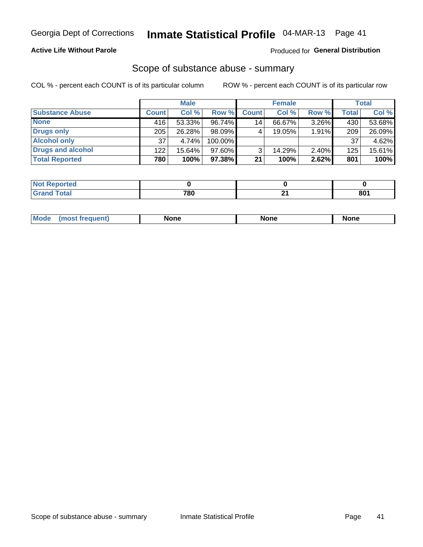#### **Active Life Without Parole**

### **Produced for General Distribution**

### Scope of substance abuse - summary

COL % - percent each COUNT is of its particular column

|                        |              | <b>Male</b> |         |              | <b>Female</b> |          |              | <b>Total</b> |
|------------------------|--------------|-------------|---------|--------------|---------------|----------|--------------|--------------|
| <b>Substance Abuse</b> | <b>Count</b> | Col %       | Row %   | <b>Count</b> | Col %         | Row %    | <b>Total</b> | Col %        |
| <b>None</b>            | 416          | 53.33%      | 96.74%  | 14           | 66.67%        | $3.26\%$ | 430          | 53.68%       |
| <b>Drugs only</b>      | 205          | 26.28%      | 98.09%  |              | 19.05%        | 1.91%    | 209          | 26.09%       |
| <b>Alcohol only</b>    | 37           | 4.74%       | 100.00% |              |               |          | 37           | 4.62%        |
| Drugs and alcohol      | 122          | $15.64\%$   | 97.60%  |              | 14.29%        | $2.40\%$ | 125          | 15.61%       |
| <b>Total Reported</b>  | 780          | 100%        | 97.38%  | 21           | 100%          | 2.62%    | 801          | 100%         |

| <b>Not</b><br><b>Reported</b><br>. |     |     |     |
|------------------------------------|-----|-----|-----|
| <b>Total</b><br><b>Grand</b>       | 700 | . . | 801 |

| <b>Mod</b><br>'one<br>None<br><b>None</b> |
|-------------------------------------------|
|-------------------------------------------|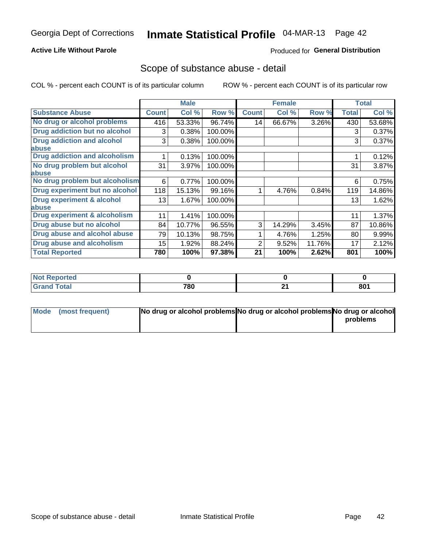#### **Active Life Without Parole**

### **Produced for General Distribution**

### Scope of substance abuse - detail

COL % - percent each COUNT is of its particular column

|                                         |              | <b>Male</b> |         |              | <b>Female</b> |        |              | <b>Total</b> |
|-----------------------------------------|--------------|-------------|---------|--------------|---------------|--------|--------------|--------------|
| <b>Substance Abuse</b>                  | <b>Count</b> | Col %       | Row %   | <b>Count</b> | Col %         | Row %  | <b>Total</b> | Col %        |
| No drug or alcohol problems             | 416          | 53.33%      | 96.74%  | 14           | 66.67%        | 3.26%  | 430          | 53.68%       |
| Drug addiction but no alcohol           | 3            | 0.38%       | 100.00% |              |               |        | 3            | 0.37%        |
| <b>Drug addiction and alcohol</b>       | 3            | 0.38%       | 100.00% |              |               |        | 3            | 0.37%        |
| <b>labuse</b>                           |              |             |         |              |               |        |              |              |
| <b>Drug addiction and alcoholism</b>    |              | 0.13%       | 100.00% |              |               |        |              | 0.12%        |
| No drug problem but alcohol             | 31           | 3.97%       | 100.00% |              |               |        | 31           | 3.87%        |
| abuse                                   |              |             |         |              |               |        |              |              |
| No drug problem but alcoholism          | 6            | 0.77%       | 100.00% |              |               |        | 6            | 0.75%        |
| Drug experiment but no alcohol          | 118          | 15.13%      | 99.16%  |              | 4.76%         | 0.84%  | 119          | 14.86%       |
| <b>Drug experiment &amp; alcohol</b>    | 13           | 1.67%       | 100.00% |              |               |        | 13           | 1.62%        |
| abuse                                   |              |             |         |              |               |        |              |              |
| <b>Drug experiment &amp; alcoholism</b> | 11           | 1.41%       | 100.00% |              |               |        | 11           | 1.37%        |
| Drug abuse but no alcohol               | 84           | 10.77%      | 96.55%  | 3            | 14.29%        | 3.45%  | 87           | 10.86%       |
| Drug abuse and alcohol abuse            | 79           | 10.13%      | 98.75%  |              | 4.76%         | 1.25%  | 80           | 9.99%        |
| <b>Drug abuse and alcoholism</b>        | 15           | 1.92%       | 88.24%  | 2            | 9.52%         | 11.76% | 17           | 2.12%        |
| <b>Total Reported</b>                   | 780          | 100%        | 97.38%  | 21           | 100%          | 2.62%  | 801          | 100%         |

| ported<br>NOT   |     |   |     |
|-----------------|-----|---|-----|
| $\sim$<br>_____ | 780 | ີ | 801 |

| Mode (most frequent) | No drug or alcohol problems No drug or alcohol problems No drug or alcohol |          |
|----------------------|----------------------------------------------------------------------------|----------|
|                      |                                                                            | problems |
|                      |                                                                            |          |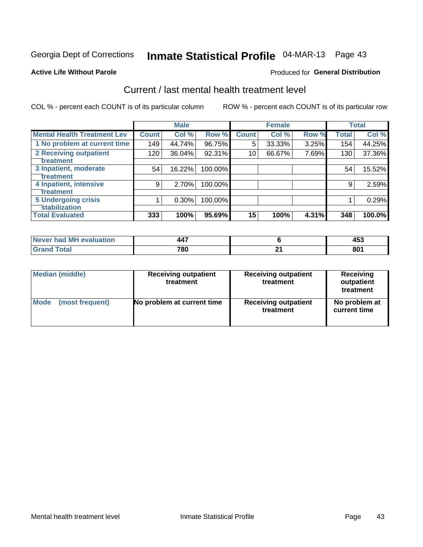# Inmate Statistical Profile 04-MAR-13 Page 43

#### **Active Life Without Parole**

#### **Produced for General Distribution**

## Current / last mental health treatment level

COL % - percent each COUNT is of its particular column

|                                    |              | <b>Male</b> |         |              | <b>Female</b> |       |              | <b>Total</b> |
|------------------------------------|--------------|-------------|---------|--------------|---------------|-------|--------------|--------------|
| <b>Mental Health Treatment Lev</b> | <b>Count</b> | Col %       | Row %   | <b>Count</b> | Col %         | Row % | <b>Total</b> | Col %        |
| 1 No problem at current time       | 149          | 44.74%      | 96.75%  | 5            | 33.33%        | 3.25% | 154          | 44.25%       |
| 2 Receiving outpatient             | 120          | 36.04%      | 92.31%  | 10           | 66.67%        | 7.69% | 130          | 37.36%       |
| <b>Treatment</b>                   |              |             |         |              |               |       |              |              |
| 3 Inpatient, moderate              | 54           | 16.22%      | 100.00% |              |               |       | 54           | 15.52%       |
| <b>Treatment</b>                   |              |             |         |              |               |       |              |              |
| 4 Inpatient, intensive             | 9            | 2.70%       | 100.00% |              |               |       | 9            | 2.59%        |
| Treatment                          |              |             |         |              |               |       |              |              |
| <b>5 Undergoing crisis</b>         |              | 0.30%       | 100.00% |              |               |       |              | 0.29%        |
| <b>stabilization</b>               |              |             |         |              |               |       |              |              |
| <b>Total Evaluated</b>             | 333          | 100%        | 95.69%  | 15           | 100%          | 4.31% | 348          | 100.0%       |

| evaluation<br>'м<br>Never I<br>nan | $\overline{\phantom{a}}$<br>44. |         | $\mathbf{A}$<br><b>- 100</b> |
|------------------------------------|---------------------------------|---------|------------------------------|
| المفمئر                            | 780                             | ┅.<br>_ | 801                          |

| Median (middle) | <b>Receiving outpatient</b><br>treatment | <b>Receiving outpatient</b><br>treatment | <b>Receiving</b><br>outpatient<br>treatment |  |  |
|-----------------|------------------------------------------|------------------------------------------|---------------------------------------------|--|--|
| Mode            | No problem at current time               | <b>Receiving outpatient</b>              | No problem at                               |  |  |
| (most frequent) |                                          | treatment                                | current time                                |  |  |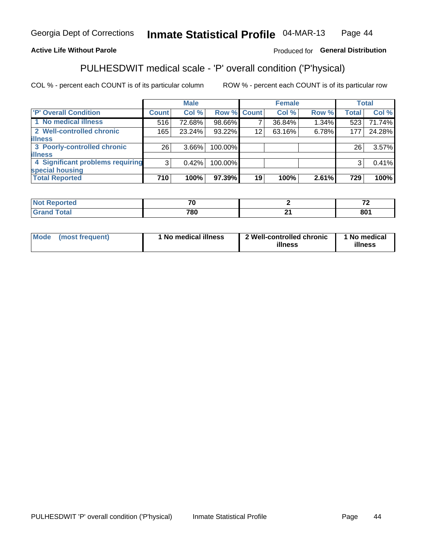#### Inmate Statistical Profile 04-MAR-13 Page 44

#### **Active Life Without Parole**

#### Produced for General Distribution

## PULHESDWIT medical scale - 'P' overall condition ('P'hysical)

COL % - percent each COUNT is of its particular column

|                                  |                | <b>Male</b> |                    |    | <b>Female</b> |       |                 | <b>Total</b> |
|----------------------------------|----------------|-------------|--------------------|----|---------------|-------|-----------------|--------------|
| 'P' Overall Condition            | <b>Count</b>   | Col %       | <b>Row % Count</b> |    | Col %         | Row % | <b>Total</b>    | Col %        |
| 1 No medical illness             | 516            | 72.68%      | 98.66%             |    | 36.84%        | 1.34% | 523             | 71.74%       |
| 2 Well-controlled chronic        | 165            | 23.24%      | 93.22%             | 12 | 63.16%        | 6.78% | 177             | 24.28%       |
| <b>illness</b>                   |                |             |                    |    |               |       |                 |              |
| 3 Poorly-controlled chronic      | 26             | $3.66\%$    | 100.00%            |    |               |       | 26 <sub>1</sub> | 3.57%        |
| <b>illness</b>                   |                |             |                    |    |               |       |                 |              |
| 4 Significant problems requiring | 3 <sub>1</sub> | 0.42%       | 100.00%            |    |               |       | 3               | 0.41%        |
| special housing                  |                |             |                    |    |               |       |                 |              |
| <b>Total Reported</b>            | 710            | 100%        | 97.39%             | 19 | 100%          | 2.61% | 729             | 100%         |

| $\mathcal{L}$ |      | $-$<br>$\cdot$ $-$ |
|---------------|------|--------------------|
| 700           | - -  | 004                |
| ou            | $ -$ | .                  |

| Mode | (most frequent) | No medical illness | 2 Well-controlled chronic<br>illness | 1 No medical<br>illness |
|------|-----------------|--------------------|--------------------------------------|-------------------------|
|------|-----------------|--------------------|--------------------------------------|-------------------------|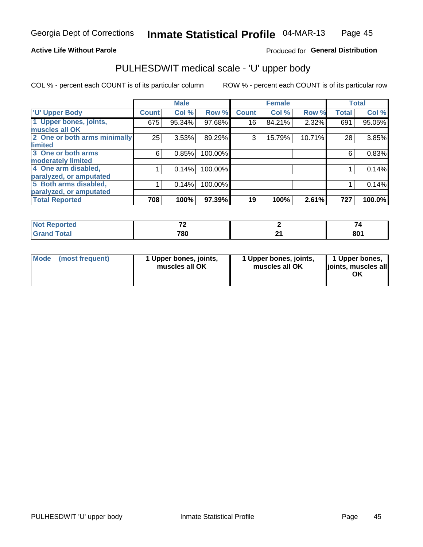#### **Active Life Without Parole**

### Produced for General Distribution

# PULHESDWIT medical scale - 'U' upper body

COL % - percent each COUNT is of its particular column

|                              |              | <b>Male</b> |         |              | <b>Female</b> |        |              | <b>Total</b> |
|------------------------------|--------------|-------------|---------|--------------|---------------|--------|--------------|--------------|
| <b>'U' Upper Body</b>        | <b>Count</b> | Col %       | Row %   | <b>Count</b> | Col %         | Row %  | <b>Total</b> | Col %        |
| 1 Upper bones, joints,       | 675          | 95.34%      | 97.68%  | 16           | 84.21%        | 2.32%  | 691          | 95.05%       |
| muscles all OK               |              |             |         |              |               |        |              |              |
| 2 One or both arms minimally | 25           | 3.53%       | 89.29%  | 3            | 15.79%        | 10.71% | 28           | 3.85%        |
| limited                      |              |             |         |              |               |        |              |              |
| 3 One or both arms           | 6            | 0.85%       | 100.00% |              |               |        | 6            | 0.83%        |
| moderately limited           |              |             |         |              |               |        |              |              |
| 4 One arm disabled,          |              | 0.14%       | 100.00% |              |               |        |              | 0.14%        |
| paralyzed, or amputated      |              |             |         |              |               |        |              |              |
| 5 Both arms disabled,        |              | 0.14%       | 100.00% |              |               |        |              | 0.14%        |
| paralyzed, or amputated      |              |             |         |              |               |        |              |              |
| <b>Total Reported</b>        | 708          | 100%        | 97.39%  | 19           | 100%          | 2.61%  | 727          | 100.0%       |

| <b>Not Reported</b>           | $-$ | . .                 |
|-------------------------------|-----|---------------------|
| <b>Total</b><br>Gran<br>Grand | 780 | $\mathbf{on}$<br>ου |

| Mode (most frequent) | 1 Upper bones, joints,<br>muscles all OK | 1 Upper bones, joints,<br>muscles all OK | 1 Upper bones,<br>joints, muscles all<br>ΟK |
|----------------------|------------------------------------------|------------------------------------------|---------------------------------------------|
|----------------------|------------------------------------------|------------------------------------------|---------------------------------------------|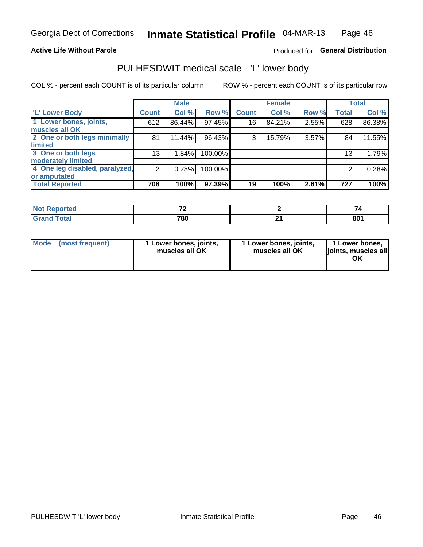#### **Active Life Without Parole**

### Produced for General Distribution

### PULHESDWIT medical scale - 'L' lower body

COL % - percent each COUNT is of its particular column

|                                |                 | <b>Male</b> |         |              | <b>Female</b> |       |                 | <b>Total</b> |
|--------------------------------|-----------------|-------------|---------|--------------|---------------|-------|-----------------|--------------|
| 'L' Lower Body                 | <b>Count</b>    | Col %       | Row %   | <b>Count</b> | Col %         | Row % | <b>Total</b>    | Col %        |
| 1 Lower bones, joints,         | 612             | 86.44%      | 97.45%  | 16           | 84.21%        | 2.55% | 628             | 86.38%       |
| muscles all OK                 |                 |             |         |              |               |       |                 |              |
| 2 One or both legs minimally   | 81              | 11.44%      | 96.43%  | 3            | 15.79%        | 3.57% | 84              | 11.55%       |
| limited                        |                 |             |         |              |               |       |                 |              |
| 3 One or both legs             | 13 <sub>1</sub> | 1.84%       | 100.00% |              |               |       | 13 <sub>1</sub> | 1.79%        |
| moderately limited             |                 |             |         |              |               |       |                 |              |
| 4 One leg disabled, paralyzed, | $\overline{2}$  | 0.28%       | 100.00% |              |               |       | 2               | 0.28%        |
| or amputated                   |                 |             |         |              |               |       |                 |              |
| <b>Total Reported</b>          | 708             | 100%        | 97.39%  | 19           | 100%          | 2.61% | 727             | 100%         |

| prted<br>NOT F<br>$\sim$ . The set of $\sim$ | - - |     |
|----------------------------------------------|-----|-----|
| <b>Total</b>                                 | 780 | 801 |

| Mode | (most frequent) | 1 Lower bones, joints,<br>muscles all OK | 1 Lower bones, joints,<br>muscles all OK | 1 Lower bones,<br>ljoints, muscles all<br>ΟK |
|------|-----------------|------------------------------------------|------------------------------------------|----------------------------------------------|
|------|-----------------|------------------------------------------|------------------------------------------|----------------------------------------------|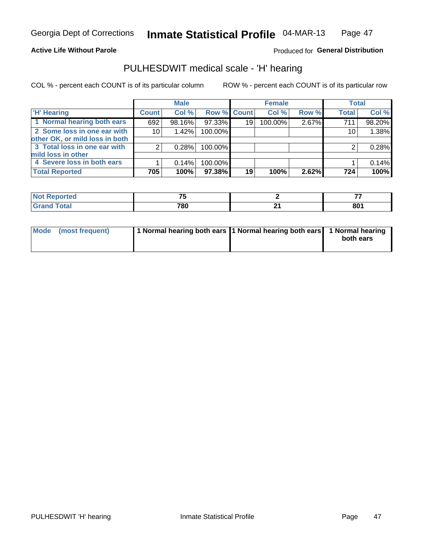#### **Active Life Without Parole**

#### Produced for General Distribution

### PULHESDWIT medical scale - 'H' hearing

COL % - percent each COUNT is of its particular column

|                                |              | <b>Male</b> |                    |    | <b>Female</b> |       | <b>Total</b> |        |
|--------------------------------|--------------|-------------|--------------------|----|---------------|-------|--------------|--------|
| <b>H' Hearing</b>              | <b>Count</b> | Col %       | <b>Row % Count</b> |    | Col %         | Row % | <b>Total</b> | Col %  |
| 1 Normal hearing both ears     | 692          | 98.16%      | 97.33%             | 19 | 100.00%       | 2.67% | 711          | 98.20% |
| 2 Some loss in one ear with    | 10           | 1.42%       | 100.00%            |    |               |       | 10           | 1.38%  |
| other OK, or mild loss in both |              |             |                    |    |               |       |              |        |
| 3 Total loss in one ear with   | 2            | 0.28%       | 100.00%            |    |               |       | 2            | 0.28%  |
| mild loss in other             |              |             |                    |    |               |       |              |        |
| 4 Severe loss in both ears     |              | 0.14%       | 100.00%            |    |               |       |              | 0.14%  |
| <b>Total Reported</b>          | 705          | 100%        | 97.38%             | 19 | 100%          | 2.62% | 724          | 100%   |

|        | --  |                                 | --         |
|--------|-----|---------------------------------|------------|
| ______ | 780 | . .<br>$\overline{\phantom{0}}$ | 801<br>_ _ |

| Mode (most frequent) | 1 Normal hearing both ears 1 Normal hearing both ears 1 Normal hearing | both ears |
|----------------------|------------------------------------------------------------------------|-----------|
|                      |                                                                        |           |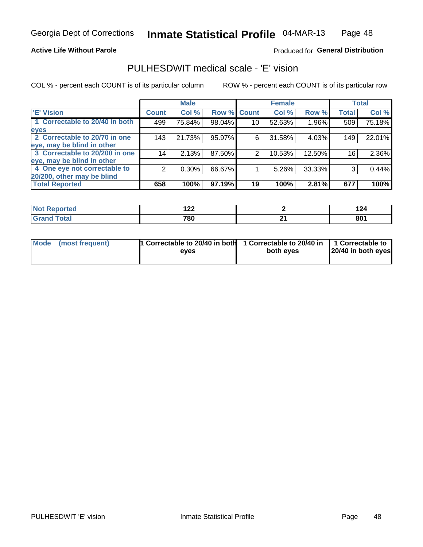#### **Active Life Without Parole**

#### Produced for General Distribution

### PULHESDWIT medical scale - 'E' vision

COL % - percent each COUNT is of its particular column

|                                |              | <b>Male</b> |        |              | <b>Female</b> |        |              | <b>Total</b> |
|--------------------------------|--------------|-------------|--------|--------------|---------------|--------|--------------|--------------|
| <b>E' Vision</b>               | <b>Count</b> | Col %       | Row %  | <b>Count</b> | Col %         | Row %  | <b>Total</b> | Col %        |
| 1 Correctable to 20/40 in both | 499          | 75.84%      | 98.04% | 10           | 52.63%        | 1.96%  | 509          | 75.18%       |
| eyes                           |              |             |        |              |               |        |              |              |
| 2 Correctable to 20/70 in one  | 143          | 21.73%      | 95.97% | 6            | 31.58%        | 4.03%  | 149          | 22.01%       |
| eye, may be blind in other     |              |             |        |              |               |        |              |              |
| 3 Correctable to 20/200 in one | 14           | 2.13%       | 87.50% | 2            | 10.53%        | 12.50% | 16           | 2.36%        |
| eye, may be blind in other     |              |             |        |              |               |        |              |              |
| 4 One eye not correctable to   | 2            | $0.30\%$    | 66.67% |              | 5.26%         | 33.33% | 3            | 0.44%        |
| 20/200, other may be blind     |              |             |        |              |               |        |              |              |
| <b>Total Reported</b>          | 658          | 100%        | 97.19% | 19           | 100%          | 2.81%  | 677          | 100%         |

| A CHO       | י ה<br>17L |     | . .<br>144 |
|-------------|------------|-----|------------|
| $C = 4 - 7$ | 700        |     | 801        |
| υιαι        | ι ου       | - - |            |

| Mode (most frequent) | <b>1</b> Correctable to 20/40 in both 1 Correctable to 20/40 in $\vert$ 1 Correctable to<br>eves | both eves | 20/40 in both eyes |
|----------------------|--------------------------------------------------------------------------------------------------|-----------|--------------------|
|                      |                                                                                                  |           |                    |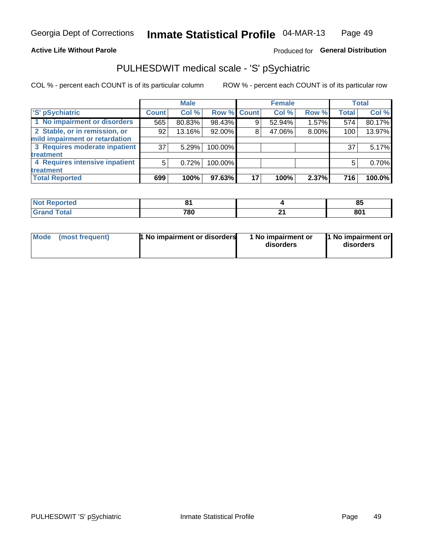#### **Active Life Without Parole**

### Produced for General Distribution

## PULHESDWIT medical scale - 'S' pSychiatric

COL % - percent each COUNT is of its particular column

|                                |              | <b>Male</b> |         |             | <b>Female</b> |       |              | <b>Total</b> |
|--------------------------------|--------------|-------------|---------|-------------|---------------|-------|--------------|--------------|
| 'S' pSychiatric                | <b>Count</b> | Col %       |         | Row % Count | Col %         | Row % | <b>Total</b> | Col %        |
| 1 No impairment or disorders   | 565          | 80.83%      | 98.43%  |             | 52.94%        | 1.57% | 574          | 80.17%       |
| 2 Stable, or in remission, or  | 92           | 13.16%      | 92.00%  |             | 47.06%        | 8.00% | 100          | 13.97%       |
| mild impairment or retardation |              |             |         |             |               |       |              |              |
| 3 Requires moderate inpatient  | 37           | 5.29%       | 100.00% |             |               |       | 37           | 5.17%        |
| treatment                      |              |             |         |             |               |       |              |              |
| 4 Requires intensive inpatient | 5            | 0.72%       | 100.00% |             |               |       | 5            | 0.70%        |
| treatment                      |              |             |         |             |               |       |              |              |
| <b>Total Reported</b>          | 699          | 100%        | 97.63%  | 17          | 100%          | 2.37% | 716          | 100.0%       |

| тео | п.  |    | οJ   |
|-----|-----|----|------|
|     | 780 | п. | 801  |
|     | __  |    | $ -$ |

| Mode | (most frequent) | <b>1 No impairment or disorders</b> | 1 No impairment or<br>disorders | 11 No impairment or<br>disorders |
|------|-----------------|-------------------------------------|---------------------------------|----------------------------------|
|------|-----------------|-------------------------------------|---------------------------------|----------------------------------|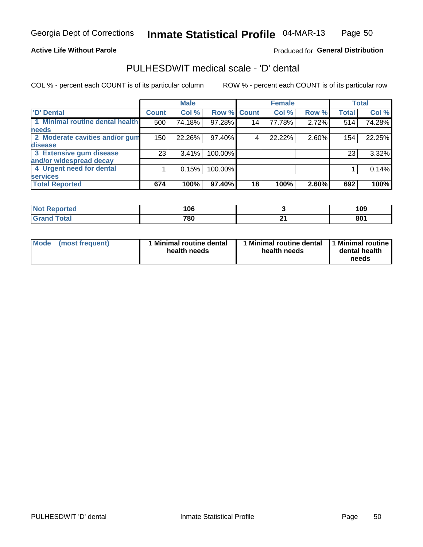#### **Active Life Without Parole**

#### Produced for General Distribution

### PULHESDWIT medical scale - 'D' dental

COL % - percent each COUNT is of its particular column

|                                 |                 | <b>Male</b> |         |             | <b>Female</b> |       |              | <b>Total</b> |
|---------------------------------|-----------------|-------------|---------|-------------|---------------|-------|--------------|--------------|
| <b>D'</b> Dental                | <b>Count</b>    | Col %       |         | Row % Count | Col %         | Row % | <b>Total</b> | Col %        |
| 1 Minimal routine dental health | 500             | 74.18%      | 97.28%  | 14          | 77.78%        | 2.72% | 514          | 74.28%       |
| <b>needs</b>                    |                 |             |         |             |               |       |              |              |
| 2 Moderate cavities and/or gum  | 150             | 22.26%      | 97.40%  | 4           | 22.22%        | 2.60% | 154          | 22.25%       |
| disease                         |                 |             |         |             |               |       |              |              |
| 3 Extensive gum disease         | 23 <sub>1</sub> | 3.41%       | 100.00% |             |               |       | 23           | 3.32%        |
| and/or widespread decay         |                 |             |         |             |               |       |              |              |
| 4 Urgent need for dental        |                 | 0.15%       | 100.00% |             |               |       |              | 0.14%        |
| <b>services</b>                 |                 |             |         |             |               |       |              |              |
| <b>Total Reported</b>           | 674             | 100%        | 97.40%  | 18          | 100%          | 2.60% | 692          | 100%         |

| orted<br><b>NOT REDO</b><br>. | 1 ሰ ፎ<br>l UU |           | 109 |
|-------------------------------|---------------|-----------|-----|
| Total                         | 700<br>1 OU   | л.<br>. . | 801 |

| <b>Mode</b> | (most frequent) | <b>Minimal routine dental</b><br>health needs | 1 Minimal routine dental<br>health needs | <b>11 Minimal routine I</b><br>dental health<br>needs |
|-------------|-----------------|-----------------------------------------------|------------------------------------------|-------------------------------------------------------|
|-------------|-----------------|-----------------------------------------------|------------------------------------------|-------------------------------------------------------|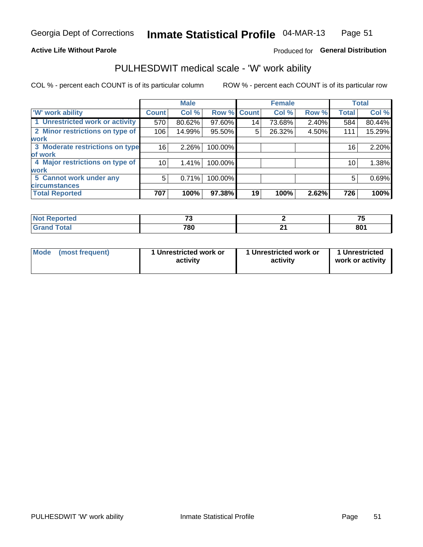#### **Active Life Without Parole**

### Produced for General Distribution

### PULHESDWIT medical scale - 'W' work ability

COL % - percent each COUNT is of its particular column

|                                 |              | <b>Male</b> |         |             | <b>Female</b> |       |              | <b>Total</b> |
|---------------------------------|--------------|-------------|---------|-------------|---------------|-------|--------------|--------------|
| <b>W' work ability</b>          | <b>Count</b> | Col %       |         | Row % Count | Col %         | Row % | <b>Total</b> | Col %        |
| 1 Unrestricted work or activity | 570          | 80.62%      | 97.60%  | 14          | 73.68%        | 2.40% | 584          | 80.44%       |
| 2 Minor restrictions on type of | 106          | 14.99%      | 95.50%  | 5           | 26.32%        | 4.50% | 111          | 15.29%       |
| <b>work</b>                     |              |             |         |             |               |       |              |              |
| 3 Moderate restrictions on type | 16           | $2.26\%$    | 100.00% |             |               |       | 16           | 2.20%        |
| of work                         |              |             |         |             |               |       |              |              |
| 4 Major restrictions on type of | 10           | 1.41%       | 100.00% |             |               |       | 10           | 1.38%        |
| <b>work</b>                     |              |             |         |             |               |       |              |              |
| 5 Cannot work under any         | 5            | 0.71%       | 100.00% |             |               |       | 5            | 0.69%        |
| <b>circumstances</b>            |              |             |         |             |               |       |              |              |
| <b>Total Reported</b>           | 707          | 100%        | 97.38%  | 19          | 100%          | 2.62% | 726          | 100%         |

| <b>Not Reported</b>                    | $\sim$      |     | --  |
|----------------------------------------|-------------|-----|-----|
| <b>Total</b><br><b>Crop</b><br>ਚਾanu । | 700<br>r ou | . . | 801 |

| <b>Mode</b>     | 1 Unrestricted work or | 1 Unrestricted work or | 1 Unrestricted   |
|-----------------|------------------------|------------------------|------------------|
| (most frequent) | activity               | activity               | work or activity |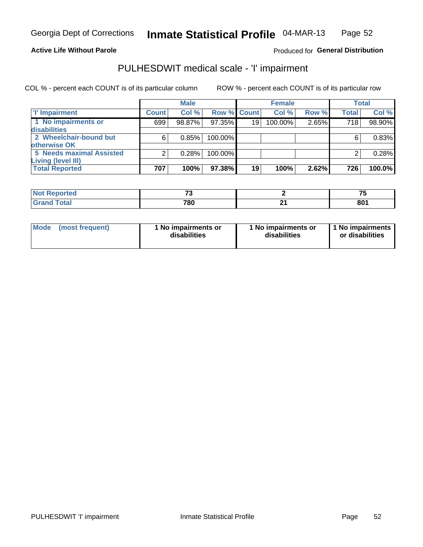#### **Active Life Without Parole**

#### Produced for General Distribution

## PULHESDWIT medical scale - 'I' impairment

|                                     |              | <b>Male</b> |                    |                 | <b>Female</b> |       |              | <b>Total</b> |
|-------------------------------------|--------------|-------------|--------------------|-----------------|---------------|-------|--------------|--------------|
| <b>T' Impairment</b>                | <b>Count</b> | Col %       | <b>Row % Count</b> |                 | Col %         | Row % | <b>Total</b> | Col %        |
| 1 No impairments or<br>disabilities | 699          | 98.87%      | $97.35\%$          | 19 <sup>1</sup> | 100.00%       | 2.65% | 718          | 98.90%       |
| 2 Wheelchair-bound but              | 6            | 0.85%       | 100.00%            |                 |               |       |              | 0.83%        |
| otherwise OK                        |              |             |                    |                 |               |       |              |              |
| <b>5 Needs maximal Assisted</b>     | っ            | 0.28%       | 100.00%            |                 |               |       |              | 0.28%        |
| <b>Living (level III)</b>           |              |             |                    |                 |               |       |              |              |
| <b>Total Reported</b>               | 707          | 100%        | $97.38\%$          | 19              | 100%          | 2.62% | 726          | 100.0%       |

| rtea                                                               | --  |                                |
|--------------------------------------------------------------------|-----|--------------------------------|
| $F \wedge f \wedge f$<br>$\overline{\phantom{a}}$ . Jldi<br>$\sim$ | 780 | $\mathbf{O} \mathbf{O}$<br>OU. |

| <b>Mode</b>     | 1 No impairments or | 1 No impairments or | 1 No impairments |
|-----------------|---------------------|---------------------|------------------|
| (most frequent) | disabilities        | disabilities        | or disabilities  |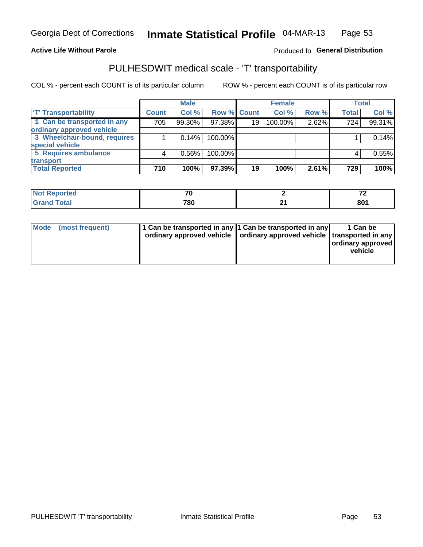#### **Active Life Without Parole**

#### Produced fo General Distribution

### PULHESDWIT medical scale - 'T' transportability

COL % - percent each COUNT is of its particular column

|                              |              | <b>Male</b> |             |    | <b>Female</b> |       |              | <b>Total</b> |
|------------------------------|--------------|-------------|-------------|----|---------------|-------|--------------|--------------|
| <b>T' Transportability</b>   | <b>Count</b> | Col %       | Row % Count |    | Col %         | Row % | <b>Total</b> | Col %        |
| 1 Can be transported in any  | 705          | 99.30%      | 97.38%      | 19 | 100.00%       | 2.62% | 724          | 99.31%       |
| ordinary approved vehicle    |              |             |             |    |               |       |              |              |
| 3 Wheelchair-bound, requires |              | 0.14%       | 100.00%     |    |               |       |              | 0.14%        |
| special vehicle              |              |             |             |    |               |       |              |              |
| 5 Requires ambulance         |              | 0.56%       | 100.00%     |    |               |       |              | 0.55%        |
| transport                    |              |             |             |    |               |       |              |              |
| <b>Total Reported</b>        | 710          | 100%        | 97.39%      | 19 | 100%          | 2.61% | 729          | 100%         |

| .eported | 70  |   | $\sim$    |
|----------|-----|---|-----------|
|          | 780 | _ | ∘מס<br>ου |

| Mode (most frequent) | 1 Can be transported in any 1 Can be transported in any | ordinary approved vehicle   ordinary approved vehicle   transported in any | 1 Can be<br>ordinary approved<br>vehicle |
|----------------------|---------------------------------------------------------|----------------------------------------------------------------------------|------------------------------------------|
|                      |                                                         |                                                                            |                                          |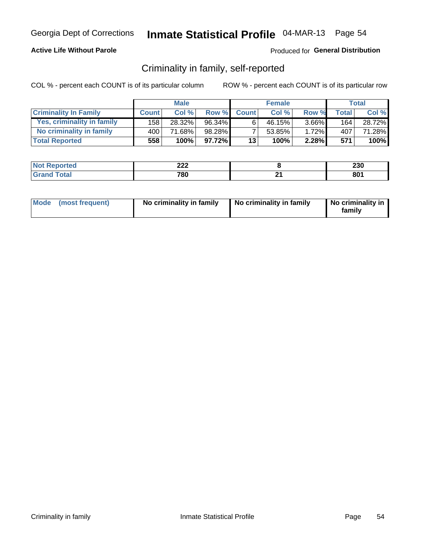#### **Active Life Without Parole**

#### Produced for General Distribution

### Criminality in family, self-reported

COL % - percent each COUNT is of its particular column

|                              |              | <b>Male</b> |           |              | <b>Female</b> |          |                  | Total  |
|------------------------------|--------------|-------------|-----------|--------------|---------------|----------|------------------|--------|
| <b>Criminality In Family</b> | <b>Count</b> | Col %       | Row %     | <b>Count</b> | Col %         | Row %    | <b>Total</b>     | Col %  |
| Yes, criminality in family   | 158 l        | 28.32%      | 96.34%    | 6            | 46.15%        | $3.66\%$ | 164 <sub>1</sub> | 28.72% |
| No criminality in family     | 400 l        | 71.68%      | 98.28%    |              | 53.85%        | 1.72%    | 407              | 71.28% |
| <b>Total Reported</b>        | 558          | $100\%$     | $97.72\%$ | 13           | 100%          | 2.28%    | 571              | 100%   |

| <b>Reported</b><br>NO | ິດດດ<br>$-66$ | 230 |
|-----------------------|---------------|-----|
| <b>otal</b>           | 780           | 801 |

|  | Mode (most frequent) | No criminality in family | No criminality in family | No criminality in<br>family |
|--|----------------------|--------------------------|--------------------------|-----------------------------|
|--|----------------------|--------------------------|--------------------------|-----------------------------|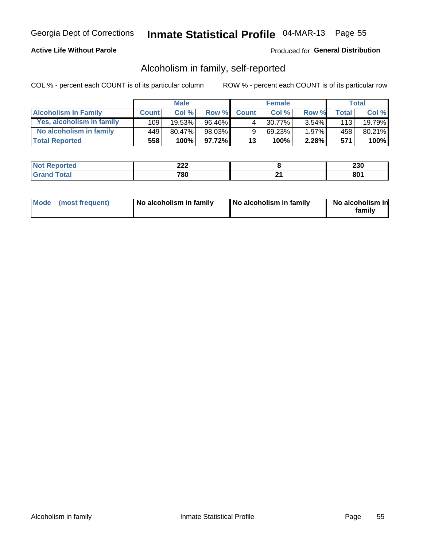#### **Active Life Without Parole**

#### Produced for General Distribution

### Alcoholism in family, self-reported

COL % - percent each COUNT is of its particular column

|                             |              | <b>Male</b> |           |              | <b>Female</b> |          |              | Total   |
|-----------------------------|--------------|-------------|-----------|--------------|---------------|----------|--------------|---------|
| <b>Alcoholism In Family</b> | <b>Count</b> | Col%        | Row %     | <b>Count</b> | Col%          | Row %    | <b>Total</b> | Col %   |
| Yes, alcoholism in family   | 109          | 19.53%      | 96.46%    | 4            | 30.77%        | $3.54\%$ | 113          | 19.79%  |
| No alcoholism in family     | 449          | 80.47%      | 98.03%    | 9            | 69.23%        | 1.97%    | 458          | 80.21%  |
| <b>Total Reported</b>       | 558          | 100%        | $97.72\%$ | 13           | 100%          | $2.28\%$ | 571          | $100\%$ |

| <b>Not Reported</b> | າາາ<br>4LL | <br>zou   |
|---------------------|------------|-----------|
| "otal<br>Gran       | 780        | on.<br>ου |

|  | Mode (most frequent) | No alcoholism in family | No alcoholism in family | No alcoholism in<br>family |
|--|----------------------|-------------------------|-------------------------|----------------------------|
|--|----------------------|-------------------------|-------------------------|----------------------------|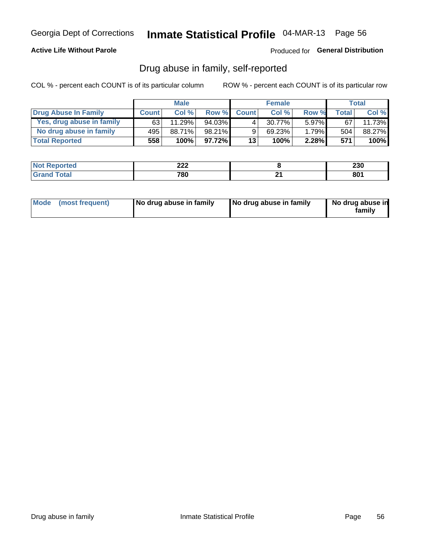#### **Active Life Without Parole**

Produced for General Distribution

### Drug abuse in family, self-reported

COL % - percent each COUNT is of its particular column

|                           |              | <b>Male</b> |           |              | <b>Female</b> |          |       | <b>Total</b> |
|---------------------------|--------------|-------------|-----------|--------------|---------------|----------|-------|--------------|
| Drug Abuse In Family      | <b>Count</b> | Col%        | Row %     | <b>Count</b> | Col%          | Row %    | Total | Col %        |
| Yes, drug abuse in family | 631          | 11.29%      | 94.03%    | 4            | 30.77%        | $5.97\%$ | 67    | 11.73%       |
| No drug abuse in family   | 495          | 88.71%      | 98.21%    | 9            | 69.23%        | 1.79%    | 504   | 88.27%       |
| <b>Total Reported</b>     | 558          | 100%        | $97.72\%$ | 13           | 100%          | $2.28\%$ | 571   | $100\%$      |

| <b>Reported</b><br>NO | ິດດດ<br>$-66$ | 230 |
|-----------------------|---------------|-----|
| <b>otal</b>           | 780           | 801 |

|  | Mode (most frequent) | No drug abuse in family | No drug abuse in family | No drug abuse in<br>family |
|--|----------------------|-------------------------|-------------------------|----------------------------|
|--|----------------------|-------------------------|-------------------------|----------------------------|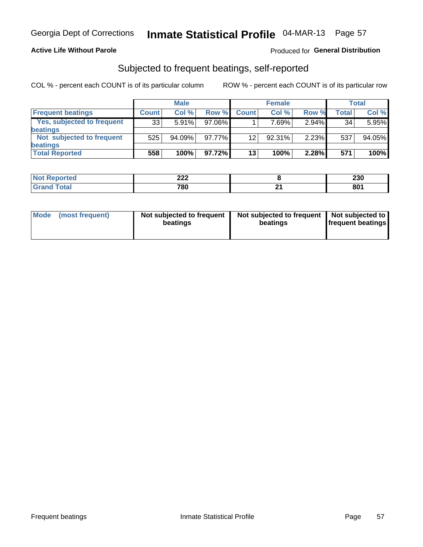#### **Active Life Without Parole**

#### Produced for General Distribution

### Subjected to frequent beatings, self-reported

COL % - percent each COUNT is of its particular column

|                            |              | <b>Male</b> |        |              | <b>Female</b> |          |       | Total  |
|----------------------------|--------------|-------------|--------|--------------|---------------|----------|-------|--------|
| <b>Frequent beatings</b>   | <b>Count</b> | Col %       | Row %  | <b>Count</b> | Col %         | Row %    | Total | Col %  |
| Yes, subjected to frequent | 33           | 5.91%       | 97.06% |              | 7.69%         | $2.94\%$ | 34    | 5.95%  |
| <b>beatings</b>            |              |             |        |              |               |          |       |        |
| Not subjected to frequent  | 525          | 94.09%      | 97.77% | 12           | 92.31%        | 2.23%    | 537   | 94.05% |
| <b>beatings</b>            |              |             |        |              |               |          |       |        |
| <b>Total Reported</b>      | 558          | 100%        | 97.72% | 13           | 100%          | 2.28%    | 571   | 100%   |

| <b>Not Reported</b>   | າາາ<br>LLL | 230 |
|-----------------------|------------|-----|
| <b>Total</b><br>Grand | 780        | 801 |

| Mode (most frequent) | Not subjected to frequent<br>beatings | Not subjected to frequent<br>beatings | Not subjected to<br><b>frequent beatings</b> |
|----------------------|---------------------------------------|---------------------------------------|----------------------------------------------|
|                      |                                       |                                       |                                              |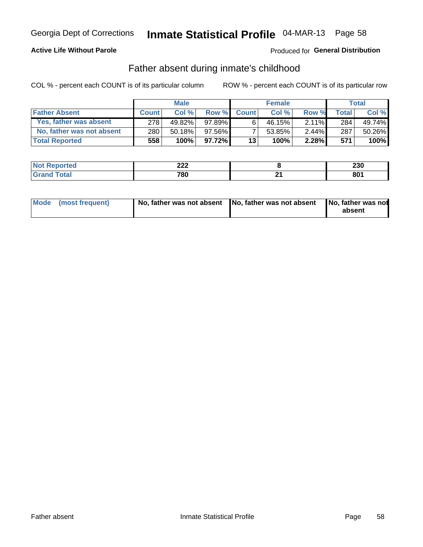#### **Active Life Without Parole**

### Produced for General Distribution

### Father absent during inmate's childhood

COL % - percent each COUNT is of its particular column

|                           |              | <b>Male</b> |          |              | <b>Female</b> |          |              | <b>Total</b> |
|---------------------------|--------------|-------------|----------|--------------|---------------|----------|--------------|--------------|
| <b>Father Absent</b>      | <b>Count</b> | Col%        | Row %    | <b>Count</b> | Col %         | Row %    | <b>Total</b> | Col %        |
| Yes, father was absent    | 278          | 49.82%      | 97.89%   | 6            | 46.15%        | $2.11\%$ | 284          | 49.74%       |
| No, father was not absent | 280          | 50.18%      | 97.56%   |              | 53.85%        | $2.44\%$ | 287          | 50.26%       |
| <b>Total Reported</b>     | 558          | 100%        | 97.72% l | 13           | 100%          | 2.28%    | 571          | 100%         |

| <b>Not Reported</b> | nnn<br>LLL | 230 |
|---------------------|------------|-----|
| `otal<br>' Grano    | 780        | 801 |

|  | Mode (most frequent) | No, father was not absent No, father was not absent |  | No, father was not<br>absent |
|--|----------------------|-----------------------------------------------------|--|------------------------------|
|--|----------------------|-----------------------------------------------------|--|------------------------------|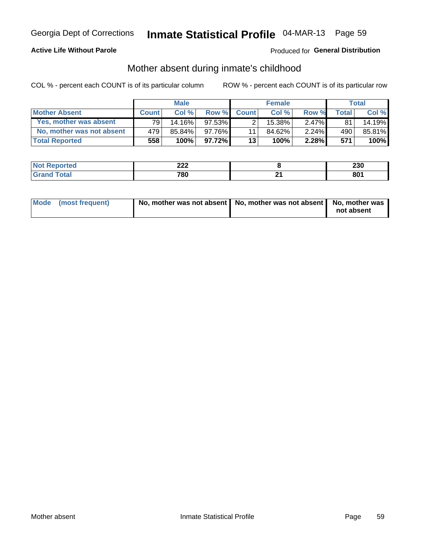#### **Active Life Without Parole**

### Produced for General Distribution

### Mother absent during inmate's childhood

COL % - percent each COUNT is of its particular column

|                           |              | <b>Male</b> |           |              | <b>Female</b> |          |              | Total   |
|---------------------------|--------------|-------------|-----------|--------------|---------------|----------|--------------|---------|
| <b>Mother Absent</b>      | <b>Count</b> | Col%        | Row %     | <b>Count</b> | Col%          | Row %    | <b>Total</b> | Col %   |
| Yes, mother was absent    | 791          | $14.16\%$   | $97.53\%$ | 2            | 15.38%        | $2.47\%$ | 81           | 14.19%  |
| No, mother was not absent | 479          | 85.84%      | $97.76\%$ | 11           | 84.62%        | 2.24%    | 490          | 85.81%  |
| <b>Total Reported</b>     | 558          | 100%        | $97.72\%$ | 13           | 100%          | $2.28\%$ | 571          | $100\%$ |

| Reported<br>NO1       | $\sim$<br>44 L | 230 |
|-----------------------|----------------|-----|
| <b>otal</b><br>______ | 780            | 801 |

| Mode (most frequent) | No, mother was not absent   No, mother was not absent   No, mother was | not absent |
|----------------------|------------------------------------------------------------------------|------------|
|                      |                                                                        |            |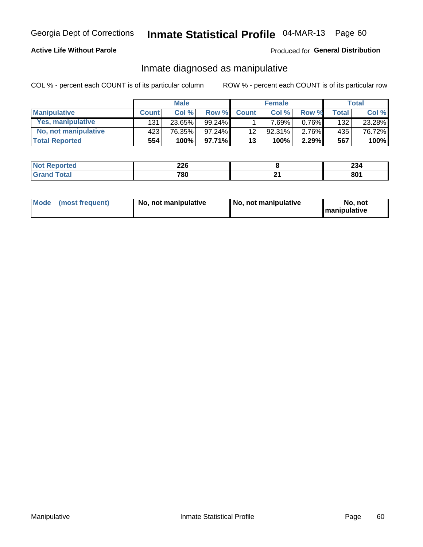#### **Active Life Without Parole**

#### Produced for General Distribution

### Inmate diagnosed as manipulative

COL % - percent each COUNT is of its particular column

|                       |              | <b>Male</b> |           |              | <b>Female</b> |          |              | Total  |
|-----------------------|--------------|-------------|-----------|--------------|---------------|----------|--------------|--------|
| <b>Manipulative</b>   | <b>Count</b> | Col%        | Row %     | <b>Count</b> | Col%          | Row %    | <b>Total</b> | Col %  |
| Yes, manipulative     | 131          | 23.65%      | $99.24\%$ |              | $.69\%$       | 0.76%    | 132          | 23.28% |
| No, not manipulative  | 423          | 76.35%      | $97.24\%$ | 12           | 92.31%        | $2.76\%$ | 435          | 76.72% |
| <b>Total Reported</b> | 554          | 100%        | 97.71%    | 13           | 100%          | 2.29%    | 567          | 100%   |

| rted<br>NO1 | <u>__</u><br>ZZV<br>__ |    | ^^<br>254 |
|-------------|------------------------|----|-----------|
| . .         | 780                    | п. | 801       |

| Mode | (most frequent) | No, not manipulative | No, not manipulative | No. not<br><b>I</b> manipulative |
|------|-----------------|----------------------|----------------------|----------------------------------|
|------|-----------------|----------------------|----------------------|----------------------------------|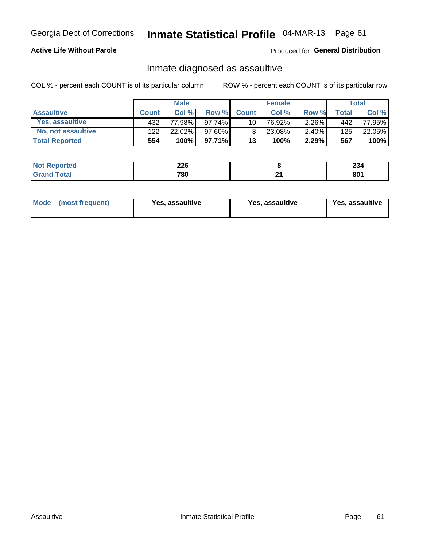## Inmate Statistical Profile 04-MAR-13 Page 61

#### **Active Life Without Parole**

Produced for General Distribution

### Inmate diagnosed as assaultive

COL % - percent each COUNT is of its particular column

|                       |              | <b>Male</b> |          |                 | <b>Female</b> |          |       | Total  |
|-----------------------|--------------|-------------|----------|-----------------|---------------|----------|-------|--------|
| <b>Assaultive</b>     | <b>Count</b> | Col%        | Row %    | <b>Count</b>    | Col %         | Row %    | Total | Col %  |
| Yes, assaultive       | 432          | 77.98%      | 97.74%   | 10 <sub>1</sub> | 76.92%        | $2.26\%$ | 442   | 77.95% |
| No, not assaultive    | 122          | 22.02%      | 97.60%   | ્રિ             | 23.08%        | $2.40\%$ | 125   | 22.05% |
| <b>Total Reported</b> | 554          | 100%        | 97.71% I | 13              | 100%          | 2.29%    | 567   | 100%   |

| Reported<br><b>NO</b> t | ንገድ<br>ZZU<br>____ |    | $\mathbf{A}$<br>ZJ4 |
|-------------------------|--------------------|----|---------------------|
| <b>otal</b>             | 780                | יי | $\mathbf{on}$<br>ou |

| Mode (most frequent)<br>Yes, assaultive | Yes, assaultive | <b>Yes, assaultive</b> |
|-----------------------------------------|-----------------|------------------------|
|-----------------------------------------|-----------------|------------------------|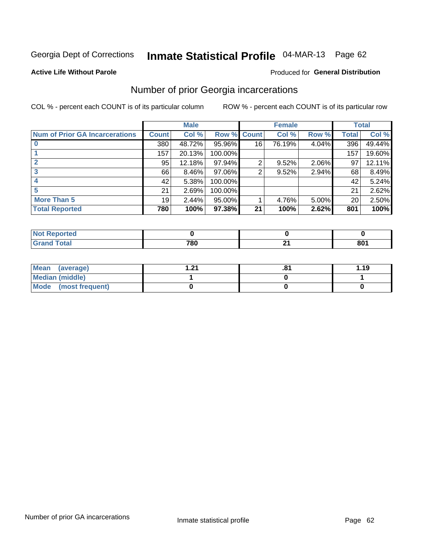## Inmate Statistical Profile 04-MAR-13 Page 62

#### **Active Life Without Parole**

#### **Produced for General Distribution**

### Number of prior Georgia incarcerations

COL % - percent each COUNT is of its particular column

|                                       | <b>Male</b>  |        |                    |    | <b>Female</b> | <b>Total</b> |       |        |
|---------------------------------------|--------------|--------|--------------------|----|---------------|--------------|-------|--------|
| <b>Num of Prior GA Incarcerations</b> | <b>Count</b> | Col %  | <b>Row % Count</b> |    | Col %         | Row %        | Total | Col %  |
|                                       | 380          | 48.72% | 95.96%             | 16 | 76.19%        | 4.04%        | 396   | 49.44% |
|                                       | 157          | 20.13% | 100.00%            |    |               |              | 157   | 19.60% |
|                                       | 95           | 12.18% | 97.94%             | 2  | 9.52%         | 2.06%        | 97    | 12.11% |
| 3                                     | 66           | 8.46%  | 97.06%             | 2  | 9.52%         | 2.94%        | 68    | 8.49%  |
|                                       | 42           | 5.38%  | 100.00%            |    |               |              | 42    | 5.24%  |
| 5                                     | 21           | 2.69%  | 100.00%            |    |               |              | 21    | 2.62%  |
| <b>More Than 5</b>                    | 19           | 2.44%  | 95.00%             |    | 4.76%         | 5.00%        | 20    | 2.50%  |
| <b>Total Reported</b>                 | 780          | 100%   | 97.38%             | 21 | 100%          | 2.62%        | 801   | 100%   |

| neo |       |          |                         |
|-----|-------|----------|-------------------------|
|     | 700   | <b>.</b> | $\mathbf{O} \mathbf{O}$ |
|     | 1 O U |          | OU .                    |

| Mean (average)       | ີ | .о | 1.19 |
|----------------------|---|----|------|
| Median (middle)      |   |    |      |
| Mode (most frequent) |   |    |      |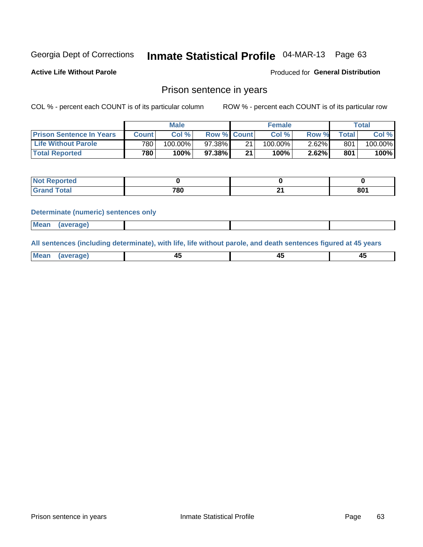## Inmate Statistical Profile 04-MAR-13 Page 63

**Active Life Without Parole** 

Produced for General Distribution

### Prison sentence in years

COL % - percent each COUNT is of its particular column

ROW % - percent each COUNT is of its particular row

|                                 | <b>Male</b> |            |                    | <b>Female</b> |            |       | Total       |         |
|---------------------------------|-------------|------------|--------------------|---------------|------------|-------|-------------|---------|
| <b>Prison Sentence In Years</b> | Count l     | Col %      | <b>Row % Count</b> |               | Col %      | Row % | $\tau$ otal | Col %   |
| <b>Life Without Parole</b>      | 780         | $100.00\%$ | 97.38%             | 21            | $100.00\%$ | 2.62% | 801         | 100.00% |
| <b>Total Reported</b>           | 780         | 100%       | 97.38%             | 21            | 100%       | 2.62% | 801         | 100%    |

| <b>Not Reported</b> |     |     |
|---------------------|-----|-----|
| <b>Total</b>        | 780 | 801 |

#### **Determinate (numeric) sentences only**

| <b>Mean</b> | <i>(average)</i> |  |  |
|-------------|------------------|--|--|
|             |                  |  |  |

All sentences (including determinate), with life, life without parole, and death sentences figured at 45 years

| $M$ ea<br>(average) | $\sim$ | ,,<br>т. |
|---------------------|--------|----------|
|                     |        |          |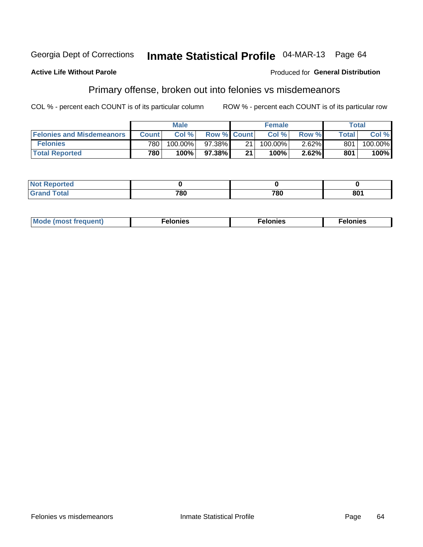#### **Active Life Without Parole**

#### Produced for General Distribution

### Primary offense, broken out into felonies vs misdemeanors

COL % - percent each COUNT is of its particular column

|                                  | <b>Male</b>  |         |                    | <b>Female</b> |         |          | Total        |         |
|----------------------------------|--------------|---------|--------------------|---------------|---------|----------|--------------|---------|
| <b>Felonies and Misdemeanors</b> | <b>Count</b> | Col%    | <b>Row % Count</b> |               | Col%    | Row %    | <b>Total</b> | Col %   |
| <b>Felonies</b>                  | 780          | 100.00% | $97.38\%$          | -21           | 100.00% | $2.62\%$ | 801          | 100.00% |
| <b>Total Reported</b>            | 780          | 100%    | 97.38%             | 21            | 100%    | 2.62%    | 801          | 100%    |

| <b>Not Reported</b>         |           |     |     |
|-----------------------------|-----------|-----|-----|
| <b>Total</b><br>Gran<br>uuu | 700<br>ου | 780 | 801 |

| $Mc$<br>equent)<br>нез<br>$\sim$<br>. | onies<br>. | <b>onies</b><br>. |
|---------------------------------------|------------|-------------------|
|---------------------------------------|------------|-------------------|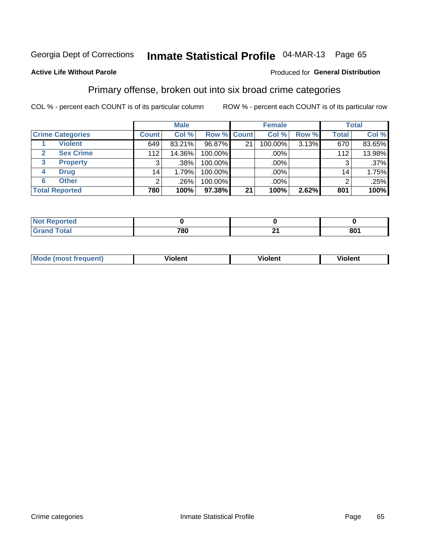# Inmate Statistical Profile 04-MAR-13 Page 65

#### **Active Life Without Parole**

#### Produced for General Distribution

### Primary offense, broken out into six broad crime categories

COL % - percent each COUNT is of its particular column

|                         |                 | <b>Male</b> |             |    | <b>Female</b> |       |                 | <b>Total</b> |
|-------------------------|-----------------|-------------|-------------|----|---------------|-------|-----------------|--------------|
| <b>Crime Categories</b> | <b>Count</b>    | Col %       | Row % Count |    | Col %         | Row % | <b>Total</b>    | Col %        |
| <b>Violent</b>          | 649             | 83.21%      | 96.87%      | 21 | 100.00%       | 3.13% | 670             | 83.65%       |
| <b>Sex Crime</b>        | 112             | 14.36%      | 100.00%     |    | .00%          |       | 112             | 13.98%       |
| 3<br><b>Property</b>    | 3               | .38%        | 100.00%     |    | .00%          |       |                 | $.37\%$      |
| <b>Drug</b><br>4        | 14 <sub>1</sub> | 1.79%       | 100.00%     |    | .00%          |       | 14 <sub>1</sub> | 1.75%        |
| <b>Other</b><br>6       | 2               | .26%        | 100.00%     |    | .00%          |       | າ               | .25%         |
| <b>Total Reported</b>   | 780             | 100%        | 97.38%      | 21 | 100%          | 2.62% | 801             | 100%         |

| <b>Not Reported</b> |     |     |
|---------------------|-----|-----|
| <b>Total</b>        | 780 | 801 |

| М | ,,, | - -- -<br>וחו | m |
|---|-----|---------------|---|
|   |     |               |   |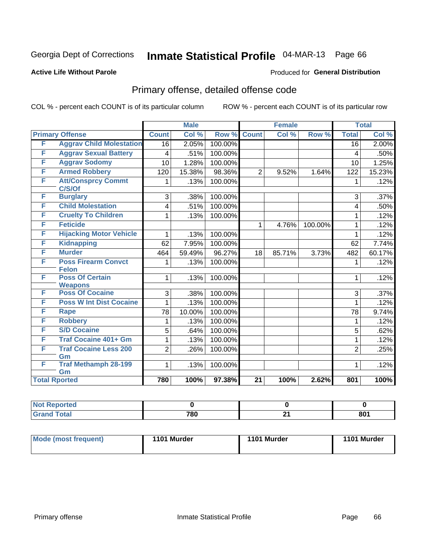# Inmate Statistical Profile 04-MAR-13 Page 66

#### **Active Life Without Parole**

#### Produced for General Distribution

## Primary offense, detailed offense code

COL % - percent each COUNT is of its particular column

|   |                                          |                | <b>Male</b> |         |                 | <b>Female</b> |         |                 | <b>Total</b> |  |
|---|------------------------------------------|----------------|-------------|---------|-----------------|---------------|---------|-----------------|--------------|--|
|   | <b>Primary Offense</b>                   | <b>Count</b>   | Col %       | Row %   | <b>Count</b>    | Col %         | Row %   | <b>Total</b>    | Col %        |  |
| F | <b>Aggrav Child Molestation</b>          | 16             | 2.05%       | 100.00% |                 |               |         | $\overline{16}$ | 2.00%        |  |
| F | <b>Aggrav Sexual Battery</b>             | 4              | .51%        | 100.00% |                 |               |         | 4               | .50%         |  |
| F | <b>Aggrav Sodomy</b>                     | 10             | 1.28%       | 100.00% |                 |               |         | 10              | 1.25%        |  |
| F | <b>Armed Robbery</b>                     | 120            | 15.38%      | 98.36%  | $\overline{2}$  | 9.52%         | 1.64%   | 122             | 15.23%       |  |
| F | <b>Att/Consprcy Commt</b><br>C/S/Of      | 1              | .13%        | 100.00% |                 |               |         | 1               | .12%         |  |
| F | <b>Burglary</b>                          | 3              | .38%        | 100.00% |                 |               |         | 3               | .37%         |  |
| F | <b>Child Molestation</b>                 | 4              | .51%        | 100.00% |                 |               |         | 4               | .50%         |  |
| F | <b>Cruelty To Children</b>               | 1              | .13%        | 100.00% |                 |               |         | 1               | .12%         |  |
| F | <b>Feticide</b>                          |                |             |         | 1               | 4.76%         | 100.00% | 1               | .12%         |  |
| F | <b>Hijacking Motor Vehicle</b>           | 1              | .13%        | 100.00% |                 |               |         | 1               | .12%         |  |
| F | <b>Kidnapping</b>                        | 62             | 7.95%       | 100.00% |                 |               |         | 62              | 7.74%        |  |
| F | <b>Murder</b>                            | 464            | 59.49%      | 96.27%  | 18              | 85.71%        | 3.73%   | 482             | 60.17%       |  |
| F | <b>Poss Firearm Convct</b>               | 1              | .13%        | 100.00% |                 |               |         | 1               | .12%         |  |
|   | <b>Felon</b>                             |                |             |         |                 |               |         |                 |              |  |
| F | <b>Poss Of Certain</b><br><b>Weapons</b> | 1              | .13%        | 100.00% |                 |               |         | $\mathbf 1$     | .12%         |  |
| F | <b>Poss Of Cocaine</b>                   | 3              | .38%        | 100.00% |                 |               |         | 3               | .37%         |  |
| F | <b>Poss W Int Dist Cocaine</b>           | 1              | .13%        | 100.00% |                 |               |         | 1               | .12%         |  |
| F | <b>Rape</b>                              | 78             | 10.00%      | 100.00% |                 |               |         | 78              | 9.74%        |  |
| F | <b>Robbery</b>                           | 1              | .13%        | 100.00% |                 |               |         | 1               | .12%         |  |
| F | <b>S/D Cocaine</b>                       | 5              | .64%        | 100.00% |                 |               |         | 5               | .62%         |  |
| F | <b>Traf Cocaine 401+ Gm</b>              | 1              | .13%        | 100.00% |                 |               |         | 1               | .12%         |  |
| F | <b>Traf Cocaine Less 200</b>             | $\overline{2}$ | .26%        | 100.00% |                 |               |         | $\overline{2}$  | .25%         |  |
| F | Gm<br><b>Traf Methamph 28-199</b>        | 1              | .13%        | 100.00% |                 |               |         | 1               | .12%         |  |
|   | Gm                                       |                |             |         |                 |               |         |                 |              |  |
|   | <b>Total Rported</b>                     | 780            | 100%        | 97.38%  | $\overline{21}$ | 100%          | 2.62%   | 801             | 100%         |  |

| oorted<br>N |             |          |     |
|-------------|-------------|----------|-----|
| <b>otal</b> | 700<br>טס ו | ົ<br>- - | 801 |

| Mode (most frequent) | 1101 Murder | 1101 Murder | 1101 Murder |
|----------------------|-------------|-------------|-------------|
|                      |             |             |             |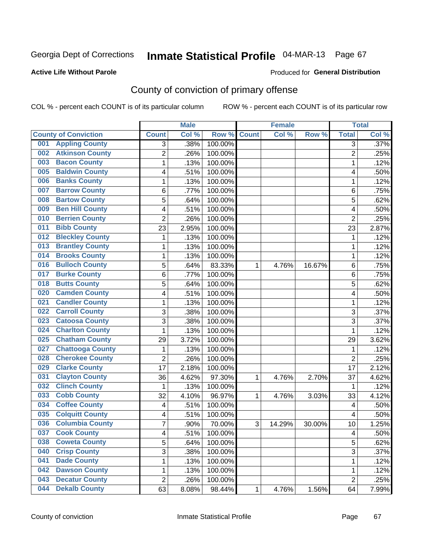#### **Active Life Without Parole**

#### Produced for **General Distribution**

## County of conviction of primary offense

|                                |                  | <b>Male</b> |         | <b>Female</b> |        | <b>Total</b> |                |       |
|--------------------------------|------------------|-------------|---------|---------------|--------|--------------|----------------|-------|
| <b>County of Conviction</b>    | <b>Count</b>     | Col %       | Row %   | <b>Count</b>  | Col %  | Row %        | <b>Total</b>   | Col % |
| <b>Appling County</b><br>001   | 3                | .38%        | 100.00% |               |        |              | 3              | .37%  |
| <b>Atkinson County</b><br>002  | $\overline{2}$   | .26%        | 100.00% |               |        |              | $\overline{2}$ | .25%  |
| <b>Bacon County</b><br>003     | $\mathbf{1}$     | .13%        | 100.00% |               |        |              | 1              | .12%  |
| <b>Baldwin County</b><br>005   | 4                | .51%        | 100.00% |               |        |              | 4              | .50%  |
| <b>Banks County</b><br>006     | 1                | .13%        | 100.00% |               |        |              | 1              | .12%  |
| <b>Barrow County</b><br>007    | 6                | .77%        | 100.00% |               |        |              | 6              | .75%  |
| <b>Bartow County</b><br>008    | 5                | .64%        | 100.00% |               |        |              | 5              | .62%  |
| <b>Ben Hill County</b><br>009  | 4                | .51%        | 100.00% |               |        |              | 4              | .50%  |
| <b>Berrien County</b><br>010   | $\overline{2}$   | .26%        | 100.00% |               |        |              | $\overline{2}$ | .25%  |
| <b>Bibb County</b><br>011      | 23               | 2.95%       | 100.00% |               |        |              | 23             | 2.87% |
| <b>Bleckley County</b><br>012  | 1                | .13%        | 100.00% |               |        |              | 1              | .12%  |
| <b>Brantley County</b><br>013  | 1                | .13%        | 100.00% |               |        |              | 1              | .12%  |
| <b>Brooks County</b><br>014    | 1                | .13%        | 100.00% |               |        |              | 1              | .12%  |
| <b>Bulloch County</b><br>016   | 5                | .64%        | 83.33%  | 1             | 4.76%  | 16.67%       | 6              | .75%  |
| <b>Burke County</b><br>017     | 6                | .77%        | 100.00% |               |        |              | 6              | .75%  |
| <b>Butts County</b><br>018     | 5                | .64%        | 100.00% |               |        |              | 5              | .62%  |
| <b>Camden County</b><br>020    | 4                | .51%        | 100.00% |               |        |              | 4              | .50%  |
| <b>Candler County</b><br>021   | $\mathbf{1}$     | .13%        | 100.00% |               |        |              | $\mathbf{1}$   | .12%  |
| <b>Carroll County</b><br>022   | 3                | .38%        | 100.00% |               |        |              | 3              | .37%  |
| <b>Catoosa County</b><br>023   | $\overline{3}$   | .38%        | 100.00% |               |        |              | $\overline{3}$ | .37%  |
| <b>Charlton County</b><br>024  | 1                | .13%        | 100.00% |               |        |              | 1              | .12%  |
| <b>Chatham County</b><br>025   | 29               | 3.72%       | 100.00% |               |        |              | 29             | 3.62% |
| <b>Chattooga County</b><br>027 | $\mathbf 1$      | .13%        | 100.00% |               |        |              | 1              | .12%  |
| <b>Cherokee County</b><br>028  | $\overline{2}$   | .26%        | 100.00% |               |        |              | $\overline{2}$ | .25%  |
| <b>Clarke County</b><br>029    | 17               | 2.18%       | 100.00% |               |        |              | 17             | 2.12% |
| <b>Clayton County</b><br>031   | 36               | 4.62%       | 97.30%  | 1             | 4.76%  | 2.70%        | 37             | 4.62% |
| <b>Clinch County</b><br>032    | $\mathbf 1$      | .13%        | 100.00% |               |        |              | 1              | .12%  |
| <b>Cobb County</b><br>033      | 32               | 4.10%       | 96.97%  | 1             | 4.76%  | 3.03%        | 33             | 4.12% |
| <b>Coffee County</b><br>034    | 4                | .51%        | 100.00% |               |        |              | 4              | .50%  |
| <b>Colquitt County</b><br>035  | 4                | .51%        | 100.00% |               |        |              | 4              | .50%  |
| <b>Columbia County</b><br>036  | $\overline{7}$   | .90%        | 70.00%  | 3             | 14.29% | 30.00%       | 10             | 1.25% |
| 037<br><b>Cook County</b>      | 4                | .51%        | 100.00% |               |        |              | 4              | .50%  |
| <b>Coweta County</b><br>038    | 5                | .64%        | 100.00% |               |        |              | 5              | .62%  |
| <b>Crisp County</b><br>040     | 3                | .38%        | 100.00% |               |        |              | 3              | .37%  |
| <b>Dade County</b><br>041      | 1                | .13%        | 100.00% |               |        |              | $\mathbf{1}$   | .12%  |
| <b>Dawson County</b><br>042    | 1                | .13%        | 100.00% |               |        |              | 1              | .12%  |
| <b>Decatur County</b><br>043   | $\boldsymbol{2}$ | .26%        | 100.00% |               |        |              | $\overline{2}$ | .25%  |
| <b>Dekalb County</b><br>044    | 63               | 8.08%       | 98.44%  | 1             | 4.76%  | 1.56%        | 64             | 7.99% |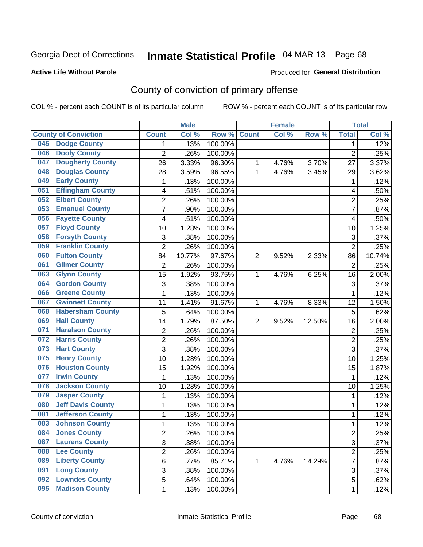#### **Active Life Without Parole**

#### Produced for **General Distribution**

## County of conviction of primary offense

|     |                             |                | <b>Male</b> |         |                | <b>Female</b> |        |                         | <b>Total</b> |
|-----|-----------------------------|----------------|-------------|---------|----------------|---------------|--------|-------------------------|--------------|
|     | <b>County of Conviction</b> | <b>Count</b>   | Col %       | Row %   | <b>Count</b>   | Col %         | Row %  | <b>Total</b>            | Col %        |
| 045 | <b>Dodge County</b>         | 1              | .13%        | 100.00% |                |               |        | 1                       | .12%         |
| 046 | <b>Dooly County</b>         | $\overline{2}$ | .26%        | 100.00% |                |               |        | $\overline{2}$          | .25%         |
| 047 | <b>Dougherty County</b>     | 26             | 3.33%       | 96.30%  | 1              | 4.76%         | 3.70%  | 27                      | 3.37%        |
| 048 | <b>Douglas County</b>       | 28             | 3.59%       | 96.55%  | 1              | 4.76%         | 3.45%  | 29                      | 3.62%        |
| 049 | <b>Early County</b>         | 1              | .13%        | 100.00% |                |               |        | 1                       | .12%         |
| 051 | <b>Effingham County</b>     | 4              | .51%        | 100.00% |                |               |        | 4                       | .50%         |
| 052 | <b>Elbert County</b>        | $\overline{c}$ | .26%        | 100.00% |                |               |        | $\overline{2}$          | .25%         |
| 053 | <b>Emanuel County</b>       | $\overline{7}$ | .90%        | 100.00% |                |               |        | $\overline{7}$          | .87%         |
| 056 | <b>Fayette County</b>       | 4              | .51%        | 100.00% |                |               |        | 4                       | .50%         |
| 057 | <b>Floyd County</b>         | 10             | 1.28%       | 100.00% |                |               |        | 10                      | 1.25%        |
| 058 | <b>Forsyth County</b>       | 3              | .38%        | 100.00% |                |               |        | 3                       | .37%         |
| 059 | <b>Franklin County</b>      | $\overline{2}$ | .26%        | 100.00% |                |               |        | $\overline{2}$          | .25%         |
| 060 | <b>Fulton County</b>        | 84             | 10.77%      | 97.67%  | $\overline{2}$ | 9.52%         | 2.33%  | 86                      | 10.74%       |
| 061 | <b>Gilmer County</b>        | $\overline{2}$ | .26%        | 100.00% |                |               |        | $\overline{2}$          | .25%         |
| 063 | <b>Glynn County</b>         | 15             | 1.92%       | 93.75%  | 1              | 4.76%         | 6.25%  | 16                      | 2.00%        |
| 064 | <b>Gordon County</b>        | 3              | .38%        | 100.00% |                |               |        | 3                       | .37%         |
| 066 | <b>Greene County</b>        | 1              | .13%        | 100.00% |                |               |        | 1                       | .12%         |
| 067 | <b>Gwinnett County</b>      | 11             | 1.41%       | 91.67%  | 1              | 4.76%         | 8.33%  | 12                      | 1.50%        |
| 068 | <b>Habersham County</b>     | 5              | .64%        | 100.00% |                |               |        | $\overline{5}$          | .62%         |
| 069 | <b>Hall County</b>          | 14             | 1.79%       | 87.50%  | $\overline{2}$ | 9.52%         | 12.50% | 16                      | 2.00%        |
| 071 | <b>Haralson County</b>      | $\overline{2}$ | .26%        | 100.00% |                |               |        | $\overline{2}$          | .25%         |
| 072 | <b>Harris County</b>        | $\overline{c}$ | .26%        | 100.00% |                |               |        | $\overline{2}$          | .25%         |
| 073 | <b>Hart County</b>          | $\overline{3}$ | .38%        | 100.00% |                |               |        | $\overline{3}$          | .37%         |
| 075 | <b>Henry County</b>         | 10             | 1.28%       | 100.00% |                |               |        | 10                      | 1.25%        |
| 076 | <b>Houston County</b>       | 15             | 1.92%       | 100.00% |                |               |        | 15                      | 1.87%        |
| 077 | <b>Irwin County</b>         | 1              | .13%        | 100.00% |                |               |        | 1                       | .12%         |
| 078 | <b>Jackson County</b>       | 10             | 1.28%       | 100.00% |                |               |        | 10                      | 1.25%        |
| 079 | <b>Jasper County</b>        | 1              | .13%        | 100.00% |                |               |        | 1                       | .12%         |
| 080 | <b>Jeff Davis County</b>    | 1              | .13%        | 100.00% |                |               |        | 1                       | .12%         |
| 081 | <b>Jefferson County</b>     | 1              | .13%        | 100.00% |                |               |        | 1                       | .12%         |
| 083 | <b>Johnson County</b>       | 1              | .13%        | 100.00% |                |               |        | 1                       | .12%         |
| 084 | <b>Jones County</b>         | 2              | .26%        | 100.00% |                |               |        | $\overline{\mathbf{c}}$ | .25%         |
| 087 | <b>Laurens County</b>       | 3              | .38%        | 100.00% |                |               |        | 3                       | .37%         |
| 088 | <b>Lee County</b>           | 2              | .26%        | 100.00% |                |               |        | $\overline{2}$          | .25%         |
| 089 | <b>Liberty County</b>       | 6              | .77%        | 85.71%  | 1              | 4.76%         | 14.29% | $\overline{7}$          | .87%         |
| 091 | <b>Long County</b>          | 3              | .38%        | 100.00% |                |               |        | 3                       | .37%         |
| 092 | <b>Lowndes County</b>       | 5              | .64%        | 100.00% |                |               |        | 5                       | .62%         |
| 095 | <b>Madison County</b>       | 1              | .13%        | 100.00% |                |               |        | 1                       | .12%         |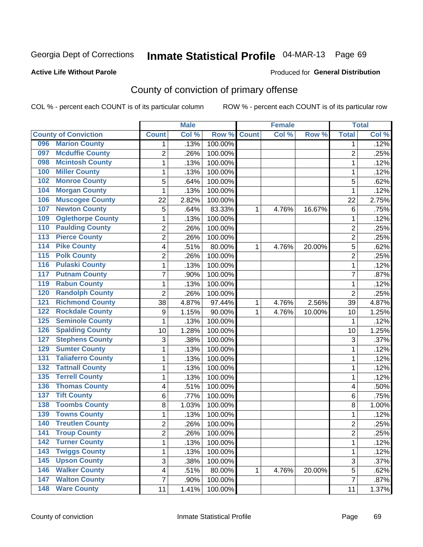#### **Active Life Without Parole**

#### Produced for **General Distribution**

## County of conviction of primary offense

|                                            |                  | <b>Male</b> |         |              | <b>Female</b> |        |                | <b>Total</b> |
|--------------------------------------------|------------------|-------------|---------|--------------|---------------|--------|----------------|--------------|
| <b>County of Conviction</b>                | <b>Count</b>     | Col %       | Row %   | <b>Count</b> | Col %         | Row %  | <b>Total</b>   | Col %        |
| <b>Marion County</b><br>096                | 1                | .13%        | 100.00% |              |               |        | 1              | .12%         |
| <b>Mcduffie County</b><br>097              | $\overline{2}$   | .26%        | 100.00% |              |               |        | $\overline{2}$ | .25%         |
| <b>Mcintosh County</b><br>098              | 1                | .13%        | 100.00% |              |               |        | $\mathbf 1$    | .12%         |
| <b>Miller County</b><br>100                | 1                | .13%        | 100.00% |              |               |        | 1              | .12%         |
| <b>Monroe County</b><br>102                | 5                | .64%        | 100.00% |              |               |        | 5              | .62%         |
| <b>Morgan County</b><br>104                | 1                | .13%        | 100.00% |              |               |        | 1              | .12%         |
| <b>Muscogee County</b><br>106              | 22               | 2.82%       | 100.00% |              |               |        | 22             | 2.75%        |
| <b>Newton County</b><br>107                | 5                | .64%        | 83.33%  | 1            | 4.76%         | 16.67% | 6              | .75%         |
| <b>Oglethorpe County</b><br>109            | 1                | .13%        | 100.00% |              |               |        | 1              | .12%         |
| <b>Paulding County</b><br>110              | $\overline{c}$   | .26%        | 100.00% |              |               |        | $\overline{2}$ | .25%         |
| <b>Pierce County</b><br>113                | $\overline{2}$   | .26%        | 100.00% |              |               |        | $\overline{2}$ | .25%         |
| <b>Pike County</b><br>114                  | 4                | .51%        | 80.00%  | 1            | 4.76%         | 20.00% | 5              | .62%         |
| <b>Polk County</b><br>115                  | 2                | .26%        | 100.00% |              |               |        | $\overline{2}$ | .25%         |
| <b>Pulaski County</b><br>116               | 1                | .13%        | 100.00% |              |               |        | $\mathbf 1$    | .12%         |
| <b>Putnam County</b><br>117                | $\overline{7}$   | .90%        | 100.00% |              |               |        | $\overline{7}$ | .87%         |
| <b>Rabun County</b><br>119                 | 1                | .13%        | 100.00% |              |               |        | $\mathbf 1$    | .12%         |
| <b>Randolph County</b><br>120              | $\overline{2}$   | .26%        | 100.00% |              |               |        | $\overline{2}$ | .25%         |
| <b>Richmond County</b><br>$\overline{121}$ | 38               | 4.87%       | 97.44%  | 1            | 4.76%         | 2.56%  | 39             | 4.87%        |
| <b>Rockdale County</b><br>122              | $\boldsymbol{9}$ | 1.15%       | 90.00%  | 1            | 4.76%         | 10.00% | 10             | 1.25%        |
| <b>Seminole County</b><br>125              | 1                | .13%        | 100.00% |              |               |        | 1              | .12%         |
| <b>Spalding County</b><br>126              | 10               | 1.28%       | 100.00% |              |               |        | 10             | 1.25%        |
| <b>Stephens County</b><br>127              | 3                | .38%        | 100.00% |              |               |        | 3              | .37%         |
| <b>Sumter County</b><br>129                | 1                | .13%        | 100.00% |              |               |        | 1              | .12%         |
| <b>Taliaferro County</b><br>131            | 1                | .13%        | 100.00% |              |               |        | 1              | .12%         |
| <b>Tattnall County</b><br>132              | 1                | .13%        | 100.00% |              |               |        | 1              | .12%         |
| <b>Terrell County</b><br>135               | 1                | .13%        | 100.00% |              |               |        | 1              | .12%         |
| <b>Thomas County</b><br>136                | 4                | .51%        | 100.00% |              |               |        | 4              | .50%         |
| <b>Tift County</b><br>137                  | 6                | .77%        | 100.00% |              |               |        | 6              | .75%         |
| <b>Toombs County</b><br>138                | 8                | 1.03%       | 100.00% |              |               |        | 8              | 1.00%        |
| <b>Towns County</b><br>139                 | 1                | .13%        | 100.00% |              |               |        | $\mathbf 1$    | .12%         |
| <b>Treutlen County</b><br>140              | $\overline{2}$   | .26%        | 100.00% |              |               |        | $\overline{2}$ | .25%         |
| 141<br><b>Troup County</b>                 | 2                | .26%        | 100.00% |              |               |        | $\overline{c}$ | .25%         |
| <b>Turner County</b><br>142                | 1                | .13%        | 100.00% |              |               |        | $\mathbf{1}$   | .12%         |
| <b>Twiggs County</b><br>$\overline{143}$   | 1                | .13%        | 100.00% |              |               |        | $\mathbf{1}$   | .12%         |
| <b>Upson County</b><br>145                 | 3                | .38%        | 100.00% |              |               |        | 3              | .37%         |
| <b>Walker County</b><br>146                | 4                | .51%        | 80.00%  | 1            | 4.76%         | 20.00% | 5              | .62%         |
| <b>Walton County</b><br>147                | 7                | .90%        | 100.00% |              |               |        | $\overline{7}$ | .87%         |
| <b>Ware County</b><br>$\overline{148}$     | 11               | 1.41%       | 100.00% |              |               |        | 11             | 1.37%        |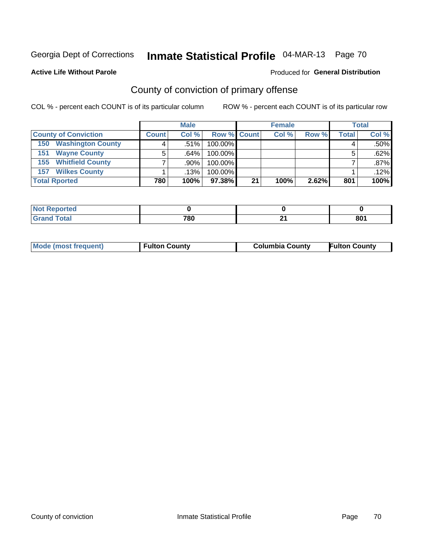Produced for **General Distribution**

#### **Active Life Without Parole**

## County of conviction of primary offense

|                                 | <b>Male</b>                                |         |                 | <b>Female</b> |       |       | <b>Total</b> |         |
|---------------------------------|--------------------------------------------|---------|-----------------|---------------|-------|-------|--------------|---------|
| <b>County of Conviction</b>     | <b>Row % Count</b><br>Col%<br><b>Count</b> |         |                 | Col %         | Row % | Total | Col %        |         |
| <b>Washington County</b><br>150 |                                            | $.51\%$ | 100.00%         |               |       |       |              | $.50\%$ |
| <b>Wayne County</b><br>151      |                                            | .64%    | 100.00%         |               |       |       |              | .62%    |
| <b>155 Whitfield County</b>     |                                            | .90%    | 100.00%         |               |       |       |              | $.87\%$ |
| <b>Wilkes County</b><br>157     |                                            | $.13\%$ | 100.00%         |               |       |       |              | .12%    |
| <b>Total Rported</b>            | 780                                        | 100%    | 97.38% <b>I</b> | 21            | 100%  | 2.62% | 801          | 100%    |

| orted<br>N  |     |    |           |
|-------------|-----|----|-----------|
| <b>otal</b> | 780 | e. | on.<br>ου |

| <b>Mode (most frequent)</b> | <b>Fulton County</b> | <b>Columbia County</b> | <b>Fulton County</b> |
|-----------------------------|----------------------|------------------------|----------------------|
|                             |                      |                        |                      |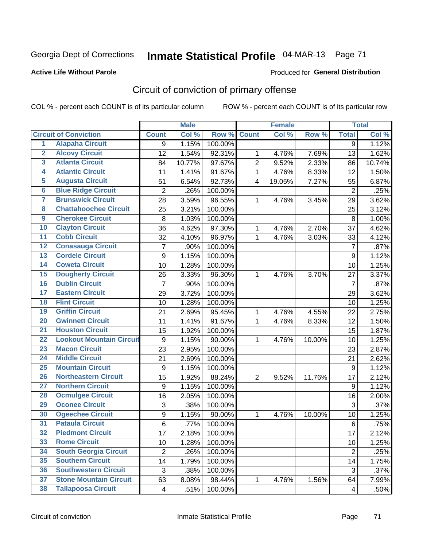#### **Active Life Without Parole**

#### Produced for **General Distribution**

## Circuit of conviction of primary offense

|                         |                                 |                | <b>Male</b>        |         |                         | <b>Female</b> |        |                  | <b>Total</b> |
|-------------------------|---------------------------------|----------------|--------------------|---------|-------------------------|---------------|--------|------------------|--------------|
|                         | <b>Circuit of Conviction</b>    | <b>Count</b>   | Col %              | Row %   | <b>Count</b>            | Col %         | Row %  | <b>Total</b>     | Col %        |
| 1                       | <b>Alapaha Circuit</b>          | 9              | 1.15%              | 100.00% |                         |               |        | $\overline{9}$   | 1.12%        |
| $\overline{2}$          | <b>Alcovy Circuit</b>           | 12             | 1.54%              | 92.31%  | 1                       | 4.76%         | 7.69%  | 13               | 1.62%        |
| $\overline{\mathbf{3}}$ | <b>Atlanta Circuit</b>          | 84             | 10.77%             | 97.67%  | $\overline{2}$          | 9.52%         | 2.33%  | 86               | 10.74%       |
| 4                       | <b>Atlantic Circuit</b>         | 11             | 1.41%              | 91.67%  | $\mathbf{1}$            | 4.76%         | 8.33%  | 12               | 1.50%        |
| $\overline{5}$          | <b>Augusta Circuit</b>          | 51             | 6.54%              | 92.73%  | $\overline{\mathbf{4}}$ | 19.05%        | 7.27%  | 55               | 6.87%        |
| $\overline{6}$          | <b>Blue Ridge Circuit</b>       | $\overline{c}$ | .26%               | 100.00% |                         |               |        | $\overline{2}$   | .25%         |
| 7                       | <b>Brunswick Circuit</b>        | 28             | 3.59%              | 96.55%  | 1                       | 4.76%         | 3.45%  | 29               | 3.62%        |
| $\overline{\mathbf{8}}$ | <b>Chattahoochee Circuit</b>    | 25             | 3.21%              | 100.00% |                         |               |        | 25               | 3.12%        |
| $\overline{9}$          | <b>Cherokee Circuit</b>         | 8              | 1.03%              | 100.00% |                         |               |        | 8                | 1.00%        |
| 10                      | <b>Clayton Circuit</b>          | 36             | 4.62%              | 97.30%  | 1                       | 4.76%         | 2.70%  | 37               | 4.62%        |
| $\overline{11}$         | <b>Cobb Circuit</b>             | 32             | 4.10%              | 96.97%  | $\mathbf{1}$            | 4.76%         | 3.03%  | 33               | 4.12%        |
| $\overline{12}$         | <b>Conasauga Circuit</b>        | 7              | .90%               | 100.00% |                         |               |        | $\overline{7}$   | .87%         |
| $\overline{13}$         | <b>Cordele Circuit</b>          | 9              | 1.15%              | 100.00% |                         |               |        | $\boldsymbol{9}$ | 1.12%        |
| $\overline{14}$         | <b>Coweta Circuit</b>           | 10             | 1.28%              | 100.00% |                         |               |        | 10               | 1.25%        |
| $\overline{15}$         | <b>Dougherty Circuit</b>        | 26             | 3.33%              | 96.30%  | 1                       | 4.76%         | 3.70%  | 27               | 3.37%        |
| 16                      | <b>Dublin Circuit</b>           | 7              | .90%               | 100.00% |                         |               |        | $\overline{7}$   | .87%         |
| $\overline{17}$         | <b>Eastern Circuit</b>          | 29             | 3.72%              | 100.00% |                         |               |        | 29               | 3.62%        |
| 18                      | <b>Flint Circuit</b>            | 10             | 1.28%              | 100.00% |                         |               |        | 10               | 1.25%        |
| 19                      | <b>Griffin Circuit</b>          | 21             | 2.69%              | 95.45%  | 1                       | 4.76%         | 4.55%  | 22               | 2.75%        |
| $\overline{20}$         | <b>Gwinnett Circuit</b>         | 11             | 1.41%              | 91.67%  | 1                       | 4.76%         | 8.33%  | 12               | 1.50%        |
| $\overline{21}$         | <b>Houston Circuit</b>          | 15             | 1.92%              | 100.00% |                         |               |        | 15               | 1.87%        |
| $\overline{22}$         | <b>Lookout Mountain Circuit</b> | 9              | 1.15%              | 90.00%  | $\mathbf{1}$            | 4.76%         | 10.00% | 10               | 1.25%        |
| 23                      | <b>Macon Circuit</b>            | 23             | 2.95%              | 100.00% |                         |               |        | 23               | 2.87%        |
| $\overline{24}$         | <b>Middle Circuit</b>           | 21             | 2.69%              | 100.00% |                         |               |        | 21               | 2.62%        |
| $\overline{25}$         | <b>Mountain Circuit</b>         | 9              | 1.15%              | 100.00% |                         |               |        | 9                | 1.12%        |
| 26                      | <b>Northeastern Circuit</b>     | 15             | 1.92%              | 88.24%  | 2                       | 9.52%         | 11.76% | 17               | 2.12%        |
| $\overline{27}$         | <b>Northern Circuit</b>         | 9              | 1.15%              | 100.00% |                         |               |        | $\boldsymbol{9}$ | 1.12%        |
| 28                      | <b>Ocmulgee Circuit</b>         | 16             | 2.05%              | 100.00% |                         |               |        | 16               | 2.00%        |
| 29                      | <b>Oconee Circuit</b>           | 3              | .38%               | 100.00% |                         |               |        | 3                | .37%         |
| 30                      | <b>Ogeechee Circuit</b>         | 9              | 1.15%              | 90.00%  | $\mathbf{1}$            | 4.76%         | 10.00% | 10               | 1.25%        |
| $\overline{31}$         | <b>Pataula Circuit</b>          | 6              | .77%               | 100.00% |                         |               |        | 6                | .75%         |
| 32                      | <b>Piedmont Circuit</b>         | 17             | 2.18%              | 100.00% |                         |               |        | 17               | 2.12%        |
| 33                      | <b>Rome Circuit</b>             | 10             | $\overline{1.28%}$ | 100.00% |                         |               |        | 10               | 1.25%        |
| 34                      | <b>South Georgia Circuit</b>    | $\overline{2}$ | .26%               | 100.00% |                         |               |        | $\overline{2}$   | .25%         |
| 35                      | <b>Southern Circuit</b>         | 14             | 1.79%              | 100.00% |                         |               |        | 14               | 1.75%        |
| 36                      | <b>Southwestern Circuit</b>     | $\mathfrak{S}$ | .38%               | 100.00% |                         |               |        | 3                | .37%         |
| 37                      | <b>Stone Mountain Circuit</b>   | 63             | 8.08%              | 98.44%  | 1                       | 4.76%         | 1.56%  | 64               | 7.99%        |
| 38                      | <b>Tallapoosa Circuit</b>       | 4              | .51%               | 100.00% |                         |               |        | $\overline{4}$   | .50%         |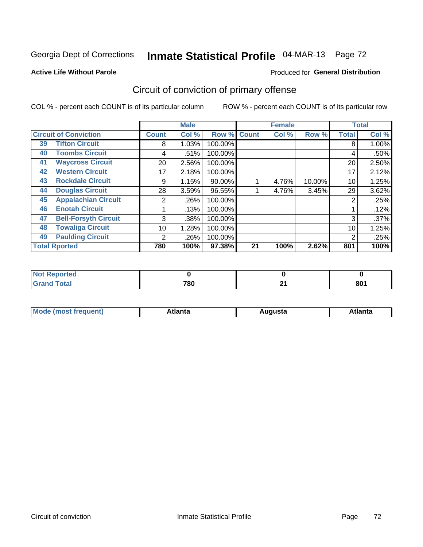#### **Active Life Without Parole**

#### Produced for **General Distribution**

## Circuit of conviction of primary offense

|    |                              |              | <b>Male</b> |         |              | <b>Female</b> |        |              | <b>Total</b> |
|----|------------------------------|--------------|-------------|---------|--------------|---------------|--------|--------------|--------------|
|    | <b>Circuit of Conviction</b> | <b>Count</b> | Col %       | Row %   | <b>Count</b> | Col %         | Row %  | <b>Total</b> | Col %        |
| 39 | <b>Tifton Circuit</b>        | 8            | 1.03%       | 100.00% |              |               |        | 8            | 1.00%        |
| 40 | <b>Toombs Circuit</b>        | 4            | .51%        | 100.00% |              |               |        | 4            | .50%         |
| 41 | <b>Waycross Circuit</b>      | 20           | 2.56%       | 100.00% |              |               |        | 20           | 2.50%        |
| 42 | <b>Western Circuit</b>       | 17           | 2.18%       | 100.00% |              |               |        | 17           | 2.12%        |
| 43 | <b>Rockdale Circuit</b>      | 9            | 1.15%       | 90.00%  |              | 4.76%         | 10.00% | 10           | 1.25%        |
| 44 | <b>Douglas Circuit</b>       | 28           | 3.59%       | 96.55%  |              | 4.76%         | 3.45%  | 29           | 3.62%        |
| 45 | <b>Appalachian Circuit</b>   | 2            | .26%        | 100.00% |              |               |        | 2            | .25%         |
| 46 | <b>Enotah Circuit</b>        |              | .13%        | 100.00% |              |               |        |              | .12%         |
| 47 | <b>Bell-Forsyth Circuit</b>  | 3            | .38%        | 100.00% |              |               |        | 3            | .37%         |
| 48 | <b>Towaliga Circuit</b>      | 10           | 1.28%       | 100.00% |              |               |        | 10           | 1.25%        |
| 49 | <b>Paulding Circuit</b>      | 2            | .26%        | 100.00% |              |               |        | 2            | .25%         |
|    | <b>Total Rported</b>         | 780          | 100%        | 97.38%  | 21           | 100%          | 2.62%  | 801          | 100%         |

| <b>orted</b><br>N |     |               |     |
|-------------------|-----|---------------|-----|
| <b>Total</b>      | 780 | $\sim$<br>- 1 | 801 |

| М<br>. In n tr<br>.<br>.<br>wanta<br>Πū<br>31.<br>$\sim$ $\sim$ $\sim$ |
|------------------------------------------------------------------------|
|------------------------------------------------------------------------|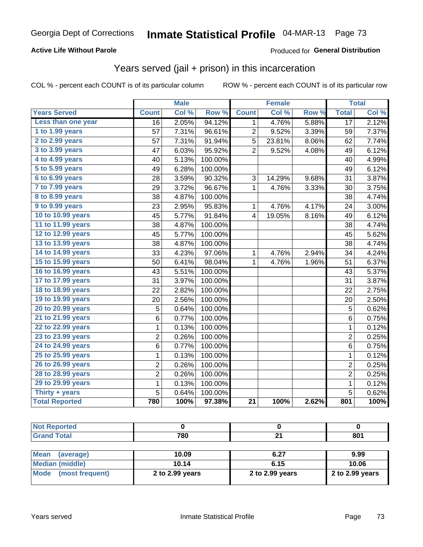#### **Active Life Without Parole**

#### Produced for **General Distribution**

### Years served (jail + prison) in this incarceration

|                        |                         | <b>Male</b> |         |                 | <b>Female</b> |       |                  | <b>Total</b> |
|------------------------|-------------------------|-------------|---------|-----------------|---------------|-------|------------------|--------------|
| <b>Years Served</b>    | <b>Count</b>            | Col %       | Row %   | <b>Count</b>    | Col %         | Row % | <b>Total</b>     | Col %        |
| Less than one year     | $\overline{16}$         | 2.05%       | 94.12%  | 1               | 4.76%         | 5.88% | $\overline{17}$  | 2.12%        |
| 1 to 1.99 years        | 57                      | 7.31%       | 96.61%  | 2               | 9.52%         | 3.39% | 59               | 7.37%        |
| 2 to 2.99 years        | 57                      | 7.31%       | 91.94%  | $\overline{5}$  | 23.81%        | 8.06% | 62               | 7.74%        |
| 3 to 3.99 years        | 47                      | 6.03%       | 95.92%  | 2               | 9.52%         | 4.08% | 49               | 6.12%        |
| 4 to 4.99 years        | 40                      | 5.13%       | 100.00% |                 |               |       | 40               | 4.99%        |
| 5 to 5.99 years        | 49                      | 6.28%       | 100.00% |                 |               |       | 49               | 6.12%        |
| 6 to 6.99 years        | 28                      | 3.59%       | 90.32%  | 3               | 14.29%        | 9.68% | 31               | 3.87%        |
| 7 to 7.99 years        | 29                      | 3.72%       | 96.67%  | $\mathbf{1}$    | 4.76%         | 3.33% | 30               | 3.75%        |
| <b>8 to 8.99 years</b> | 38                      | 4.87%       | 100.00% |                 |               |       | 38               | 4.74%        |
| 9 to 9.99 years        | 23                      | 2.95%       | 95.83%  | 1               | 4.76%         | 4.17% | 24               | 3.00%        |
| 10 to 10.99 years      | 45                      | 5.77%       | 91.84%  | 4               | 19.05%        | 8.16% | 49               | 6.12%        |
| 11 to 11.99 years      | 38                      | 4.87%       | 100.00% |                 |               |       | 38               | 4.74%        |
| 12 to 12.99 years      | 45                      | 5.77%       | 100.00% |                 |               |       | 45               | 5.62%        |
| 13 to 13.99 years      | 38                      | 4.87%       | 100.00% |                 |               |       | 38               | 4.74%        |
| 14 to 14.99 years      | 33                      | 4.23%       | 97.06%  | 1               | 4.76%         | 2.94% | 34               | 4.24%        |
| 15 to 15.99 years      | 50                      | 6.41%       | 98.04%  | 1               | 4.76%         | 1.96% | 51               | 6.37%        |
| 16 to 16.99 years      | 43                      | 5.51%       | 100.00% |                 |               |       | 43               | 5.37%        |
| 17 to 17.99 years      | 31                      | 3.97%       | 100.00% |                 |               |       | 31               | 3.87%        |
| 18 to 18.99 years      | 22                      | 2.82%       | 100.00% |                 |               |       | 22               | 2.75%        |
| 19 to 19.99 years      | 20                      | 2.56%       | 100.00% |                 |               |       | 20               | 2.50%        |
| 20 to 20.99 years      | 5                       | 0.64%       | 100.00% |                 |               |       | 5                | 0.62%        |
| 21 to 21.99 years      | 6                       | 0.77%       | 100.00% |                 |               |       | $\,6$            | 0.75%        |
| 22 to 22.99 years      | $\mathbf 1$             | 0.13%       | 100.00% |                 |               |       | $\mathbf{1}$     | 0.12%        |
| 23 to 23.99 years      | $\overline{c}$          | 0.26%       | 100.00% |                 |               |       | $\overline{2}$   | 0.25%        |
| 24 to 24.99 years      | 6                       | 0.77%       | 100.00% |                 |               |       | $\,6$            | 0.75%        |
| 25 to 25.99 years      | 1                       | 0.13%       | 100.00% |                 |               |       | 1                | 0.12%        |
| 26 to 26.99 years      | $\overline{\mathbf{c}}$ | 0.26%       | 100.00% |                 |               |       | $\overline{c}$   | 0.25%        |
| 28 to 28.99 years      | $\overline{2}$          | 0.26%       | 100.00% |                 |               |       | $\overline{2}$   | 0.25%        |
| 29 to 29.99 years      | $\mathbf 1$             | 0.13%       | 100.00% |                 |               |       | $\mathbf 1$      | 0.12%        |
| Thirty + years         | 5                       | 0.64%       | 100.00% |                 |               |       | 5                | 0.62%        |
| <b>Total Reported</b>  | 780                     | 100%        | 97.38%  | $\overline{21}$ | 100%          | 2.62% | $\overline{801}$ | 100%         |

| <b>Not Reported</b>      |                 |                 |                 |
|--------------------------|-----------------|-----------------|-----------------|
| <b>Grand Total</b>       | 780             | 21              | 801             |
|                          |                 |                 |                 |
| <b>Mean</b><br>(average) | 10.09           | 6.27            | 9.99            |
| <b>Median (middle)</b>   | 10.14           | 6.15            | 10.06           |
| Mode (most frequent)     | 2 to 2.99 years | 2 to 2.99 years | 2 to 2.99 years |
|                          |                 |                 |                 |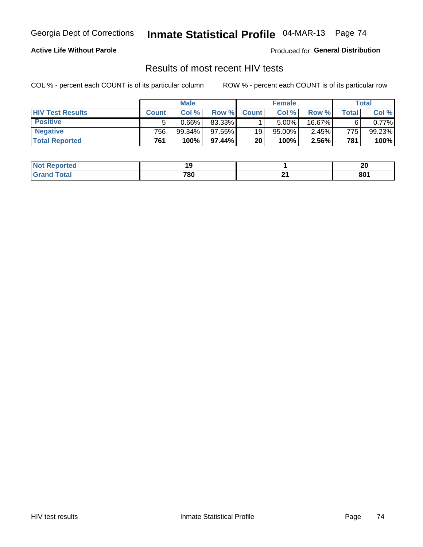#### **Active Life Without Parole**

Produced for **General Distribution**

### Results of most recent HIV tests

|                         | <b>Male</b>      |          |        | <b>Female</b> |        |        | Total        |          |
|-------------------------|------------------|----------|--------|---------------|--------|--------|--------------|----------|
| <b>HIV Test Results</b> | <b>Count</b>     | Col%     | Row %I | <b>Count</b>  | Col%   | Row %  | <b>Total</b> | Col %    |
| <b>Positive</b>         | 5                | $0.66\%$ | 83.33% |               | 5.00%  | 16.67% |              | $0.77\%$ |
| <b>Negative</b>         | 756 <sub>1</sub> | 99.34%   | 97.55% | 19            | 95.00% | 2.45%  | 775          | 99.23%   |
| <b>Total Reported</b>   | 761              | 100%     | 97.44% | 20            | 100%   | 2.56%  | 781          | 100%     |

| <b>Not Reported</b> | 4 C |          | or<br>Ζu |
|---------------------|-----|----------|----------|
| <b>Fotal</b><br>.C. | 780 | ີ<br>. . | 801      |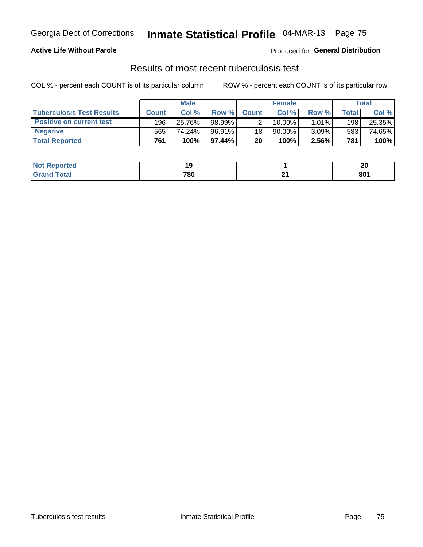#### **Active Life Without Parole**

Produced for **General Distribution**

### Results of most recent tuberculosis test

|                                  | <b>Male</b>  |         |        | <b>Female</b> |           |          | Total |        |
|----------------------------------|--------------|---------|--------|---------------|-----------|----------|-------|--------|
| <b>Tuberculosis Test Results</b> | <b>Count</b> | Col%    | Row %I | <b>Count</b>  | Col %     | Row %    | Total | Col %  |
| <b>Positive on current test</b>  | 196          | 25.76%  | 98.99% |               | $10.00\%$ | $1.01\%$ | 198   | 25.35% |
| <b>Negative</b>                  | 565          | 74.24%」 | 96.91% | 18            | 90.00%    | $3.09\%$ | 583   | 74.65% |
| <b>Total Reported</b>            | 761          | 100%    | 97.44% | 20            | 100%      | 2.56%    | 781   | 100%   |

| ported<br>I NOT |     | 01<br>ZL |
|-----------------|-----|----------|
| .'otal          | 780 | 801      |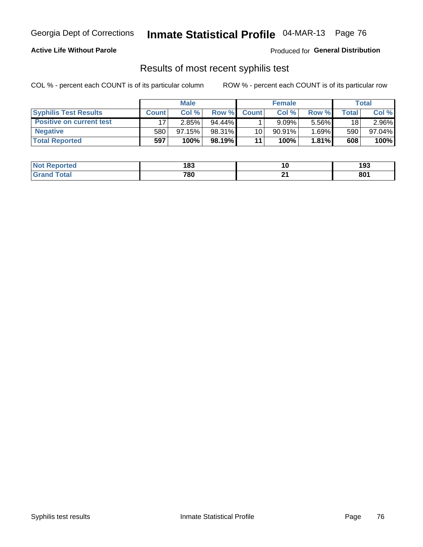#### **Active Life Without Parole**

Produced for **General Distribution**

### Results of most recent syphilis test

|                                 | <b>Male</b>  |           |           | <b>Female</b>   |           |          | Total   |        |
|---------------------------------|--------------|-----------|-----------|-----------------|-----------|----------|---------|--------|
| <b>Syphilis Test Results</b>    | <b>Count</b> | Col%      | Row %I    | <b>Count</b>    | Col %     | Row %    | Total i | Col %  |
| <b>Positive on current test</b> |              | 2.85%     | $94.44\%$ |                 | 9.09%     | 5.56%    | 18      | 2.96%  |
| <b>Negative</b>                 | 580          | $97.15\%$ | 98.31%    | 10 <sup>1</sup> | $90.91\%$ | $1.69\%$ | 590     | 97.04% |
| <b>Total Reported</b>           | 597          | 100%      | 98.19%    | 11              | 100%      | 1.81%    | 608     | 100%   |

| <b>Not Reported</b> | 183 |          | 193 |
|---------------------|-----|----------|-----|
| <b>Total</b>        | 780 | ົ<br>. . | 801 |